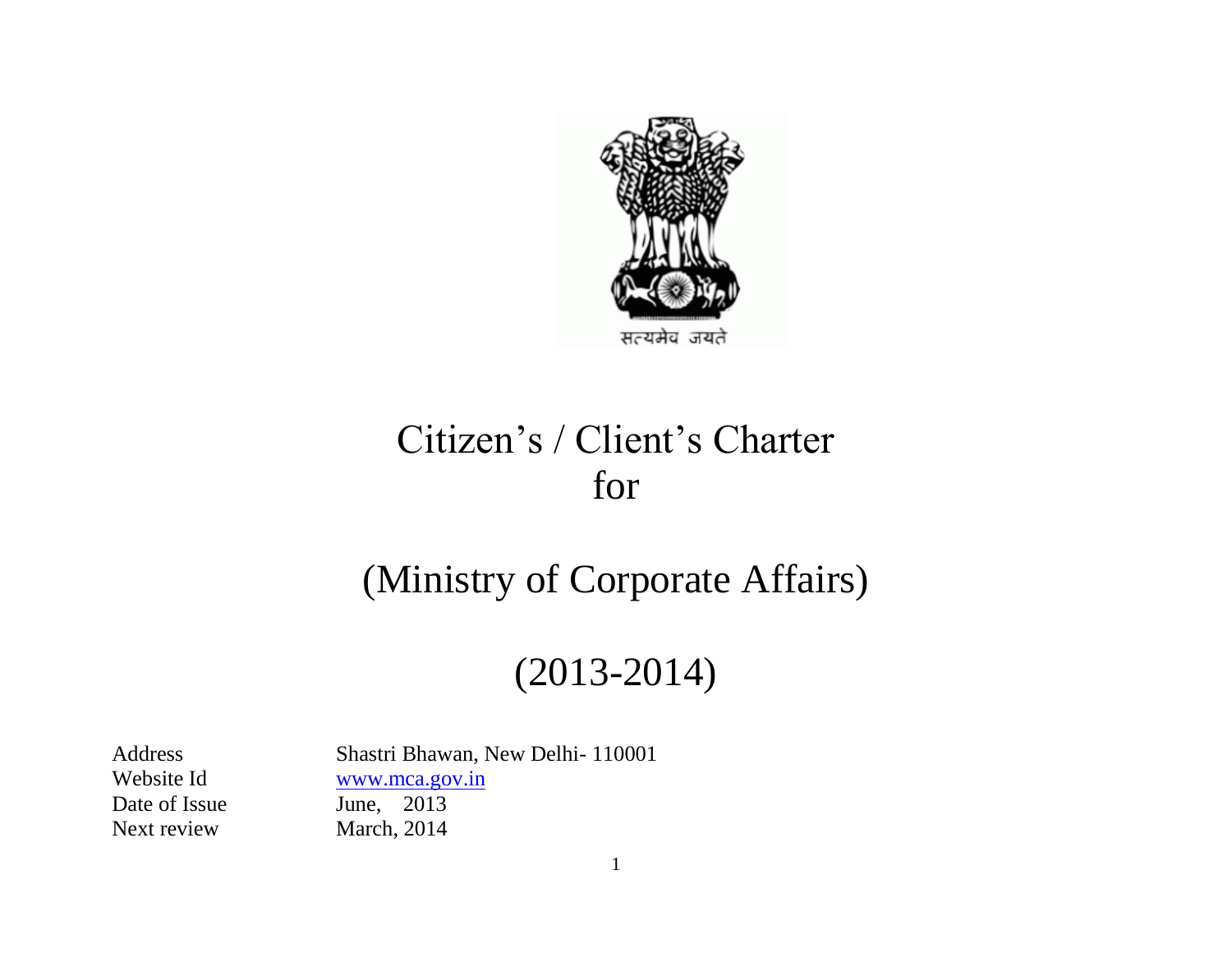

# Citizen's / Client's Charter for

# (Ministry of Corporate Affairs)

# (2013-2014)

Date of Issue June, 2013 Next review March, 2014

Address Shastri Bhawan, New Delhi- 110001 Website Id [www.mca.gov.in](http://www.mca.gov.in/)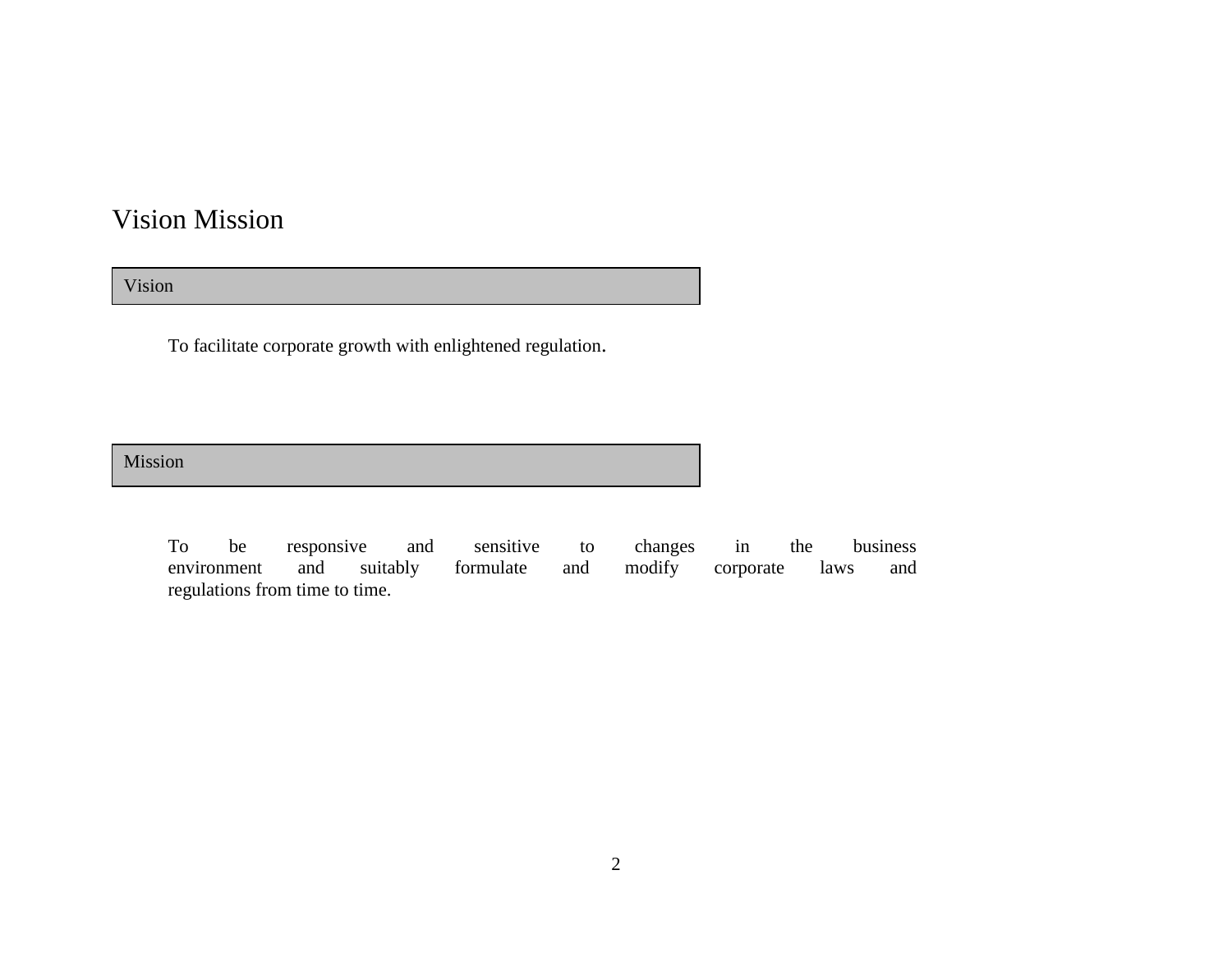### Vision Mission

Vision

To facilitate corporate growth with enlightened regulation.

Mission

To be responsive and sensitive to changes in the business environment and suitably formulate and modify corporate laws and regulations from time to time.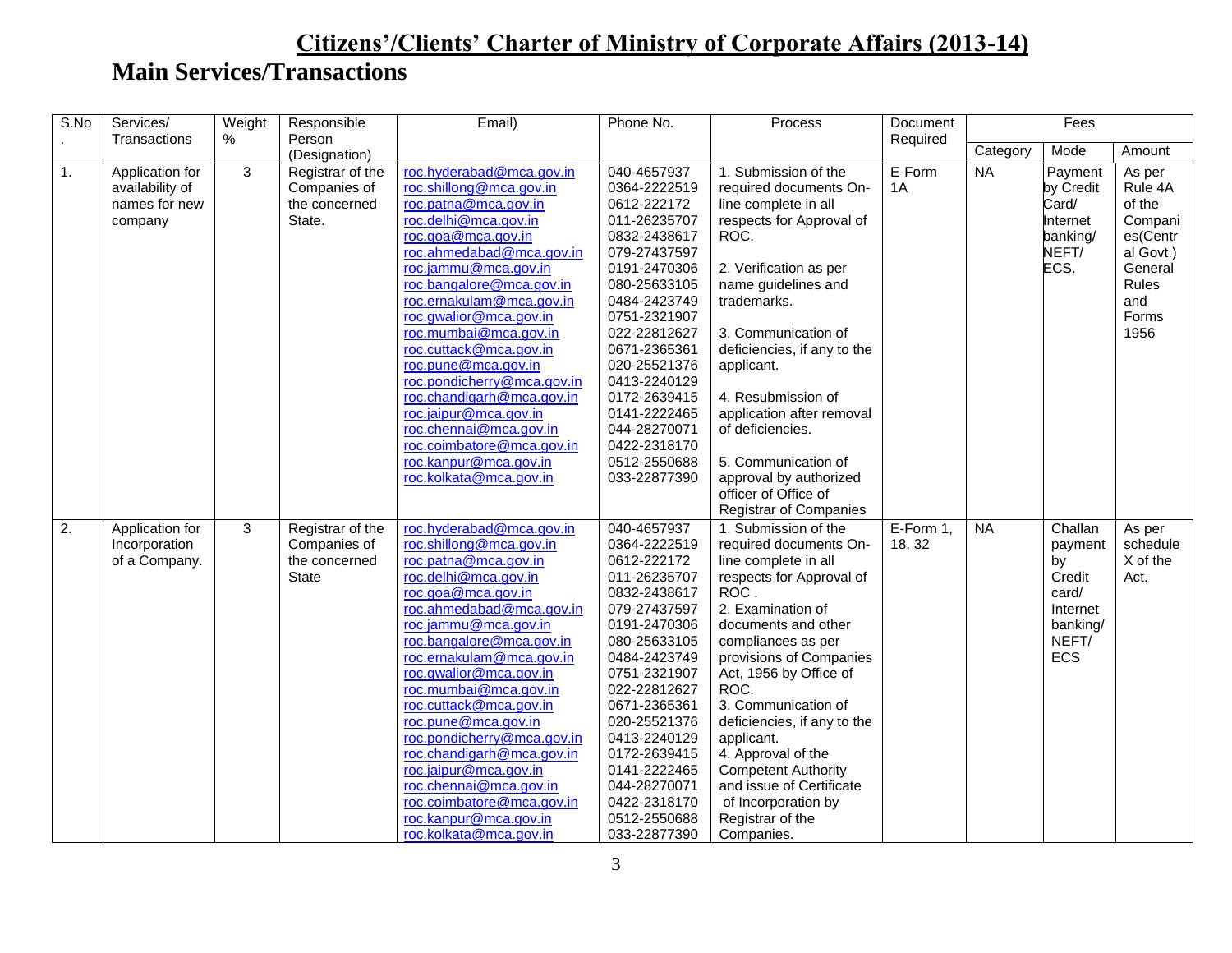| S.No | Services/<br>Transactions                                      | Weight<br>$\%$ | Responsible<br>Person                                             | Email)                                                                                                                                                                                                                                                                                                                                                                                                                                                                                                                                  | Phone No.                                                                                                                                                                                                                                                                                                                  | Process                                                                                                                                                                                                                                                                                                                                                                                                                                                | Document<br>Required |           | Fees                                                                                |                                                                                                             |
|------|----------------------------------------------------------------|----------------|-------------------------------------------------------------------|-----------------------------------------------------------------------------------------------------------------------------------------------------------------------------------------------------------------------------------------------------------------------------------------------------------------------------------------------------------------------------------------------------------------------------------------------------------------------------------------------------------------------------------------|----------------------------------------------------------------------------------------------------------------------------------------------------------------------------------------------------------------------------------------------------------------------------------------------------------------------------|--------------------------------------------------------------------------------------------------------------------------------------------------------------------------------------------------------------------------------------------------------------------------------------------------------------------------------------------------------------------------------------------------------------------------------------------------------|----------------------|-----------|-------------------------------------------------------------------------------------|-------------------------------------------------------------------------------------------------------------|
|      |                                                                |                | (Designation)                                                     |                                                                                                                                                                                                                                                                                                                                                                                                                                                                                                                                         |                                                                                                                                                                                                                                                                                                                            |                                                                                                                                                                                                                                                                                                                                                                                                                                                        |                      | Category  | Mode                                                                                | Amount                                                                                                      |
| 1.   | Application for<br>availability of<br>names for new<br>company | 3              | Registrar of the<br>Companies of<br>the concerned<br>State.       | roc.hyderabad@mca.gov.in<br>roc.shillong@mca.gov.in<br>roc.patna@mca.gov.in<br>roc.delhi@mca.gov.in<br>roc.goa@mca.gov.in<br>roc.ahmedabad@mca.gov.in<br>roc.jammu@mca.gov.in<br>roc.bangalore@mca.gov.in<br>roc.ernakulam@mca.gov.in<br>roc.gwalior@mca.gov.in<br>roc.mumbai@mca.gov.in<br>roc.cuttack@mca.gov.in<br>roc.pune@mca.gov.in<br>roc.pondicherry@mca.gov.in<br>roc.chandigarh@mca.gov.in<br>roc.jaipur@mca.gov.in<br>roc.chennai@mca.gov.in<br>roc.coimbatore@mca.gov.in<br>roc.kanpur@mca.gov.in<br>roc.kolkata@mca.gov.in | 040-4657937<br>0364-2222519<br>0612-222172<br>011-26235707<br>0832-2438617<br>079-27437597<br>0191-2470306<br>080-25633105<br>0484-2423749<br>0751-2321907<br>022-22812627<br>0671-2365361<br>020-25521376<br>0413-2240129<br>0172-2639415<br>0141-2222465<br>044-28270071<br>0422-2318170<br>0512-2550688<br>033-22877390 | 1. Submission of the<br>required documents On-<br>line complete in all<br>respects for Approval of<br>ROC.<br>2. Verification as per<br>name guidelines and<br>trademarks.<br>3. Communication of<br>deficiencies, if any to the<br>applicant.<br>4. Resubmission of<br>application after removal<br>of deficiencies.<br>5. Communication of<br>approval by authorized<br>officer of Office of<br><b>Registrar of Companies</b>                        | E-Form<br>1A         | <b>NA</b> | Payment<br>by Credit<br>Card/<br>Internet<br>banking/<br>NEFT/<br>ECS.              | As per<br>Rule 4A<br>of the<br>Compani<br>es(Centr<br>al Govt.)<br>General<br>Rules<br>and<br>Forms<br>1956 |
| 2.   | Application for<br>Incorporation<br>of a Company.              | 3              | Registrar of the<br>Companies of<br>the concerned<br><b>State</b> | roc.hyderabad@mca.gov.in<br>roc.shillong@mca.gov.in<br>roc.patna@mca.gov.in<br>roc.delhi@mca.gov.in<br>roc.goa@mca.gov.in<br>roc.ahmedabad@mca.gov.in<br>roc.jammu@mca.gov.in<br>roc.bangalore@mca.gov.in<br>roc.ernakulam@mca.gov.in<br>roc.gwalior@mca.gov.in<br>roc.mumbai@mca.gov.in<br>roc.cuttack@mca.gov.in<br>roc.pune@mca.gov.in<br>roc.pondicherry@mca.gov.in<br>roc.chandigarh@mca.gov.in<br>roc.jaipur@mca.gov.in<br>roc.chennai@mca.gov.in<br>roc.coimbatore@mca.gov.in<br>roc.kanpur@mca.gov.in<br>roc.kolkata@mca.gov.in | 040-4657937<br>0364-2222519<br>0612-222172<br>011-26235707<br>0832-2438617<br>079-27437597<br>0191-2470306<br>080-25633105<br>0484-2423749<br>0751-2321907<br>022-22812627<br>0671-2365361<br>020-25521376<br>0413-2240129<br>0172-2639415<br>0141-2222465<br>044-28270071<br>0422-2318170<br>0512-2550688<br>033-22877390 | 1. Submission of the<br>required documents On-<br>line complete in all<br>respects for Approval of<br>ROC.<br>2. Examination of<br>documents and other<br>compliances as per<br>provisions of Companies<br>Act, 1956 by Office of<br>ROC.<br>3. Communication of<br>deficiencies, if any to the<br>applicant.<br>4. Approval of the<br><b>Competent Authority</b><br>and issue of Certificate<br>of Incorporation by<br>Registrar of the<br>Companies. | E-Form 1,<br>18, 32  | <b>NA</b> | Challan<br>payment<br>by<br>Credit<br>card/<br>Internet<br>banking/<br>NEFT/<br>ECS | As per<br>schedule<br>X of the<br>Act.                                                                      |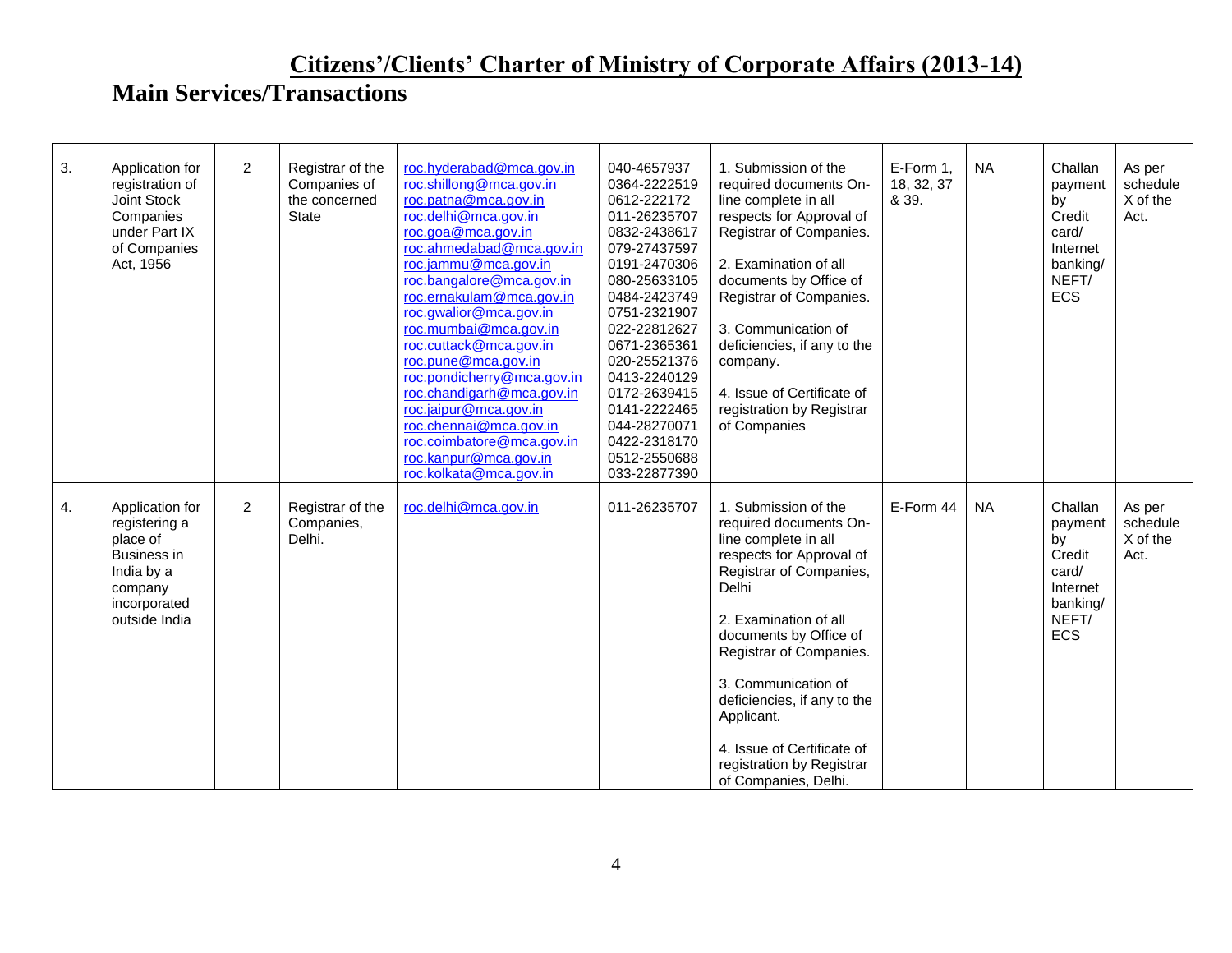| 3. | Application for<br>registration of<br>Joint Stock<br>Companies<br>under Part IX<br>of Companies<br>Act, 1956                 | $\overline{2}$ | Registrar of the<br>Companies of<br>the concerned<br>State | roc.hyderabad@mca.gov.in<br>roc.shillong@mca.gov.in<br>roc.patna@mca.gov.in<br>roc.delhi@mca.gov.in<br>roc.goa@mca.gov.in<br>roc.ahmedabad@mca.gov.in<br>roc.jammu@mca.gov.in<br>roc.bangalore@mca.gov.in<br>roc.ernakulam@mca.gov.in<br>roc.gwalior@mca.gov.in<br>roc.mumbai@mca.gov.in<br>roc.cuttack@mca.gov.in<br>roc.pune@mca.gov.in<br>roc.pondicherry@mca.gov.in<br>roc.chandigarh@mca.gov.in<br>roc.jaipur@mca.gov.in<br>roc.chennai@mca.gov.in<br>roc.coimbatore@mca.gov.in<br>roc.kanpur@mca.gov.in<br>roc.kolkata@mca.gov.in | 040-4657937<br>0364-2222519<br>0612-222172<br>011-26235707<br>0832-2438617<br>079-27437597<br>0191-2470306<br>080-25633105<br>0484-2423749<br>0751-2321907<br>022-22812627<br>0671-2365361<br>020-25521376<br>0413-2240129<br>0172-2639415<br>0141-2222465<br>044-28270071<br>0422-2318170<br>0512-2550688<br>033-22877390 | 1. Submission of the<br>required documents On-<br>line complete in all<br>respects for Approval of<br>Registrar of Companies.<br>2. Examination of all<br>documents by Office of<br>Registrar of Companies.<br>3. Communication of<br>deficiencies, if any to the<br>company.<br>4. Issue of Certificate of<br>registration by Registrar<br>of Companies                    | E-Form 1,<br>18, 32, 37<br>& 39. | <b>NA</b> | Challan<br>payment<br>by<br>Credit<br>card/<br>Internet<br>banking/<br>NEFT/<br>ECS        | As per<br>schedule<br>X of the<br>Act. |
|----|------------------------------------------------------------------------------------------------------------------------------|----------------|------------------------------------------------------------|-----------------------------------------------------------------------------------------------------------------------------------------------------------------------------------------------------------------------------------------------------------------------------------------------------------------------------------------------------------------------------------------------------------------------------------------------------------------------------------------------------------------------------------------|----------------------------------------------------------------------------------------------------------------------------------------------------------------------------------------------------------------------------------------------------------------------------------------------------------------------------|-----------------------------------------------------------------------------------------------------------------------------------------------------------------------------------------------------------------------------------------------------------------------------------------------------------------------------------------------------------------------------|----------------------------------|-----------|--------------------------------------------------------------------------------------------|----------------------------------------|
| 4. | Application for<br>registering a<br>place of<br><b>Business in</b><br>India by a<br>company<br>incorporated<br>outside India | 2              | Registrar of the<br>Companies,<br>Delhi.                   | roc.delhi@mca.gov.in                                                                                                                                                                                                                                                                                                                                                                                                                                                                                                                    | 011-26235707                                                                                                                                                                                                                                                                                                               | 1. Submission of the<br>required documents On-<br>line complete in all<br>respects for Approval of<br>Registrar of Companies,<br>Delhi<br>2. Examination of all<br>documents by Office of<br>Registrar of Companies.<br>3. Communication of<br>deficiencies, if any to the<br>Applicant.<br>4. Issue of Certificate of<br>registration by Registrar<br>of Companies, Delhi. | E-Form 44                        | <b>NA</b> | Challan<br>payment<br>by<br>Credit<br>card/<br>Internet<br>banking/<br>NEFT/<br><b>ECS</b> | As per<br>schedule<br>X of the<br>Act. |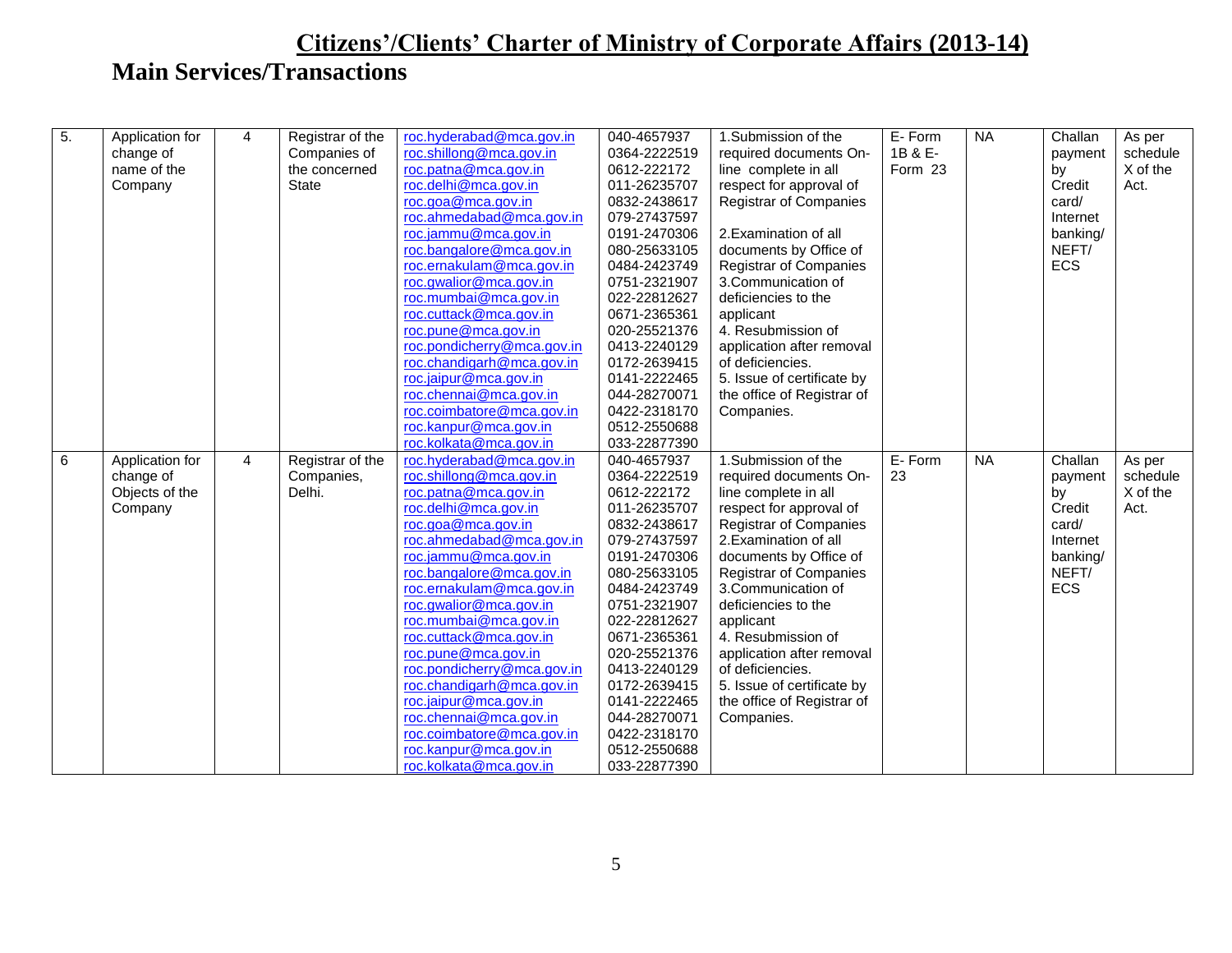| 5.<br>$\overline{4}$<br>Registrar of the<br>1.Submission of the<br>Application for<br>As per<br>roc.shillong@mca.gov.in<br>1B & E-<br>change of<br>Companies of<br>required documents On-<br>schedule<br>0364-2222519<br>payment<br>X of the<br>the concerned<br>roc.patna@mca.gov.in<br>Form 23<br>name of the<br>0612-222172<br>line complete in all<br>by<br>Company<br><b>State</b><br>roc.delhi@mca.gov.in<br>011-26235707<br>Credit<br>Act.<br>respect for approval of<br>roc.goa@mca.gov.in<br>0832-2438617<br><b>Registrar of Companies</b><br>card/<br>roc.ahmedabad@mca.gov.in<br>079-27437597<br>Internet<br>roc.jammu@mca.gov.in<br>0191-2470306<br>2. Examination of all<br>banking/<br>roc.bangalore@mca.gov.in<br>NEFT/<br>080-25633105<br>documents by Office of<br>roc.ernakulam@mca.gov.in<br>ECS<br>0484-2423749<br><b>Registrar of Companies</b><br>roc.gwalior@mca.gov.in<br>0751-2321907<br>3.Communication of<br>roc.mumbai@mca.gov.in<br>022-22812627<br>deficiencies to the<br>roc.cuttack@mca.gov.in<br>0671-2365361<br>applicant<br>roc.pune@mca.gov.in<br>020-25521376<br>4. Resubmission of<br>roc.pondicherry@mca.gov.in<br>0413-2240129<br>application after removal<br>roc.chandigarh@mca.gov.in<br>0172-2639415<br>of deficiencies.<br>roc.jaipur@mca.gov.in<br>5. Issue of certificate by<br>0141-2222465<br>roc.chennai@mca.gov.in<br>044-28270071<br>the office of Registrar of<br>roc.coimbatore@mca.gov.in<br>0422-2318170<br>Companies.<br>roc.kanpur@mca.gov.in<br>0512-2550688<br>roc.kolkata@mca.gov.in<br>033-22877390<br>040-4657937<br>1.Submission of the<br>E-Form<br><b>NA</b><br>6<br>$\overline{4}$<br>roc.hyderabad@mca.gov.in<br>Challan<br>Application for<br>Registrar of the<br>As per<br>roc.shillong@mca.gov.in<br>0364-2222519<br>23<br>change of<br>Companies,<br>required documents On-<br>schedule<br>payment<br>roc.patna@mca.gov.in<br>X of the<br>Objects of the<br>Delhi.<br>0612-222172<br>line complete in all<br>by<br>roc.delhi@mca.gov.in<br>Company<br>011-26235707<br>respect for approval of<br>Credit<br>Act.<br>roc.goa@mca.gov.in<br>0832-2438617<br><b>Registrar of Companies</b><br>card/<br>roc.ahmedabad@mca.gov.in<br>079-27437597<br>2. Examination of all<br>Internet<br>roc.jammu@mca.gov.in<br>0191-2470306<br>documents by Office of<br>banking/<br>roc.bangalore@mca.gov.in<br><b>Registrar of Companies</b><br>NEFT/<br>080-25633105<br>roc.ernakulam@mca.gov.in<br>ECS<br>3. Communication of<br>0484-2423749<br>roc.gwalior@mca.gov.in<br>0751-2321907<br>deficiencies to the<br>roc.mumbai@mca.gov.in<br>022-22812627<br>applicant<br>roc.cuttack@mca.gov.in<br>0671-2365361<br>4. Resubmission of<br>roc.pune@mca.gov.in<br>020-25521376<br>application after removal<br>roc.pondicherry@mca.gov.in<br>0413-2240129<br>of deficiencies.<br>roc.chandigarh@mca.gov.in<br>0172-2639415<br>5. Issue of certificate by<br>roc.jaipur@mca.gov.in<br>0141-2222465<br>the office of Registrar of<br>roc.chennai@mca.gov.in<br>044-28270071<br>Companies.<br>roc.coimbatore@mca.gov.in<br>0422-2318170<br>roc.kanpur@mca.gov.in<br>0512-2550688<br>033-22877390<br>roc.kolkata@mca.gov.in |  |  |                          |             |        |                |         |  |
|-------------------------------------------------------------------------------------------------------------------------------------------------------------------------------------------------------------------------------------------------------------------------------------------------------------------------------------------------------------------------------------------------------------------------------------------------------------------------------------------------------------------------------------------------------------------------------------------------------------------------------------------------------------------------------------------------------------------------------------------------------------------------------------------------------------------------------------------------------------------------------------------------------------------------------------------------------------------------------------------------------------------------------------------------------------------------------------------------------------------------------------------------------------------------------------------------------------------------------------------------------------------------------------------------------------------------------------------------------------------------------------------------------------------------------------------------------------------------------------------------------------------------------------------------------------------------------------------------------------------------------------------------------------------------------------------------------------------------------------------------------------------------------------------------------------------------------------------------------------------------------------------------------------------------------------------------------------------------------------------------------------------------------------------------------------------------------------------------------------------------------------------------------------------------------------------------------------------------------------------------------------------------------------------------------------------------------------------------------------------------------------------------------------------------------------------------------------------------------------------------------------------------------------------------------------------------------------------------------------------------------------------------------------------------------------------------------------------------------------------------------------------------------------------------------------------------------------------------------------------------------------------------------------------------------------------------------------------------------------------------------------------------------------------------------------------------------------------------------------------------------------------------------------------------------|--|--|--------------------------|-------------|--------|----------------|---------|--|
|                                                                                                                                                                                                                                                                                                                                                                                                                                                                                                                                                                                                                                                                                                                                                                                                                                                                                                                                                                                                                                                                                                                                                                                                                                                                                                                                                                                                                                                                                                                                                                                                                                                                                                                                                                                                                                                                                                                                                                                                                                                                                                                                                                                                                                                                                                                                                                                                                                                                                                                                                                                                                                                                                                                                                                                                                                                                                                                                                                                                                                                                                                                                                                               |  |  | roc.hyderabad@mca.gov.in | 040-4657937 | E-Form | N <sub>A</sub> | Challan |  |
|                                                                                                                                                                                                                                                                                                                                                                                                                                                                                                                                                                                                                                                                                                                                                                                                                                                                                                                                                                                                                                                                                                                                                                                                                                                                                                                                                                                                                                                                                                                                                                                                                                                                                                                                                                                                                                                                                                                                                                                                                                                                                                                                                                                                                                                                                                                                                                                                                                                                                                                                                                                                                                                                                                                                                                                                                                                                                                                                                                                                                                                                                                                                                                               |  |  |                          |             |        |                |         |  |
|                                                                                                                                                                                                                                                                                                                                                                                                                                                                                                                                                                                                                                                                                                                                                                                                                                                                                                                                                                                                                                                                                                                                                                                                                                                                                                                                                                                                                                                                                                                                                                                                                                                                                                                                                                                                                                                                                                                                                                                                                                                                                                                                                                                                                                                                                                                                                                                                                                                                                                                                                                                                                                                                                                                                                                                                                                                                                                                                                                                                                                                                                                                                                                               |  |  |                          |             |        |                |         |  |
|                                                                                                                                                                                                                                                                                                                                                                                                                                                                                                                                                                                                                                                                                                                                                                                                                                                                                                                                                                                                                                                                                                                                                                                                                                                                                                                                                                                                                                                                                                                                                                                                                                                                                                                                                                                                                                                                                                                                                                                                                                                                                                                                                                                                                                                                                                                                                                                                                                                                                                                                                                                                                                                                                                                                                                                                                                                                                                                                                                                                                                                                                                                                                                               |  |  |                          |             |        |                |         |  |
|                                                                                                                                                                                                                                                                                                                                                                                                                                                                                                                                                                                                                                                                                                                                                                                                                                                                                                                                                                                                                                                                                                                                                                                                                                                                                                                                                                                                                                                                                                                                                                                                                                                                                                                                                                                                                                                                                                                                                                                                                                                                                                                                                                                                                                                                                                                                                                                                                                                                                                                                                                                                                                                                                                                                                                                                                                                                                                                                                                                                                                                                                                                                                                               |  |  |                          |             |        |                |         |  |
|                                                                                                                                                                                                                                                                                                                                                                                                                                                                                                                                                                                                                                                                                                                                                                                                                                                                                                                                                                                                                                                                                                                                                                                                                                                                                                                                                                                                                                                                                                                                                                                                                                                                                                                                                                                                                                                                                                                                                                                                                                                                                                                                                                                                                                                                                                                                                                                                                                                                                                                                                                                                                                                                                                                                                                                                                                                                                                                                                                                                                                                                                                                                                                               |  |  |                          |             |        |                |         |  |
|                                                                                                                                                                                                                                                                                                                                                                                                                                                                                                                                                                                                                                                                                                                                                                                                                                                                                                                                                                                                                                                                                                                                                                                                                                                                                                                                                                                                                                                                                                                                                                                                                                                                                                                                                                                                                                                                                                                                                                                                                                                                                                                                                                                                                                                                                                                                                                                                                                                                                                                                                                                                                                                                                                                                                                                                                                                                                                                                                                                                                                                                                                                                                                               |  |  |                          |             |        |                |         |  |
|                                                                                                                                                                                                                                                                                                                                                                                                                                                                                                                                                                                                                                                                                                                                                                                                                                                                                                                                                                                                                                                                                                                                                                                                                                                                                                                                                                                                                                                                                                                                                                                                                                                                                                                                                                                                                                                                                                                                                                                                                                                                                                                                                                                                                                                                                                                                                                                                                                                                                                                                                                                                                                                                                                                                                                                                                                                                                                                                                                                                                                                                                                                                                                               |  |  |                          |             |        |                |         |  |
|                                                                                                                                                                                                                                                                                                                                                                                                                                                                                                                                                                                                                                                                                                                                                                                                                                                                                                                                                                                                                                                                                                                                                                                                                                                                                                                                                                                                                                                                                                                                                                                                                                                                                                                                                                                                                                                                                                                                                                                                                                                                                                                                                                                                                                                                                                                                                                                                                                                                                                                                                                                                                                                                                                                                                                                                                                                                                                                                                                                                                                                                                                                                                                               |  |  |                          |             |        |                |         |  |
|                                                                                                                                                                                                                                                                                                                                                                                                                                                                                                                                                                                                                                                                                                                                                                                                                                                                                                                                                                                                                                                                                                                                                                                                                                                                                                                                                                                                                                                                                                                                                                                                                                                                                                                                                                                                                                                                                                                                                                                                                                                                                                                                                                                                                                                                                                                                                                                                                                                                                                                                                                                                                                                                                                                                                                                                                                                                                                                                                                                                                                                                                                                                                                               |  |  |                          |             |        |                |         |  |
|                                                                                                                                                                                                                                                                                                                                                                                                                                                                                                                                                                                                                                                                                                                                                                                                                                                                                                                                                                                                                                                                                                                                                                                                                                                                                                                                                                                                                                                                                                                                                                                                                                                                                                                                                                                                                                                                                                                                                                                                                                                                                                                                                                                                                                                                                                                                                                                                                                                                                                                                                                                                                                                                                                                                                                                                                                                                                                                                                                                                                                                                                                                                                                               |  |  |                          |             |        |                |         |  |
|                                                                                                                                                                                                                                                                                                                                                                                                                                                                                                                                                                                                                                                                                                                                                                                                                                                                                                                                                                                                                                                                                                                                                                                                                                                                                                                                                                                                                                                                                                                                                                                                                                                                                                                                                                                                                                                                                                                                                                                                                                                                                                                                                                                                                                                                                                                                                                                                                                                                                                                                                                                                                                                                                                                                                                                                                                                                                                                                                                                                                                                                                                                                                                               |  |  |                          |             |        |                |         |  |
|                                                                                                                                                                                                                                                                                                                                                                                                                                                                                                                                                                                                                                                                                                                                                                                                                                                                                                                                                                                                                                                                                                                                                                                                                                                                                                                                                                                                                                                                                                                                                                                                                                                                                                                                                                                                                                                                                                                                                                                                                                                                                                                                                                                                                                                                                                                                                                                                                                                                                                                                                                                                                                                                                                                                                                                                                                                                                                                                                                                                                                                                                                                                                                               |  |  |                          |             |        |                |         |  |
|                                                                                                                                                                                                                                                                                                                                                                                                                                                                                                                                                                                                                                                                                                                                                                                                                                                                                                                                                                                                                                                                                                                                                                                                                                                                                                                                                                                                                                                                                                                                                                                                                                                                                                                                                                                                                                                                                                                                                                                                                                                                                                                                                                                                                                                                                                                                                                                                                                                                                                                                                                                                                                                                                                                                                                                                                                                                                                                                                                                                                                                                                                                                                                               |  |  |                          |             |        |                |         |  |
|                                                                                                                                                                                                                                                                                                                                                                                                                                                                                                                                                                                                                                                                                                                                                                                                                                                                                                                                                                                                                                                                                                                                                                                                                                                                                                                                                                                                                                                                                                                                                                                                                                                                                                                                                                                                                                                                                                                                                                                                                                                                                                                                                                                                                                                                                                                                                                                                                                                                                                                                                                                                                                                                                                                                                                                                                                                                                                                                                                                                                                                                                                                                                                               |  |  |                          |             |        |                |         |  |
|                                                                                                                                                                                                                                                                                                                                                                                                                                                                                                                                                                                                                                                                                                                                                                                                                                                                                                                                                                                                                                                                                                                                                                                                                                                                                                                                                                                                                                                                                                                                                                                                                                                                                                                                                                                                                                                                                                                                                                                                                                                                                                                                                                                                                                                                                                                                                                                                                                                                                                                                                                                                                                                                                                                                                                                                                                                                                                                                                                                                                                                                                                                                                                               |  |  |                          |             |        |                |         |  |
|                                                                                                                                                                                                                                                                                                                                                                                                                                                                                                                                                                                                                                                                                                                                                                                                                                                                                                                                                                                                                                                                                                                                                                                                                                                                                                                                                                                                                                                                                                                                                                                                                                                                                                                                                                                                                                                                                                                                                                                                                                                                                                                                                                                                                                                                                                                                                                                                                                                                                                                                                                                                                                                                                                                                                                                                                                                                                                                                                                                                                                                                                                                                                                               |  |  |                          |             |        |                |         |  |
|                                                                                                                                                                                                                                                                                                                                                                                                                                                                                                                                                                                                                                                                                                                                                                                                                                                                                                                                                                                                                                                                                                                                                                                                                                                                                                                                                                                                                                                                                                                                                                                                                                                                                                                                                                                                                                                                                                                                                                                                                                                                                                                                                                                                                                                                                                                                                                                                                                                                                                                                                                                                                                                                                                                                                                                                                                                                                                                                                                                                                                                                                                                                                                               |  |  |                          |             |        |                |         |  |
|                                                                                                                                                                                                                                                                                                                                                                                                                                                                                                                                                                                                                                                                                                                                                                                                                                                                                                                                                                                                                                                                                                                                                                                                                                                                                                                                                                                                                                                                                                                                                                                                                                                                                                                                                                                                                                                                                                                                                                                                                                                                                                                                                                                                                                                                                                                                                                                                                                                                                                                                                                                                                                                                                                                                                                                                                                                                                                                                                                                                                                                                                                                                                                               |  |  |                          |             |        |                |         |  |
|                                                                                                                                                                                                                                                                                                                                                                                                                                                                                                                                                                                                                                                                                                                                                                                                                                                                                                                                                                                                                                                                                                                                                                                                                                                                                                                                                                                                                                                                                                                                                                                                                                                                                                                                                                                                                                                                                                                                                                                                                                                                                                                                                                                                                                                                                                                                                                                                                                                                                                                                                                                                                                                                                                                                                                                                                                                                                                                                                                                                                                                                                                                                                                               |  |  |                          |             |        |                |         |  |
|                                                                                                                                                                                                                                                                                                                                                                                                                                                                                                                                                                                                                                                                                                                                                                                                                                                                                                                                                                                                                                                                                                                                                                                                                                                                                                                                                                                                                                                                                                                                                                                                                                                                                                                                                                                                                                                                                                                                                                                                                                                                                                                                                                                                                                                                                                                                                                                                                                                                                                                                                                                                                                                                                                                                                                                                                                                                                                                                                                                                                                                                                                                                                                               |  |  |                          |             |        |                |         |  |
|                                                                                                                                                                                                                                                                                                                                                                                                                                                                                                                                                                                                                                                                                                                                                                                                                                                                                                                                                                                                                                                                                                                                                                                                                                                                                                                                                                                                                                                                                                                                                                                                                                                                                                                                                                                                                                                                                                                                                                                                                                                                                                                                                                                                                                                                                                                                                                                                                                                                                                                                                                                                                                                                                                                                                                                                                                                                                                                                                                                                                                                                                                                                                                               |  |  |                          |             |        |                |         |  |
|                                                                                                                                                                                                                                                                                                                                                                                                                                                                                                                                                                                                                                                                                                                                                                                                                                                                                                                                                                                                                                                                                                                                                                                                                                                                                                                                                                                                                                                                                                                                                                                                                                                                                                                                                                                                                                                                                                                                                                                                                                                                                                                                                                                                                                                                                                                                                                                                                                                                                                                                                                                                                                                                                                                                                                                                                                                                                                                                                                                                                                                                                                                                                                               |  |  |                          |             |        |                |         |  |
|                                                                                                                                                                                                                                                                                                                                                                                                                                                                                                                                                                                                                                                                                                                                                                                                                                                                                                                                                                                                                                                                                                                                                                                                                                                                                                                                                                                                                                                                                                                                                                                                                                                                                                                                                                                                                                                                                                                                                                                                                                                                                                                                                                                                                                                                                                                                                                                                                                                                                                                                                                                                                                                                                                                                                                                                                                                                                                                                                                                                                                                                                                                                                                               |  |  |                          |             |        |                |         |  |
|                                                                                                                                                                                                                                                                                                                                                                                                                                                                                                                                                                                                                                                                                                                                                                                                                                                                                                                                                                                                                                                                                                                                                                                                                                                                                                                                                                                                                                                                                                                                                                                                                                                                                                                                                                                                                                                                                                                                                                                                                                                                                                                                                                                                                                                                                                                                                                                                                                                                                                                                                                                                                                                                                                                                                                                                                                                                                                                                                                                                                                                                                                                                                                               |  |  |                          |             |        |                |         |  |
|                                                                                                                                                                                                                                                                                                                                                                                                                                                                                                                                                                                                                                                                                                                                                                                                                                                                                                                                                                                                                                                                                                                                                                                                                                                                                                                                                                                                                                                                                                                                                                                                                                                                                                                                                                                                                                                                                                                                                                                                                                                                                                                                                                                                                                                                                                                                                                                                                                                                                                                                                                                                                                                                                                                                                                                                                                                                                                                                                                                                                                                                                                                                                                               |  |  |                          |             |        |                |         |  |
|                                                                                                                                                                                                                                                                                                                                                                                                                                                                                                                                                                                                                                                                                                                                                                                                                                                                                                                                                                                                                                                                                                                                                                                                                                                                                                                                                                                                                                                                                                                                                                                                                                                                                                                                                                                                                                                                                                                                                                                                                                                                                                                                                                                                                                                                                                                                                                                                                                                                                                                                                                                                                                                                                                                                                                                                                                                                                                                                                                                                                                                                                                                                                                               |  |  |                          |             |        |                |         |  |
|                                                                                                                                                                                                                                                                                                                                                                                                                                                                                                                                                                                                                                                                                                                                                                                                                                                                                                                                                                                                                                                                                                                                                                                                                                                                                                                                                                                                                                                                                                                                                                                                                                                                                                                                                                                                                                                                                                                                                                                                                                                                                                                                                                                                                                                                                                                                                                                                                                                                                                                                                                                                                                                                                                                                                                                                                                                                                                                                                                                                                                                                                                                                                                               |  |  |                          |             |        |                |         |  |
|                                                                                                                                                                                                                                                                                                                                                                                                                                                                                                                                                                                                                                                                                                                                                                                                                                                                                                                                                                                                                                                                                                                                                                                                                                                                                                                                                                                                                                                                                                                                                                                                                                                                                                                                                                                                                                                                                                                                                                                                                                                                                                                                                                                                                                                                                                                                                                                                                                                                                                                                                                                                                                                                                                                                                                                                                                                                                                                                                                                                                                                                                                                                                                               |  |  |                          |             |        |                |         |  |
|                                                                                                                                                                                                                                                                                                                                                                                                                                                                                                                                                                                                                                                                                                                                                                                                                                                                                                                                                                                                                                                                                                                                                                                                                                                                                                                                                                                                                                                                                                                                                                                                                                                                                                                                                                                                                                                                                                                                                                                                                                                                                                                                                                                                                                                                                                                                                                                                                                                                                                                                                                                                                                                                                                                                                                                                                                                                                                                                                                                                                                                                                                                                                                               |  |  |                          |             |        |                |         |  |
|                                                                                                                                                                                                                                                                                                                                                                                                                                                                                                                                                                                                                                                                                                                                                                                                                                                                                                                                                                                                                                                                                                                                                                                                                                                                                                                                                                                                                                                                                                                                                                                                                                                                                                                                                                                                                                                                                                                                                                                                                                                                                                                                                                                                                                                                                                                                                                                                                                                                                                                                                                                                                                                                                                                                                                                                                                                                                                                                                                                                                                                                                                                                                                               |  |  |                          |             |        |                |         |  |
|                                                                                                                                                                                                                                                                                                                                                                                                                                                                                                                                                                                                                                                                                                                                                                                                                                                                                                                                                                                                                                                                                                                                                                                                                                                                                                                                                                                                                                                                                                                                                                                                                                                                                                                                                                                                                                                                                                                                                                                                                                                                                                                                                                                                                                                                                                                                                                                                                                                                                                                                                                                                                                                                                                                                                                                                                                                                                                                                                                                                                                                                                                                                                                               |  |  |                          |             |        |                |         |  |
|                                                                                                                                                                                                                                                                                                                                                                                                                                                                                                                                                                                                                                                                                                                                                                                                                                                                                                                                                                                                                                                                                                                                                                                                                                                                                                                                                                                                                                                                                                                                                                                                                                                                                                                                                                                                                                                                                                                                                                                                                                                                                                                                                                                                                                                                                                                                                                                                                                                                                                                                                                                                                                                                                                                                                                                                                                                                                                                                                                                                                                                                                                                                                                               |  |  |                          |             |        |                |         |  |
|                                                                                                                                                                                                                                                                                                                                                                                                                                                                                                                                                                                                                                                                                                                                                                                                                                                                                                                                                                                                                                                                                                                                                                                                                                                                                                                                                                                                                                                                                                                                                                                                                                                                                                                                                                                                                                                                                                                                                                                                                                                                                                                                                                                                                                                                                                                                                                                                                                                                                                                                                                                                                                                                                                                                                                                                                                                                                                                                                                                                                                                                                                                                                                               |  |  |                          |             |        |                |         |  |
|                                                                                                                                                                                                                                                                                                                                                                                                                                                                                                                                                                                                                                                                                                                                                                                                                                                                                                                                                                                                                                                                                                                                                                                                                                                                                                                                                                                                                                                                                                                                                                                                                                                                                                                                                                                                                                                                                                                                                                                                                                                                                                                                                                                                                                                                                                                                                                                                                                                                                                                                                                                                                                                                                                                                                                                                                                                                                                                                                                                                                                                                                                                                                                               |  |  |                          |             |        |                |         |  |
|                                                                                                                                                                                                                                                                                                                                                                                                                                                                                                                                                                                                                                                                                                                                                                                                                                                                                                                                                                                                                                                                                                                                                                                                                                                                                                                                                                                                                                                                                                                                                                                                                                                                                                                                                                                                                                                                                                                                                                                                                                                                                                                                                                                                                                                                                                                                                                                                                                                                                                                                                                                                                                                                                                                                                                                                                                                                                                                                                                                                                                                                                                                                                                               |  |  |                          |             |        |                |         |  |
|                                                                                                                                                                                                                                                                                                                                                                                                                                                                                                                                                                                                                                                                                                                                                                                                                                                                                                                                                                                                                                                                                                                                                                                                                                                                                                                                                                                                                                                                                                                                                                                                                                                                                                                                                                                                                                                                                                                                                                                                                                                                                                                                                                                                                                                                                                                                                                                                                                                                                                                                                                                                                                                                                                                                                                                                                                                                                                                                                                                                                                                                                                                                                                               |  |  |                          |             |        |                |         |  |
|                                                                                                                                                                                                                                                                                                                                                                                                                                                                                                                                                                                                                                                                                                                                                                                                                                                                                                                                                                                                                                                                                                                                                                                                                                                                                                                                                                                                                                                                                                                                                                                                                                                                                                                                                                                                                                                                                                                                                                                                                                                                                                                                                                                                                                                                                                                                                                                                                                                                                                                                                                                                                                                                                                                                                                                                                                                                                                                                                                                                                                                                                                                                                                               |  |  |                          |             |        |                |         |  |
|                                                                                                                                                                                                                                                                                                                                                                                                                                                                                                                                                                                                                                                                                                                                                                                                                                                                                                                                                                                                                                                                                                                                                                                                                                                                                                                                                                                                                                                                                                                                                                                                                                                                                                                                                                                                                                                                                                                                                                                                                                                                                                                                                                                                                                                                                                                                                                                                                                                                                                                                                                                                                                                                                                                                                                                                                                                                                                                                                                                                                                                                                                                                                                               |  |  |                          |             |        |                |         |  |
|                                                                                                                                                                                                                                                                                                                                                                                                                                                                                                                                                                                                                                                                                                                                                                                                                                                                                                                                                                                                                                                                                                                                                                                                                                                                                                                                                                                                                                                                                                                                                                                                                                                                                                                                                                                                                                                                                                                                                                                                                                                                                                                                                                                                                                                                                                                                                                                                                                                                                                                                                                                                                                                                                                                                                                                                                                                                                                                                                                                                                                                                                                                                                                               |  |  |                          |             |        |                |         |  |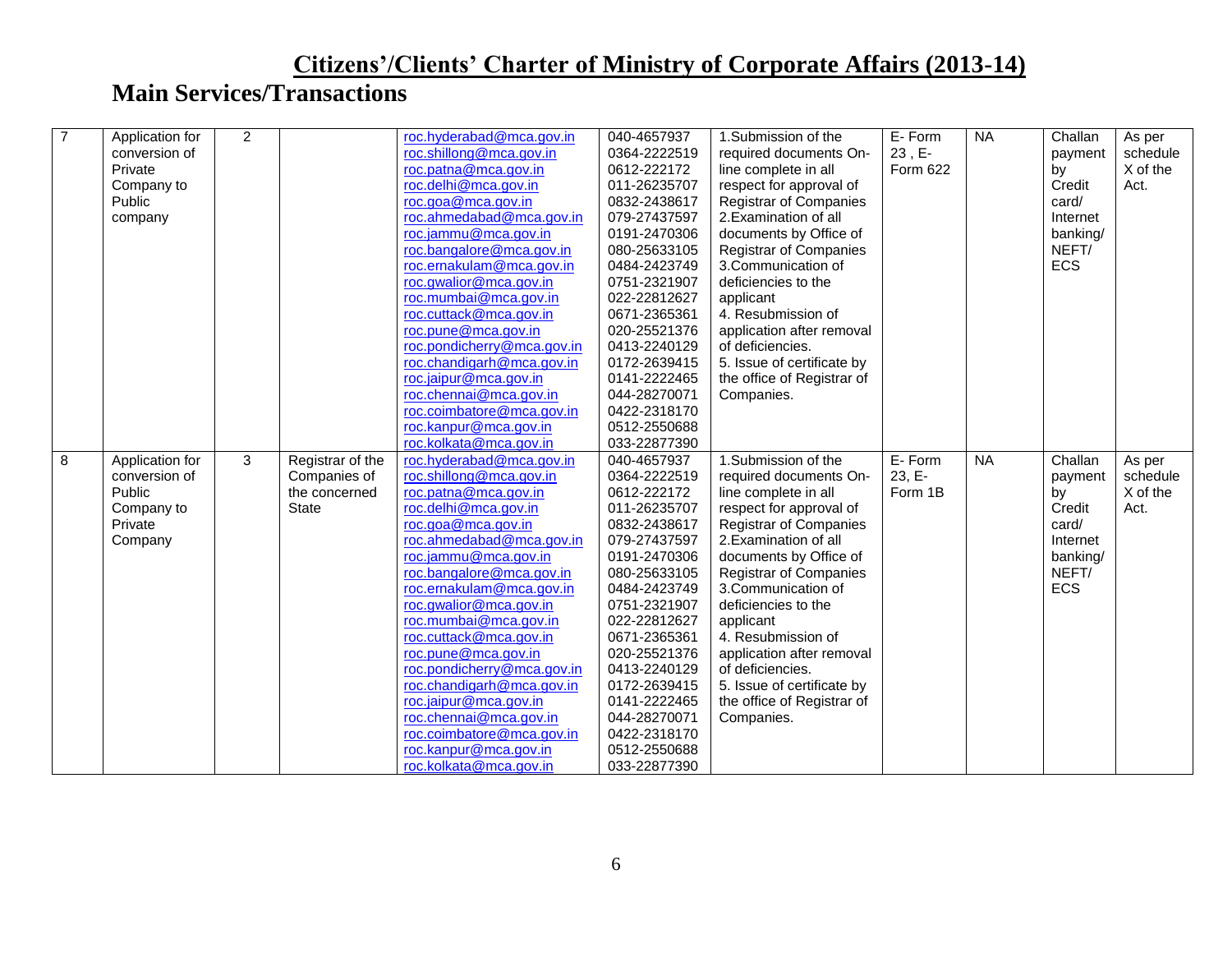| $\overline{7}$ | Application for | $\overline{2}$ |                  | roc.hyderabad@mca.gov.in                        | 040-4657937                  | 1.Submission of the                       | E-Form   | <b>NA</b> | Challan  | As per   |
|----------------|-----------------|----------------|------------------|-------------------------------------------------|------------------------------|-------------------------------------------|----------|-----------|----------|----------|
|                | conversion of   |                |                  | roc.shillong@mca.gov.in                         | 0364-2222519                 | required documents On-                    | 23, E-   |           | payment  | schedule |
|                | Private         |                |                  | roc.patna@mca.gov.in                            | 0612-222172                  | line complete in all                      | Form 622 |           | by       | X of the |
|                | Company to      |                |                  | roc.delhi@mca.gov.in                            | 011-26235707                 | respect for approval of                   |          |           | Credit   | Act.     |
|                | Public          |                |                  | roc.goa@mca.gov.in                              | 0832-2438617                 | <b>Registrar of Companies</b>             |          |           | card/    |          |
|                | company         |                |                  | roc.ahmedabad@mca.gov.in                        | 079-27437597                 | 2. Examination of all                     |          |           | Internet |          |
|                |                 |                |                  | roc.jammu@mca.gov.in                            | 0191-2470306                 | documents by Office of                    |          |           | banking/ |          |
|                |                 |                |                  | roc.bangalore@mca.gov.in                        | 080-25633105                 | <b>Registrar of Companies</b>             |          |           | NEFT/    |          |
|                |                 |                |                  | roc.ernakulam@mca.gov.in                        | 0484-2423749                 | 3.Communication of                        |          |           | ECS      |          |
|                |                 |                |                  | roc.gwalior@mca.gov.in                          | 0751-2321907                 | deficiencies to the                       |          |           |          |          |
|                |                 |                |                  | roc.mumbai@mca.gov.in                           | 022-22812627                 |                                           |          |           |          |          |
|                |                 |                |                  |                                                 |                              | applicant                                 |          |           |          |          |
|                |                 |                |                  | roc.cuttack@mca.gov.in                          | 0671-2365361                 | 4. Resubmission of                        |          |           |          |          |
|                |                 |                |                  | roc.pune@mca.gov.in                             | 020-25521376                 | application after removal                 |          |           |          |          |
|                |                 |                |                  | roc.pondicherry@mca.gov.in                      | 0413-2240129                 | of deficiencies.                          |          |           |          |          |
|                |                 |                |                  | roc.chandigarh@mca.gov.in                       | 0172-2639415                 | 5. Issue of certificate by                |          |           |          |          |
|                |                 |                |                  | roc.jaipur@mca.gov.in                           | 0141-2222465                 | the office of Registrar of                |          |           |          |          |
|                |                 |                |                  | roc.chennai@mca.gov.in                          | 044-28270071                 | Companies.                                |          |           |          |          |
|                |                 |                |                  | roc.coimbatore@mca.gov.in                       | 0422-2318170                 |                                           |          |           |          |          |
|                |                 |                |                  | roc.kanpur@mca.gov.in                           | 0512-2550688                 |                                           |          |           |          |          |
|                |                 |                |                  | roc.kolkata@mca.gov.in                          | 033-22877390                 |                                           |          |           |          |          |
|                |                 |                |                  |                                                 |                              |                                           |          |           |          |          |
| 8              | Application for | 3              | Registrar of the | roc.hyderabad@mca.gov.in                        | 040-4657937                  | 1.Submission of the                       | E-Form   | <b>NA</b> | Challan  | As per   |
|                | conversion of   |                | Companies of     | roc.shillong@mca.gov.in                         | 0364-2222519                 | required documents On-                    | 23, E-   |           | payment  | schedule |
|                | Public          |                | the concerned    | roc.patna@mca.gov.in                            | 0612-222172                  | line complete in all                      | Form 1B  |           | by       | X of the |
|                | Company to      |                | State            | roc.delhi@mca.gov.in                            | 011-26235707                 | respect for approval of                   |          |           | Credit   | Act.     |
|                | Private         |                |                  | roc.goa@mca.gov.in                              | 0832-2438617                 | <b>Registrar of Companies</b>             |          |           | card/    |          |
|                |                 |                |                  | roc.ahmedabad@mca.gov.in                        | 079-27437597                 | 2. Examination of all                     |          |           | Internet |          |
|                | Company         |                |                  | roc.jammu@mca.gov.in                            | 0191-2470306                 | documents by Office of                    |          |           | banking/ |          |
|                |                 |                |                  |                                                 |                              |                                           |          |           | NEFT/    |          |
|                |                 |                |                  | roc.bangalore@mca.gov.in                        | 080-25633105<br>0484-2423749 | <b>Registrar of Companies</b>             |          |           |          |          |
|                |                 |                |                  | roc.ernakulam@mca.gov.in                        |                              | 3.Communication of<br>deficiencies to the |          |           | ECS      |          |
|                |                 |                |                  | roc.gwalior@mca.gov.in                          | 0751-2321907                 |                                           |          |           |          |          |
|                |                 |                |                  | roc.mumbai@mca.gov.in                           | 022-22812627                 | applicant                                 |          |           |          |          |
|                |                 |                |                  | roc.cuttack@mca.gov.in                          | 0671-2365361                 | 4. Resubmission of                        |          |           |          |          |
|                |                 |                |                  | roc.pune@mca.gov.in                             | 020-25521376                 | application after removal                 |          |           |          |          |
|                |                 |                |                  | roc.pondicherry@mca.gov.in                      | 0413-2240129                 | of deficiencies.                          |          |           |          |          |
|                |                 |                |                  | roc.chandigarh@mca.gov.in                       | 0172-2639415                 | 5. Issue of certificate by                |          |           |          |          |
|                |                 |                |                  | roc.jaipur@mca.gov.in                           | 0141-2222465                 | the office of Registrar of                |          |           |          |          |
|                |                 |                |                  | roc.chennai@mca.gov.in                          | 044-28270071                 | Companies.                                |          |           |          |          |
|                |                 |                |                  | roc.coimbatore@mca.gov.in                       | 0422-2318170                 |                                           |          |           |          |          |
|                |                 |                |                  | roc.kanpur@mca.gov.in<br>roc.kolkata@mca.gov.in | 0512-2550688<br>033-22877390 |                                           |          |           |          |          |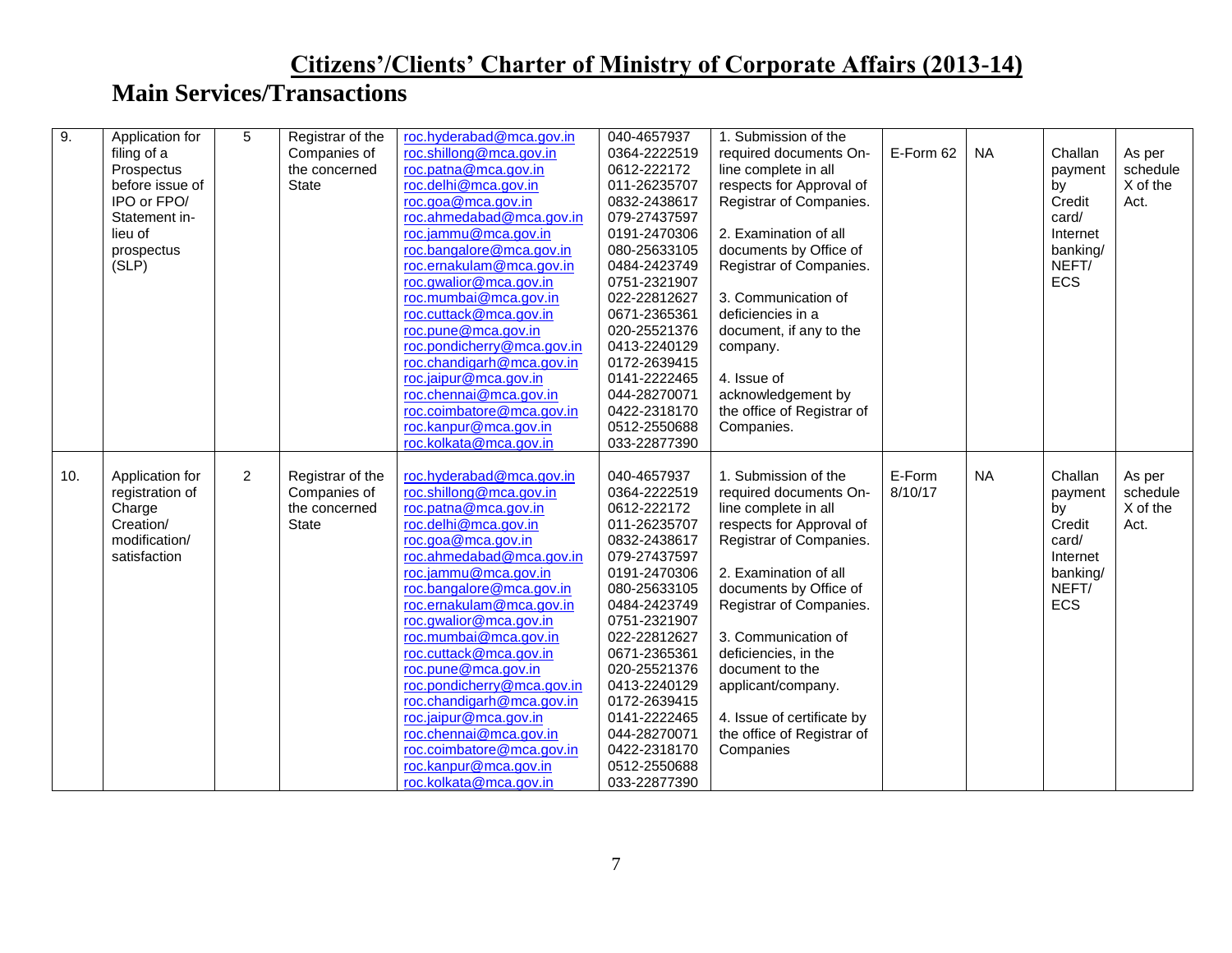| 9.  | Application for | 5              | Registrar of the | roc.hyderabad@mca.gov.in                           | 040-4657937                  | 1. Submission of the       |           |           |            |          |
|-----|-----------------|----------------|------------------|----------------------------------------------------|------------------------------|----------------------------|-----------|-----------|------------|----------|
|     | filing of a     |                | Companies of     | roc.shillong@mca.gov.in                            | 0364-2222519                 | required documents On-     | E-Form 62 | <b>NA</b> | Challan    | As per   |
|     | Prospectus      |                | the concerned    | roc.patna@mca.gov.in                               | 0612-222172                  | line complete in all       |           |           | payment    | schedule |
|     | before issue of |                | <b>State</b>     | roc.delhi@mca.gov.in                               | 011-26235707                 | respects for Approval of   |           |           | by         | X of the |
|     | IPO or FPO/     |                |                  | roc.goa@mca.gov.in                                 | 0832-2438617                 | Registrar of Companies.    |           |           | Credit     | Act.     |
|     | Statement in-   |                |                  | roc.ahmedabad@mca.gov.in                           | 079-27437597                 |                            |           |           | card/      |          |
|     | lieu of         |                |                  | roc.jammu@mca.gov.in                               | 0191-2470306                 | 2. Examination of all      |           |           | Internet   |          |
|     | prospectus      |                |                  | roc.bangalore@mca.gov.in                           | 080-25633105                 | documents by Office of     |           |           | banking/   |          |
|     | (SLP)           |                |                  | roc.ernakulam@mca.gov.in                           | 0484-2423749                 | Registrar of Companies.    |           |           | NEFT/      |          |
|     |                 |                |                  | roc.gwalior@mca.gov.in                             | 0751-2321907                 |                            |           |           | <b>ECS</b> |          |
|     |                 |                |                  | roc.mumbai@mca.gov.in                              | 022-22812627                 | 3. Communication of        |           |           |            |          |
|     |                 |                |                  | roc.cuttack@mca.gov.in                             | 0671-2365361                 | deficiencies in a          |           |           |            |          |
|     |                 |                |                  | roc.pune@mca.gov.in                                | 020-25521376                 | document, if any to the    |           |           |            |          |
|     |                 |                |                  | roc.pondicherry@mca.gov.in                         | 0413-2240129                 | company.                   |           |           |            |          |
|     |                 |                |                  | roc.chandigarh@mca.gov.in                          | 0172-2639415                 |                            |           |           |            |          |
|     |                 |                |                  | roc.jaipur@mca.gov.in                              | 0141-2222465                 | 4. Issue of                |           |           |            |          |
|     |                 |                |                  | roc.chennai@mca.gov.in                             | 044-28270071                 | acknowledgement by         |           |           |            |          |
|     |                 |                |                  |                                                    | 0422-2318170                 |                            |           |           |            |          |
|     |                 |                |                  | roc.coimbatore@mca.gov.in<br>roc.kanpur@mca.gov.in | 0512-2550688                 | the office of Registrar of |           |           |            |          |
|     |                 |                |                  | roc.kolkata@mca.gov.in                             |                              | Companies.                 |           |           |            |          |
|     |                 |                |                  |                                                    | 033-22877390                 |                            |           |           |            |          |
|     |                 |                |                  |                                                    |                              |                            |           |           |            |          |
|     |                 |                |                  |                                                    |                              |                            |           |           |            |          |
| 10. | Application for | $\overline{2}$ | Registrar of the | roc.hyderabad@mca.gov.in                           | 040-4657937                  | 1. Submission of the       | E-Form    | <b>NA</b> | Challan    | As per   |
|     | registration of |                | Companies of     | roc.shillong@mca.gov.in                            | 0364-2222519                 | required documents On-     | 8/10/17   |           | payment    | schedule |
|     | Charge          |                | the concerned    | roc.patna@mca.gov.in                               | 0612-222172                  | line complete in all       |           |           | by         | X of the |
|     | Creation/       |                | <b>State</b>     | roc.delhi@mca.gov.in                               | 011-26235707                 | respects for Approval of   |           |           | Credit     | Act.     |
|     | modification/   |                |                  | roc.goa@mca.gov.in                                 | 0832-2438617                 | Registrar of Companies.    |           |           | card/      |          |
|     | satisfaction    |                |                  | roc.ahmedabad@mca.gov.in                           | 079-27437597                 |                            |           |           | Internet   |          |
|     |                 |                |                  | roc.jammu@mca.gov.in                               | 0191-2470306                 | 2. Examination of all      |           |           | banking/   |          |
|     |                 |                |                  | roc.bangalore@mca.gov.in                           | 080-25633105                 | documents by Office of     |           |           | NEFT/      |          |
|     |                 |                |                  | roc.ernakulam@mca.gov.in                           | 0484-2423749                 | Registrar of Companies.    |           |           | <b>ECS</b> |          |
|     |                 |                |                  | roc.gwalior@mca.gov.in                             | 0751-2321907                 |                            |           |           |            |          |
|     |                 |                |                  | roc.mumbai@mca.gov.in                              | 022-22812627                 | 3. Communication of        |           |           |            |          |
|     |                 |                |                  | roc.cuttack@mca.gov.in                             | 0671-2365361                 | deficiencies, in the       |           |           |            |          |
|     |                 |                |                  | roc.pune@mca.gov.in                                | 020-25521376                 | document to the            |           |           |            |          |
|     |                 |                |                  | roc.pondicherry@mca.gov.in                         | 0413-2240129                 | applicant/company.         |           |           |            |          |
|     |                 |                |                  | roc.chandigarh@mca.gov.in                          | 0172-2639415                 |                            |           |           |            |          |
|     |                 |                |                  | roc.jaipur@mca.gov.in                              | 0141-2222465                 | 4. Issue of certificate by |           |           |            |          |
|     |                 |                |                  | roc.chennai@mca.gov.in                             | 044-28270071                 | the office of Registrar of |           |           |            |          |
|     |                 |                |                  | roc.coimbatore@mca.gov.in                          | 0422-2318170                 | Companies                  |           |           |            |          |
|     |                 |                |                  | roc.kanpur@mca.gov.in<br>roc.kolkata@mca.gov.in    | 0512-2550688<br>033-22877390 |                            |           |           |            |          |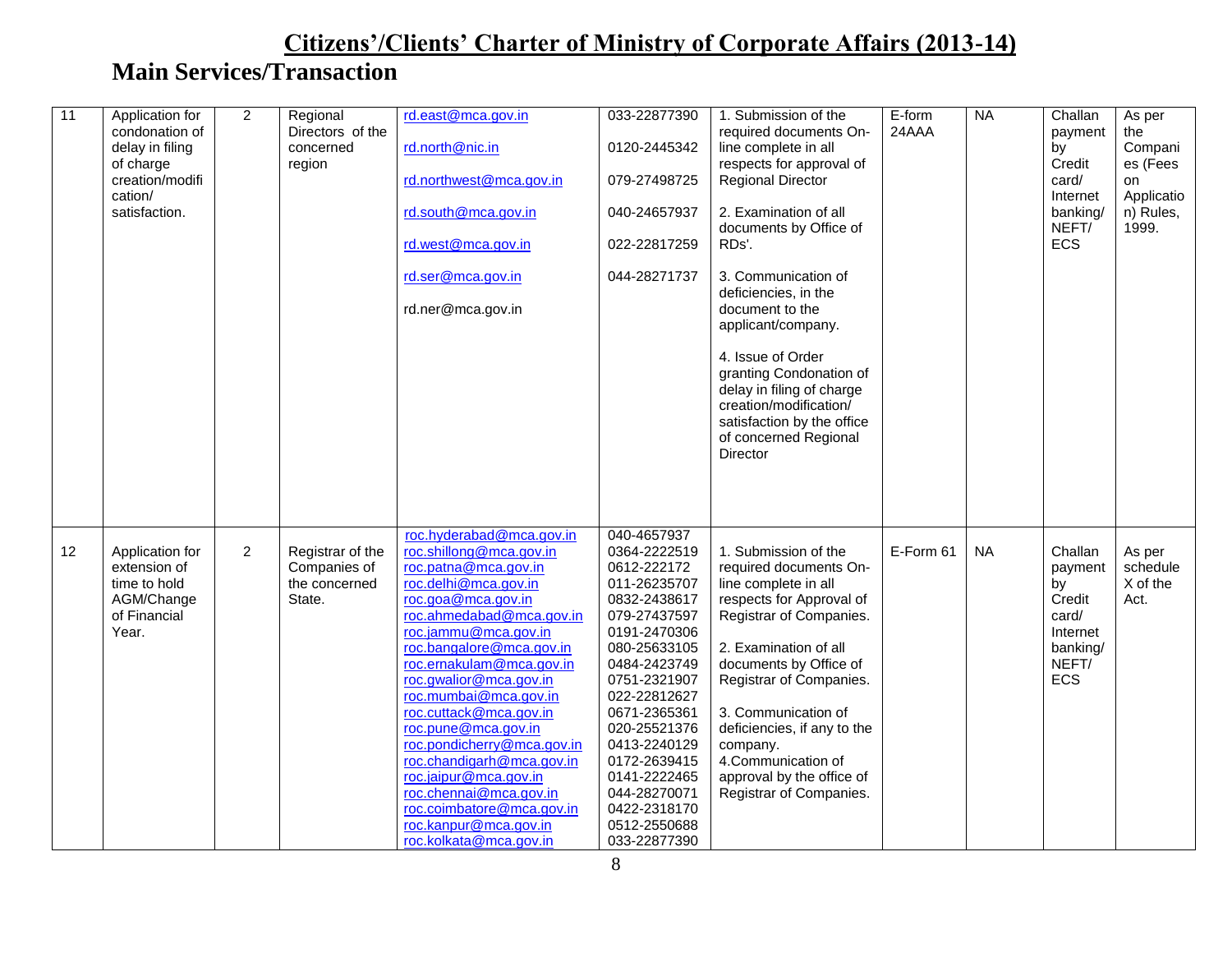| 11 | Application for<br>condonation of<br>delay in filing<br>of charge<br>creation/modifi<br>cation/<br>satisfaction. | $\overline{2}$ | Regional<br>Directors of the<br>concerned<br>region         | rd.east@mca.gov.in<br>rd.north@nic.in<br>rd.northwest@mca.gov.in<br>rd.south@mca.gov.in<br>rd.west@mca.gov.in<br>rd.ser@mca.gov.in<br>rd.ner@mca.gov.in                                                                                                                                                                                                                                                                                                                                                                                 | 033-22877390<br>0120-2445342<br>079-27498725<br>040-24657937<br>022-22817259<br>044-28271737                                                                                                                                                                                                                               | 1. Submission of the<br>required documents On-<br>line complete in all<br>respects for approval of<br><b>Regional Director</b><br>2. Examination of all<br>documents by Office of<br>RDs'.<br>3. Communication of<br>deficiencies, in the<br>document to the<br>applicant/company.<br>4. Issue of Order<br>granting Condonation of<br>delay in filing of charge<br>creation/modification/<br>satisfaction by the office<br>of concerned Regional<br>Director | E-form<br>24AAA | N <sub>A</sub> | Challan<br>payment<br>bv<br>Credit<br>card/<br>Internet<br>banking/<br>NEFT/<br><b>ECS</b> | As per<br>the<br>Compani<br>es (Fees<br>on<br>Applicatio<br>n) Rules,<br>1999. |
|----|------------------------------------------------------------------------------------------------------------------|----------------|-------------------------------------------------------------|-----------------------------------------------------------------------------------------------------------------------------------------------------------------------------------------------------------------------------------------------------------------------------------------------------------------------------------------------------------------------------------------------------------------------------------------------------------------------------------------------------------------------------------------|----------------------------------------------------------------------------------------------------------------------------------------------------------------------------------------------------------------------------------------------------------------------------------------------------------------------------|--------------------------------------------------------------------------------------------------------------------------------------------------------------------------------------------------------------------------------------------------------------------------------------------------------------------------------------------------------------------------------------------------------------------------------------------------------------|-----------------|----------------|--------------------------------------------------------------------------------------------|--------------------------------------------------------------------------------|
| 12 | Application for<br>extension of<br>time to hold<br>AGM/Change<br>of Financial<br>Year.                           | $\overline{c}$ | Registrar of the<br>Companies of<br>the concerned<br>State. | roc.hyderabad@mca.gov.in<br>roc.shillong@mca.gov.in<br>roc.patna@mca.gov.in<br>roc.delhi@mca.gov.in<br>roc.goa@mca.gov.in<br>roc.ahmedabad@mca.gov.in<br>roc.jammu@mca.gov.in<br>roc.bangalore@mca.gov.in<br>roc.ernakulam@mca.gov.in<br>roc.gwalior@mca.gov.in<br>roc.mumbai@mca.gov.in<br>roc.cuttack@mca.gov.in<br>roc.pune@mca.gov.in<br>roc.pondicherry@mca.gov.in<br>roc.chandigarh@mca.gov.in<br>roc.jaipur@mca.gov.in<br>roc.chennai@mca.gov.in<br>roc.coimbatore@mca.gov.in<br>roc.kanpur@mca.gov.in<br>roc.kolkata@mca.gov.in | 040-4657937<br>0364-2222519<br>0612-222172<br>011-26235707<br>0832-2438617<br>079-27437597<br>0191-2470306<br>080-25633105<br>0484-2423749<br>0751-2321907<br>022-22812627<br>0671-2365361<br>020-25521376<br>0413-2240129<br>0172-2639415<br>0141-2222465<br>044-28270071<br>0422-2318170<br>0512-2550688<br>033-22877390 | 1. Submission of the<br>required documents On-<br>line complete in all<br>respects for Approval of<br>Registrar of Companies.<br>2. Examination of all<br>documents by Office of<br>Registrar of Companies.<br>3. Communication of<br>deficiencies, if any to the<br>company.<br>4.Communication of<br>approval by the office of<br>Registrar of Companies.                                                                                                  | E-Form 61       | <b>NA</b>      | Challan<br>payment<br>by<br>Credit<br>card/<br>Internet<br>banking/<br>NEFT/<br>ECS        | As per<br>schedule<br>X of the<br>Act.                                         |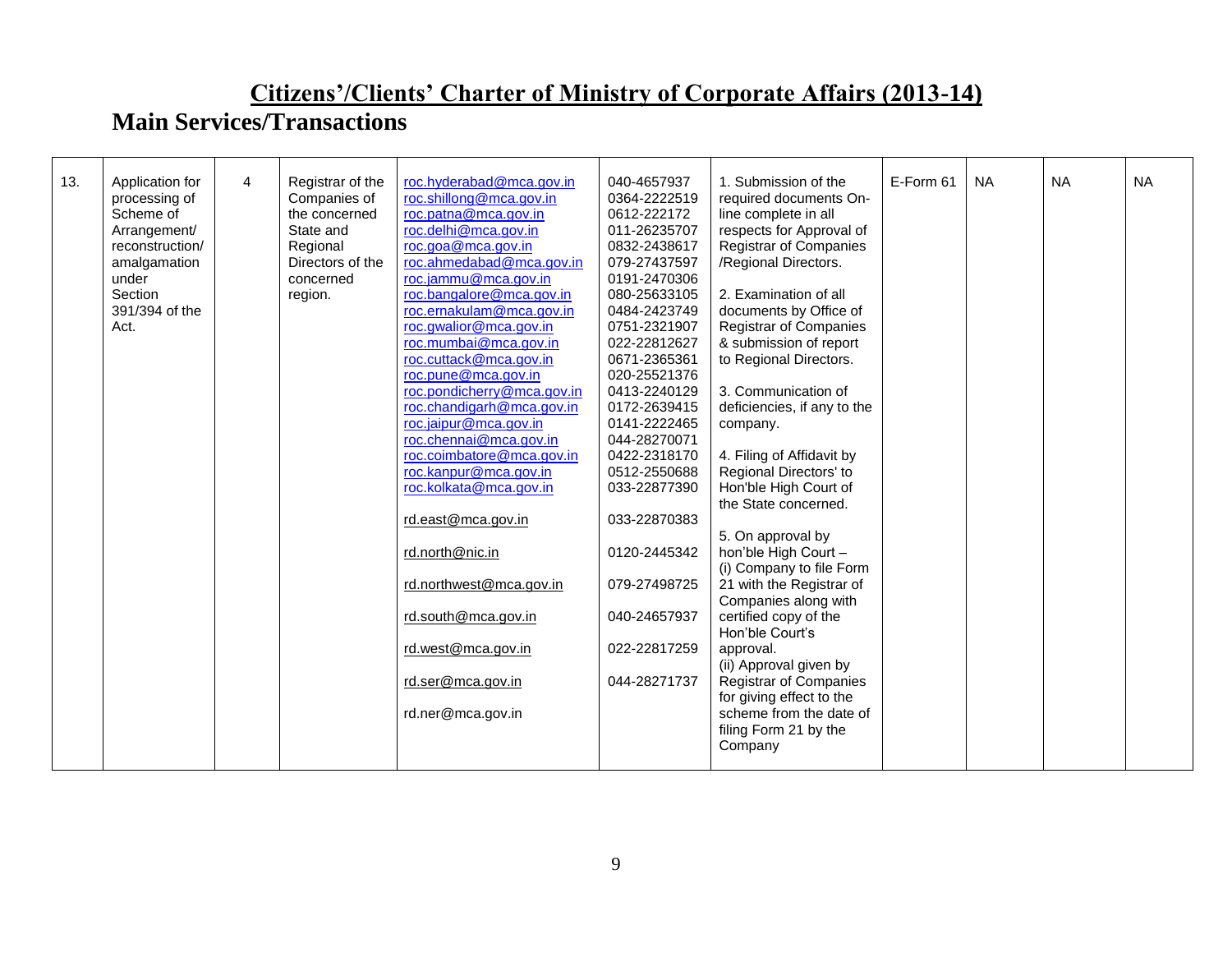| 13. | Application for | $\overline{4}$ | Registrar of the | roc.hyderabad@mca.gov.in   | 040-4657937  | 1. Submission of the          | E-Form 61 | <b>NA</b> | <b>NA</b> | <b>NA</b> |
|-----|-----------------|----------------|------------------|----------------------------|--------------|-------------------------------|-----------|-----------|-----------|-----------|
|     | processing of   |                | Companies of     | roc.shillong@mca.gov.in    | 0364-2222519 | required documents On-        |           |           |           |           |
|     | Scheme of       |                | the concerned    | roc.patna@mca.gov.in       | 0612-222172  | line complete in all          |           |           |           |           |
|     | Arrangement/    |                | State and        | roc.delhi@mca.gov.in       | 011-26235707 | respects for Approval of      |           |           |           |           |
|     | reconstruction/ |                | Regional         | roc.goa@mca.gov.in         | 0832-2438617 | <b>Registrar of Companies</b> |           |           |           |           |
|     | amalgamation    |                | Directors of the | roc.ahmedabad@mca.gov.in   | 079-27437597 | /Regional Directors.          |           |           |           |           |
|     | under           |                | concerned        | roc.jammu@mca.gov.in       | 0191-2470306 |                               |           |           |           |           |
|     | Section         |                | region.          | roc.bangalore@mca.gov.in   | 080-25633105 | 2. Examination of all         |           |           |           |           |
|     | 391/394 of the  |                |                  | roc.ernakulam@mca.gov.in   | 0484-2423749 | documents by Office of        |           |           |           |           |
|     | Act.            |                |                  | roc.gwalior@mca.gov.in     | 0751-2321907 | <b>Registrar of Companies</b> |           |           |           |           |
|     |                 |                |                  | roc.mumbai@mca.gov.in      | 022-22812627 | & submission of report        |           |           |           |           |
|     |                 |                |                  | roc.cuttack@mca.gov.in     | 0671-2365361 | to Regional Directors.        |           |           |           |           |
|     |                 |                |                  | roc.pune@mca.gov.in        | 020-25521376 |                               |           |           |           |           |
|     |                 |                |                  | roc.pondicherry@mca.gov.in | 0413-2240129 | 3. Communication of           |           |           |           |           |
|     |                 |                |                  | roc.chandigarh@mca.gov.in  | 0172-2639415 | deficiencies, if any to the   |           |           |           |           |
|     |                 |                |                  | roc.jaipur@mca.gov.in      | 0141-2222465 | company.                      |           |           |           |           |
|     |                 |                |                  | roc.chennai@mca.gov.in     | 044-28270071 |                               |           |           |           |           |
|     |                 |                |                  | roc.coimbatore@mca.gov.in  | 0422-2318170 | 4. Filing of Affidavit by     |           |           |           |           |
|     |                 |                |                  | roc.kanpur@mca.gov.in      | 0512-2550688 | Regional Directors' to        |           |           |           |           |
|     |                 |                |                  | roc.kolkata@mca.gov.in     | 033-22877390 | Hon'ble High Court of         |           |           |           |           |
|     |                 |                |                  |                            |              | the State concerned.          |           |           |           |           |
|     |                 |                |                  | rd.east@mca.gov.in         | 033-22870383 |                               |           |           |           |           |
|     |                 |                |                  |                            |              | 5. On approval by             |           |           |           |           |
|     |                 |                |                  | rd.north@nic.in            | 0120-2445342 | hon'ble High Court -          |           |           |           |           |
|     |                 |                |                  |                            |              | (i) Company to file Form      |           |           |           |           |
|     |                 |                |                  | rd.northwest@mca.gov.in    | 079-27498725 | 21 with the Registrar of      |           |           |           |           |
|     |                 |                |                  |                            |              | Companies along with          |           |           |           |           |
|     |                 |                |                  | rd.south@mca.gov.in        | 040-24657937 | certified copy of the         |           |           |           |           |
|     |                 |                |                  |                            |              | Hon'ble Court's               |           |           |           |           |
|     |                 |                |                  | rd.west@mca.gov.in         | 022-22817259 | approval.                     |           |           |           |           |
|     |                 |                |                  |                            |              | (ii) Approval given by        |           |           |           |           |
|     |                 |                |                  | rd.ser@mca.gov.in          | 044-28271737 | <b>Registrar of Companies</b> |           |           |           |           |
|     |                 |                |                  |                            |              | for giving effect to the      |           |           |           |           |
|     |                 |                |                  | rd.ner@mca.gov.in          |              | scheme from the date of       |           |           |           |           |
|     |                 |                |                  |                            |              | filing Form 21 by the         |           |           |           |           |
|     |                 |                |                  |                            |              | Company                       |           |           |           |           |
|     |                 |                |                  |                            |              |                               |           |           |           |           |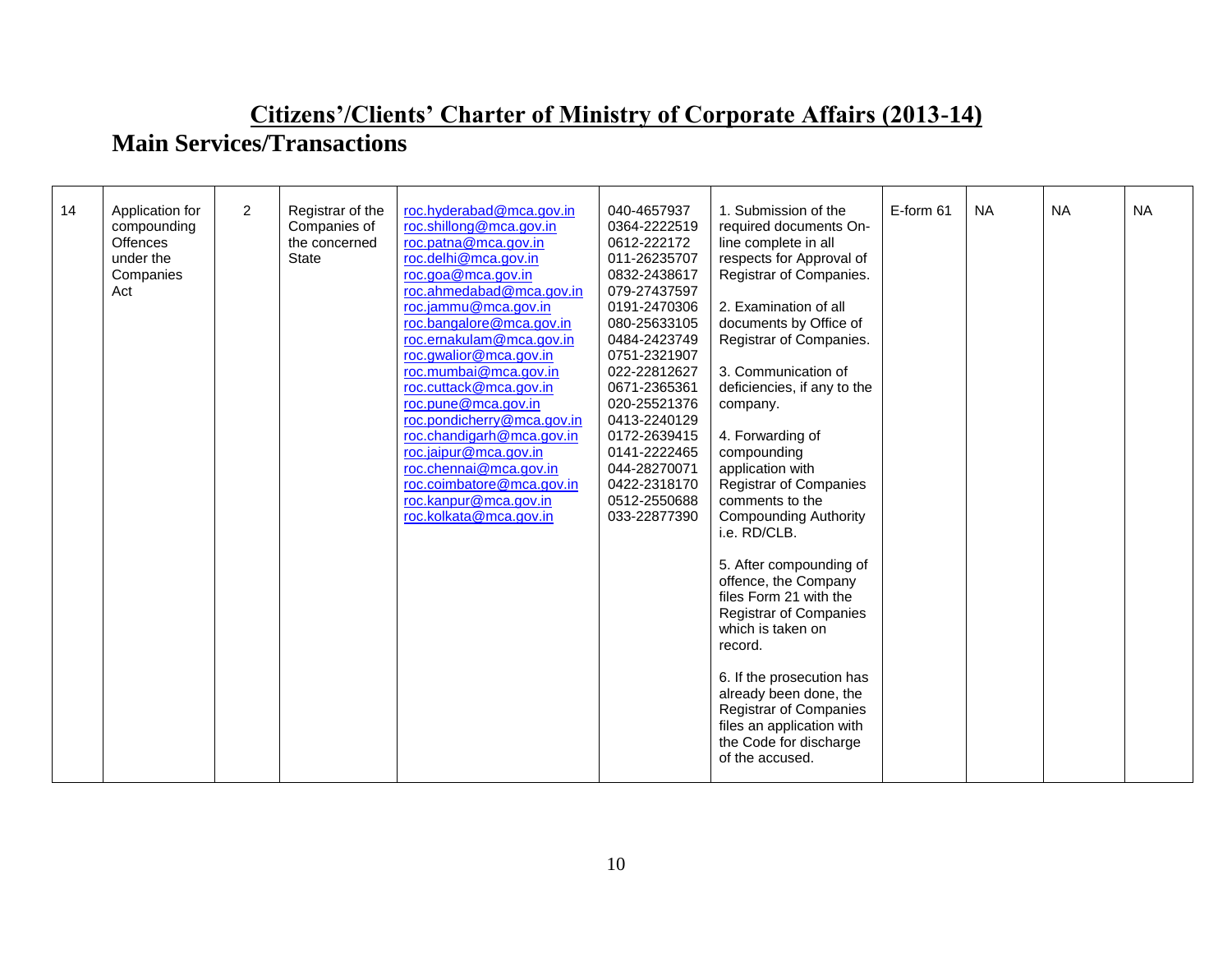| 14 | Application for<br>compounding<br><b>Offences</b><br>under the<br>Companies<br>Act | $\overline{2}$ | Registrar of the<br>Companies of<br>the concerned<br><b>State</b> | roc.hyderabad@mca.gov.in<br>roc.shillong@mca.gov.in<br>roc.patna@mca.gov.in<br>roc.delhi@mca.gov.in<br>roc.goa@mca.gov.in<br>roc.ahmedabad@mca.gov.in<br>roc.jammu@mca.gov.in<br>roc.bangalore@mca.gov.in<br>roc.ernakulam@mca.gov.in<br>roc.qwalior@mca.qov.in<br>roc.mumbai@mca.gov.in<br>roc.cuttack@mca.gov.in<br>roc.pune@mca.gov.in<br>roc.pondicherry@mca.gov.in<br>roc.chandigarh@mca.gov.in<br>roc.jaipur@mca.gov.in<br>roc.chennai@mca.gov.in<br>roc.coimbatore@mca.gov.in<br>roc.kanpur@mca.gov.in<br>roc.kolkata@mca.gov.in | 040-4657937<br>0364-2222519<br>0612-222172<br>011-26235707<br>0832-2438617<br>079-27437597<br>0191-2470306<br>080-25633105<br>0484-2423749<br>0751-2321907<br>022-22812627<br>0671-2365361<br>020-25521376<br>0413-2240129<br>0172-2639415<br>0141-2222465<br>044-28270071<br>0422-2318170<br>0512-2550688<br>033-22877390 | 1. Submission of the<br>required documents On-<br>line complete in all<br>respects for Approval of<br>Registrar of Companies.<br>2. Examination of all<br>documents by Office of<br>Registrar of Companies.<br>3. Communication of<br>deficiencies, if any to the<br>company.<br>4. Forwarding of<br>compounding<br>application with<br><b>Registrar of Companies</b><br>comments to the<br><b>Compounding Authority</b><br>i.e. RD/CLB.<br>5. After compounding of<br>offence, the Company<br>files Form 21 with the<br><b>Registrar of Companies</b><br>which is taken on<br>record.<br>6. If the prosecution has<br>already been done, the<br><b>Registrar of Companies</b><br>files an application with<br>the Code for discharge<br>of the accused. | E-form 61 | <b>NA</b> | <b>NA</b> | <b>NA</b> |
|----|------------------------------------------------------------------------------------|----------------|-------------------------------------------------------------------|-----------------------------------------------------------------------------------------------------------------------------------------------------------------------------------------------------------------------------------------------------------------------------------------------------------------------------------------------------------------------------------------------------------------------------------------------------------------------------------------------------------------------------------------|----------------------------------------------------------------------------------------------------------------------------------------------------------------------------------------------------------------------------------------------------------------------------------------------------------------------------|----------------------------------------------------------------------------------------------------------------------------------------------------------------------------------------------------------------------------------------------------------------------------------------------------------------------------------------------------------------------------------------------------------------------------------------------------------------------------------------------------------------------------------------------------------------------------------------------------------------------------------------------------------------------------------------------------------------------------------------------------------|-----------|-----------|-----------|-----------|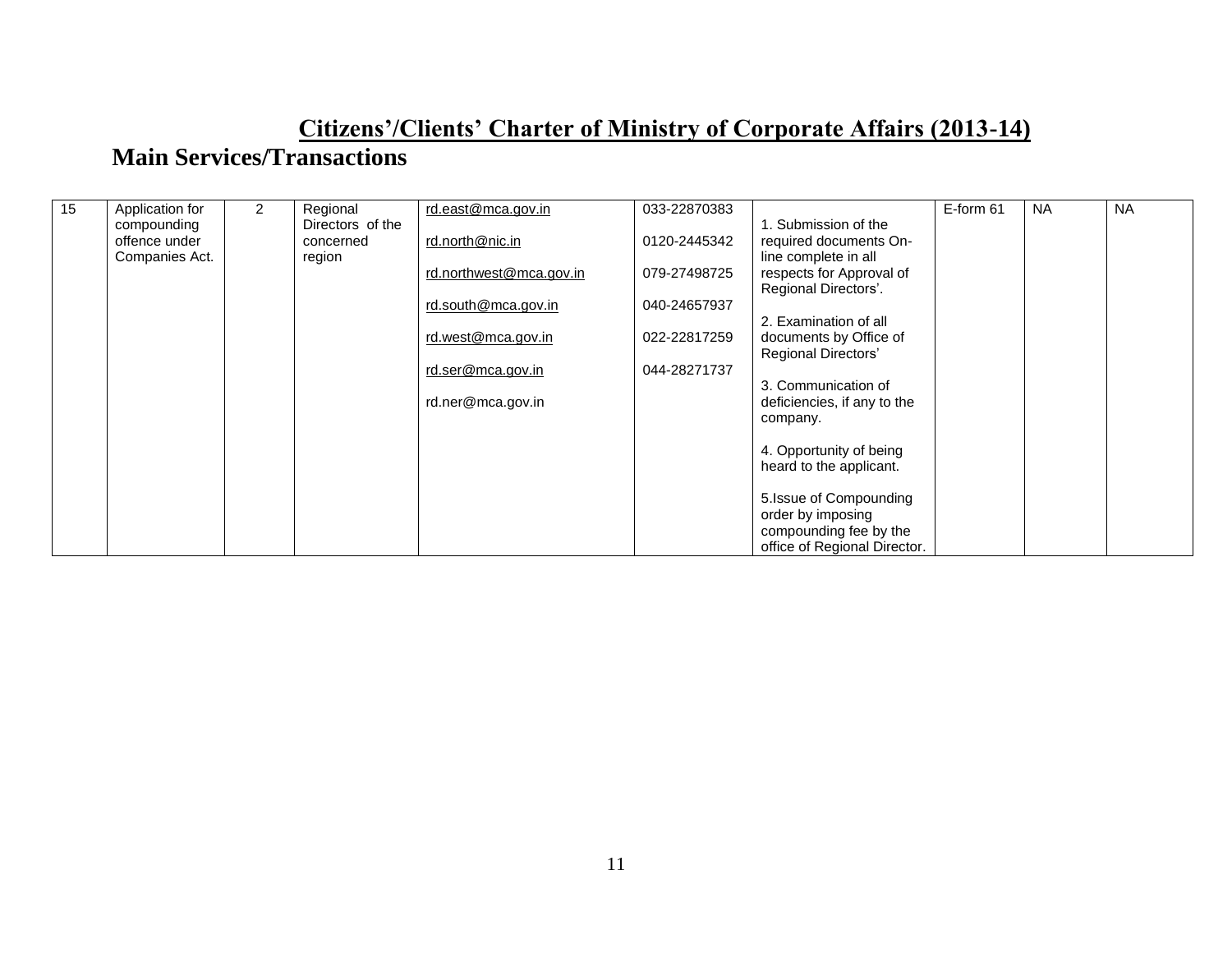| 15 | Application for | $\overline{2}$ | Regional         | rd.east@mca.gov.in      | 033-22870383 |                              | E-form 61 | <b>NA</b> | <b>NA</b> |
|----|-----------------|----------------|------------------|-------------------------|--------------|------------------------------|-----------|-----------|-----------|
|    | compounding     |                | Directors of the |                         |              | 1. Submission of the         |           |           |           |
|    | offence under   |                | concerned        | rd.north@nic.in         | 0120-2445342 | required documents On-       |           |           |           |
|    | Companies Act.  |                | region           |                         |              | line complete in all         |           |           |           |
|    |                 |                |                  | rd.northwest@mca.gov.in | 079-27498725 | respects for Approval of     |           |           |           |
|    |                 |                |                  |                         |              | Regional Directors'.         |           |           |           |
|    |                 |                |                  | rd.south@mca.gov.in     | 040-24657937 |                              |           |           |           |
|    |                 |                |                  |                         |              | 2. Examination of all        |           |           |           |
|    |                 |                |                  | rd.west@mca.gov.in      | 022-22817259 | documents by Office of       |           |           |           |
|    |                 |                |                  | rd.ser@mca.gov.in       | 044-28271737 | Regional Directors'          |           |           |           |
|    |                 |                |                  |                         |              | 3. Communication of          |           |           |           |
|    |                 |                |                  | rd.ner@mca.gov.in       |              | deficiencies, if any to the  |           |           |           |
|    |                 |                |                  |                         |              | company.                     |           |           |           |
|    |                 |                |                  |                         |              |                              |           |           |           |
|    |                 |                |                  |                         |              | 4. Opportunity of being      |           |           |           |
|    |                 |                |                  |                         |              | heard to the applicant.      |           |           |           |
|    |                 |                |                  |                         |              |                              |           |           |           |
|    |                 |                |                  |                         |              | 5. Issue of Compounding      |           |           |           |
|    |                 |                |                  |                         |              | order by imposing            |           |           |           |
|    |                 |                |                  |                         |              | compounding fee by the       |           |           |           |
|    |                 |                |                  |                         |              | office of Regional Director. |           |           |           |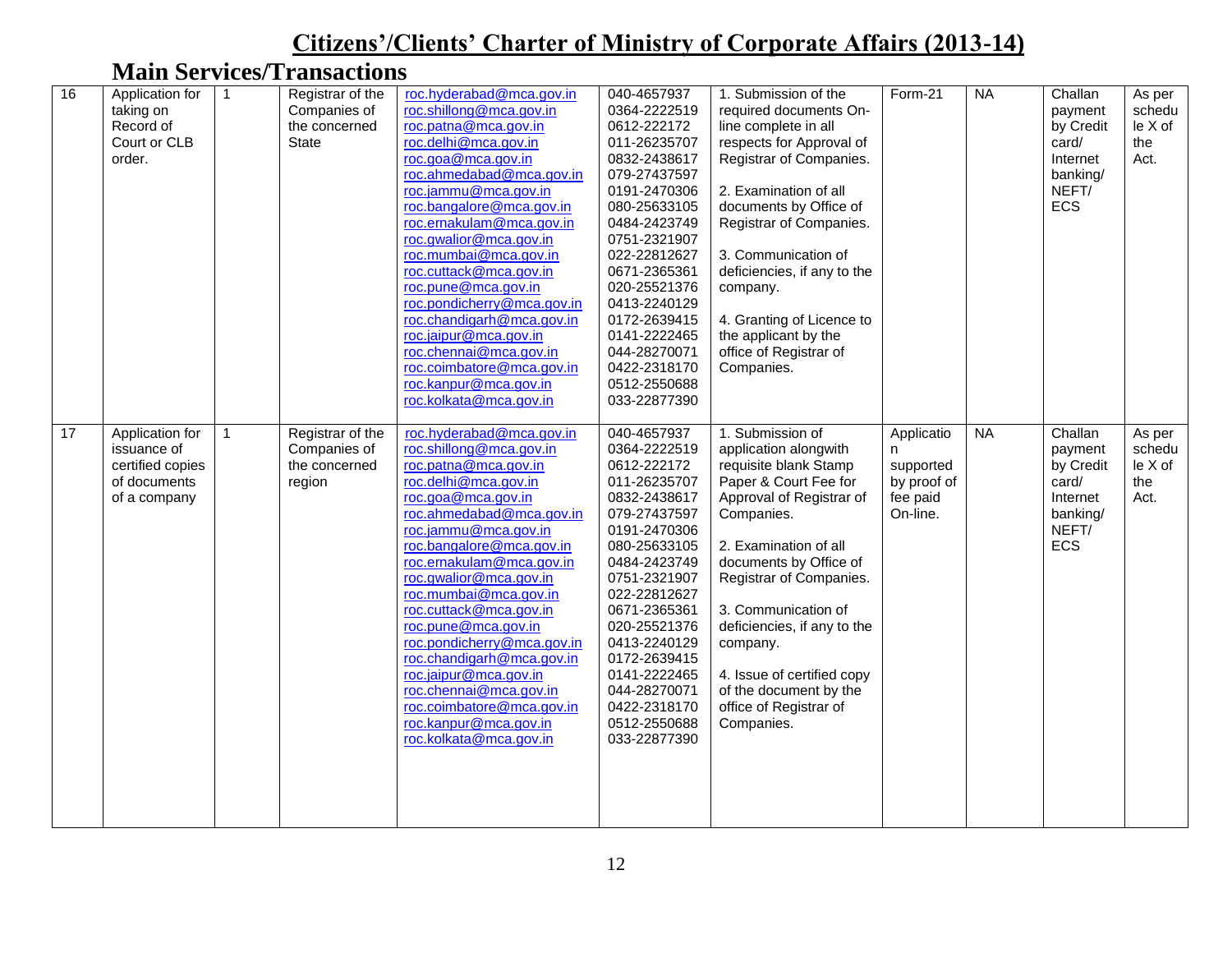| 16 | Application for<br>taking on<br>Record of<br>Court or CLB<br>order.                | $\overline{1}$ | Registrar of the<br>Companies of<br>the concerned<br><b>State</b> | roc.hyderabad@mca.gov.in<br>roc.shillong@mca.gov.in<br>roc.patna@mca.gov.in<br>roc.delhi@mca.gov.in<br>roc.goa@mca.gov.in<br>roc.ahmedabad@mca.gov.in<br>roc.jammu@mca.gov.in<br>roc.bangalore@mca.gov.in<br>roc.ernakulam@mca.gov.in<br>roc.gwalior@mca.gov.in<br>roc.mumbai@mca.gov.in<br>roc.cuttack@mca.gov.in<br>roc.pune@mca.gov.in<br>roc.pondicherry@mca.gov.in<br>roc.chandigarh@mca.gov.in<br>roc.jaipur@mca.gov.in<br>roc.chennai@mca.gov.in<br>roc.coimbatore@mca.gov.in<br>roc.kanpur@mca.gov.in<br>roc.kolkata@mca.gov.in | 040-4657937<br>0364-2222519<br>0612-222172<br>011-26235707<br>0832-2438617<br>079-27437597<br>0191-2470306<br>080-25633105<br>0484-2423749<br>0751-2321907<br>022-22812627<br>0671-2365361<br>020-25521376<br>0413-2240129<br>0172-2639415<br>0141-2222465<br>044-28270071<br>0422-2318170<br>0512-2550688<br>033-22877390 | 1. Submission of the<br>required documents On-<br>line complete in all<br>respects for Approval of<br>Registrar of Companies.<br>2. Examination of all<br>documents by Office of<br>Registrar of Companies.<br>3. Communication of<br>deficiencies, if any to the<br>company.<br>4. Granting of Licence to<br>the applicant by the<br>office of Registrar of<br>Companies.            | Form-21                                                        | <b>NA</b> | Challan<br>payment<br>by Credit<br>card/<br>Internet<br>banking/<br>NEFT/<br>ECS | As per<br>schedu<br>le X of<br>the<br>Act. |
|----|------------------------------------------------------------------------------------|----------------|-------------------------------------------------------------------|-----------------------------------------------------------------------------------------------------------------------------------------------------------------------------------------------------------------------------------------------------------------------------------------------------------------------------------------------------------------------------------------------------------------------------------------------------------------------------------------------------------------------------------------|----------------------------------------------------------------------------------------------------------------------------------------------------------------------------------------------------------------------------------------------------------------------------------------------------------------------------|---------------------------------------------------------------------------------------------------------------------------------------------------------------------------------------------------------------------------------------------------------------------------------------------------------------------------------------------------------------------------------------|----------------------------------------------------------------|-----------|----------------------------------------------------------------------------------|--------------------------------------------|
| 17 | Application for<br>issuance of<br>certified copies<br>of documents<br>of a company | $\mathbf{1}$   | Registrar of the<br>Companies of<br>the concerned<br>region       | roc.hyderabad@mca.gov.in<br>roc.shillong@mca.gov.in<br>roc.patna@mca.gov.in<br>roc.delhi@mca.gov.in<br>roc.goa@mca.gov.in<br>roc.ahmedabad@mca.gov.in<br>roc.jammu@mca.gov.in<br>roc.bangalore@mca.gov.in<br>roc.ernakulam@mca.gov.in<br>roc.gwalior@mca.gov.in<br>roc.mumbai@mca.gov.in<br>roc.cuttack@mca.gov.in<br>roc.pune@mca.gov.in<br>roc.pondicherry@mca.gov.in<br>roc.chandigarh@mca.gov.in<br>roc.jaipur@mca.gov.in<br>roc.chennai@mca.gov.in<br>roc.coimbatore@mca.gov.in<br>roc.kanpur@mca.gov.in<br>roc.kolkata@mca.gov.in | 040-4657937<br>0364-2222519<br>0612-222172<br>011-26235707<br>0832-2438617<br>079-27437597<br>0191-2470306<br>080-25633105<br>0484-2423749<br>0751-2321907<br>022-22812627<br>0671-2365361<br>020-25521376<br>0413-2240129<br>0172-2639415<br>0141-2222465<br>044-28270071<br>0422-2318170<br>0512-2550688<br>033-22877390 | 1. Submission of<br>application alongwith<br>requisite blank Stamp<br>Paper & Court Fee for<br>Approval of Registrar of<br>Companies.<br>2. Examination of all<br>documents by Office of<br>Registrar of Companies.<br>3. Communication of<br>deficiencies, if any to the<br>company.<br>4. Issue of certified copy<br>of the document by the<br>office of Registrar of<br>Companies. | Applicatio<br>supported<br>by proof of<br>fee paid<br>On-line. | <b>NA</b> | Challan<br>payment<br>by Credit<br>card/<br>Internet<br>banking/<br>NEFT/<br>ECS | As per<br>schedu<br>le X of<br>the<br>Act. |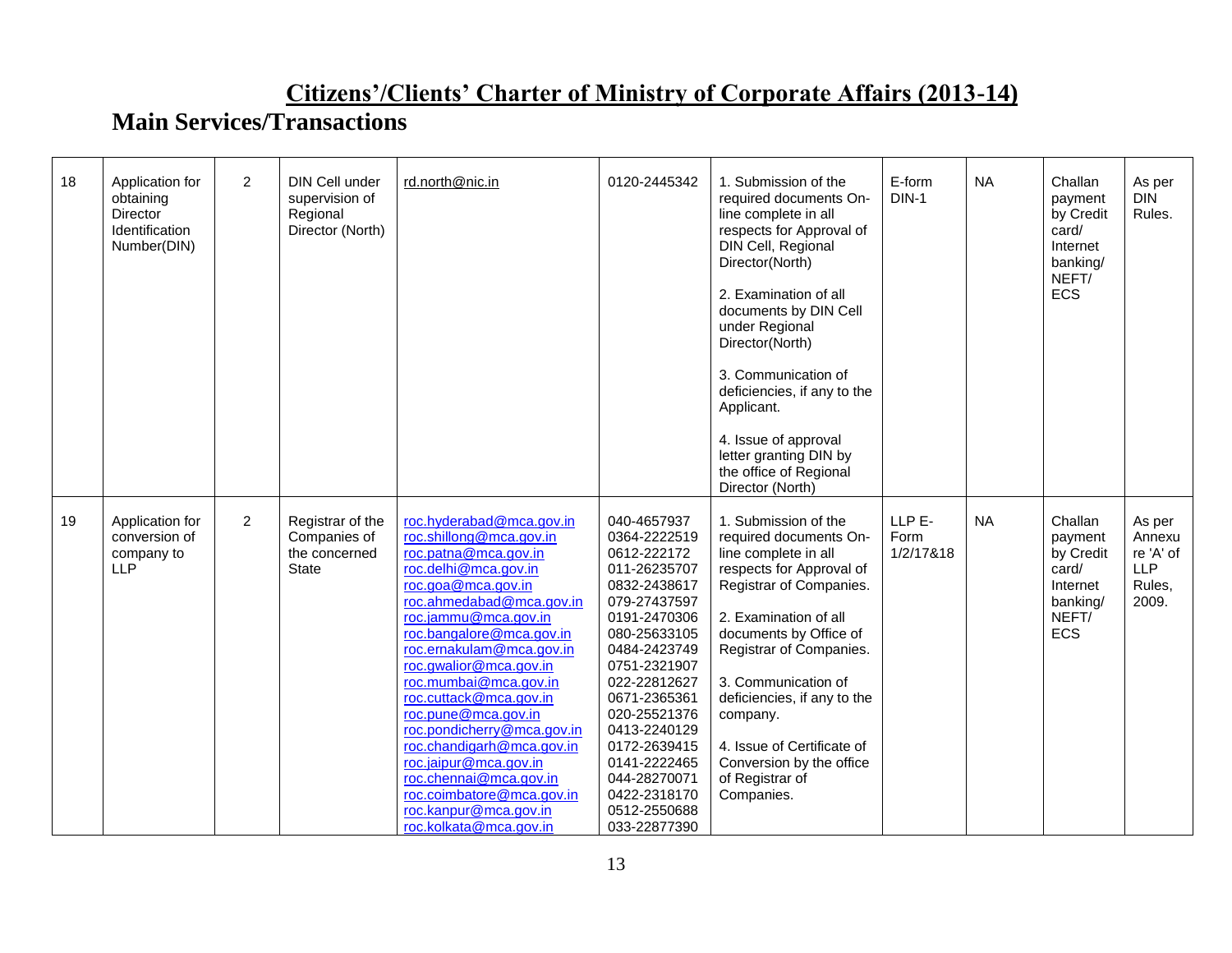| 18 | Application for<br>obtaining<br>Director<br>Identification<br>Number(DIN) | $\overline{2}$ | DIN Cell under<br>supervision of<br>Regional<br>Director (North)  | rd.north@nic.in                                                                                                                                                                                                                                                                                                                                                                                                                                                                                                                         | 0120-2445342                                                                                                                                                                                                                                                                                                               | 1. Submission of the<br>required documents On-<br>line complete in all<br>respects for Approval of<br>DIN Cell, Regional<br>Director(North)<br>2. Examination of all<br>documents by DIN Cell<br>under Regional<br>Director(North)<br>3. Communication of<br>deficiencies, if any to the<br>Applicant.<br>4. Issue of approval<br>letter granting DIN by<br>the office of Regional<br>Director (North) | E-form<br>$DIN-1$           | <b>NA</b> | Challan<br>payment<br>by Credit<br>card/<br>Internet<br>banking/<br>NEFT/<br>ECS        | As per<br><b>DIN</b><br>Rules.                                 |
|----|---------------------------------------------------------------------------|----------------|-------------------------------------------------------------------|-----------------------------------------------------------------------------------------------------------------------------------------------------------------------------------------------------------------------------------------------------------------------------------------------------------------------------------------------------------------------------------------------------------------------------------------------------------------------------------------------------------------------------------------|----------------------------------------------------------------------------------------------------------------------------------------------------------------------------------------------------------------------------------------------------------------------------------------------------------------------------|--------------------------------------------------------------------------------------------------------------------------------------------------------------------------------------------------------------------------------------------------------------------------------------------------------------------------------------------------------------------------------------------------------|-----------------------------|-----------|-----------------------------------------------------------------------------------------|----------------------------------------------------------------|
| 19 | Application for<br>conversion of<br>company to<br><b>LLP</b>              | $\overline{2}$ | Registrar of the<br>Companies of<br>the concerned<br><b>State</b> | roc.hyderabad@mca.gov.in<br>roc.shillong@mca.gov.in<br>roc.patna@mca.gov.in<br>roc.delhi@mca.gov.in<br>roc.goa@mca.gov.in<br>roc.ahmedabad@mca.gov.in<br>roc.jammu@mca.gov.in<br>roc.bangalore@mca.gov.in<br>roc.ernakulam@mca.gov.in<br>roc.gwalior@mca.gov.in<br>roc.mumbai@mca.gov.in<br>roc.cuttack@mca.gov.in<br>roc.pune@mca.gov.in<br>roc.pondicherry@mca.gov.in<br>roc.chandigarh@mca.gov.in<br>roc.jaipur@mca.gov.in<br>roc.chennai@mca.gov.in<br>roc.coimbatore@mca.gov.in<br>roc.kanpur@mca.gov.in<br>roc.kolkata@mca.gov.in | 040-4657937<br>0364-2222519<br>0612-222172<br>011-26235707<br>0832-2438617<br>079-27437597<br>0191-2470306<br>080-25633105<br>0484-2423749<br>0751-2321907<br>022-22812627<br>0671-2365361<br>020-25521376<br>0413-2240129<br>0172-2639415<br>0141-2222465<br>044-28270071<br>0422-2318170<br>0512-2550688<br>033-22877390 | 1. Submission of the<br>required documents On-<br>line complete in all<br>respects for Approval of<br>Registrar of Companies.<br>2. Examination of all<br>documents by Office of<br>Registrar of Companies.<br>3. Communication of<br>deficiencies, if any to the<br>company.<br>4. Issue of Certificate of<br>Conversion by the office<br>of Registrar of<br>Companies.                               | LLP E-<br>Form<br>1/2/17&18 | <b>NA</b> | Challan<br>payment<br>by Credit<br>card/<br>Internet<br>banking/<br>NEFT/<br><b>ECS</b> | As per<br>Annexu<br>re 'A' of<br><b>LLP</b><br>Rules,<br>2009. |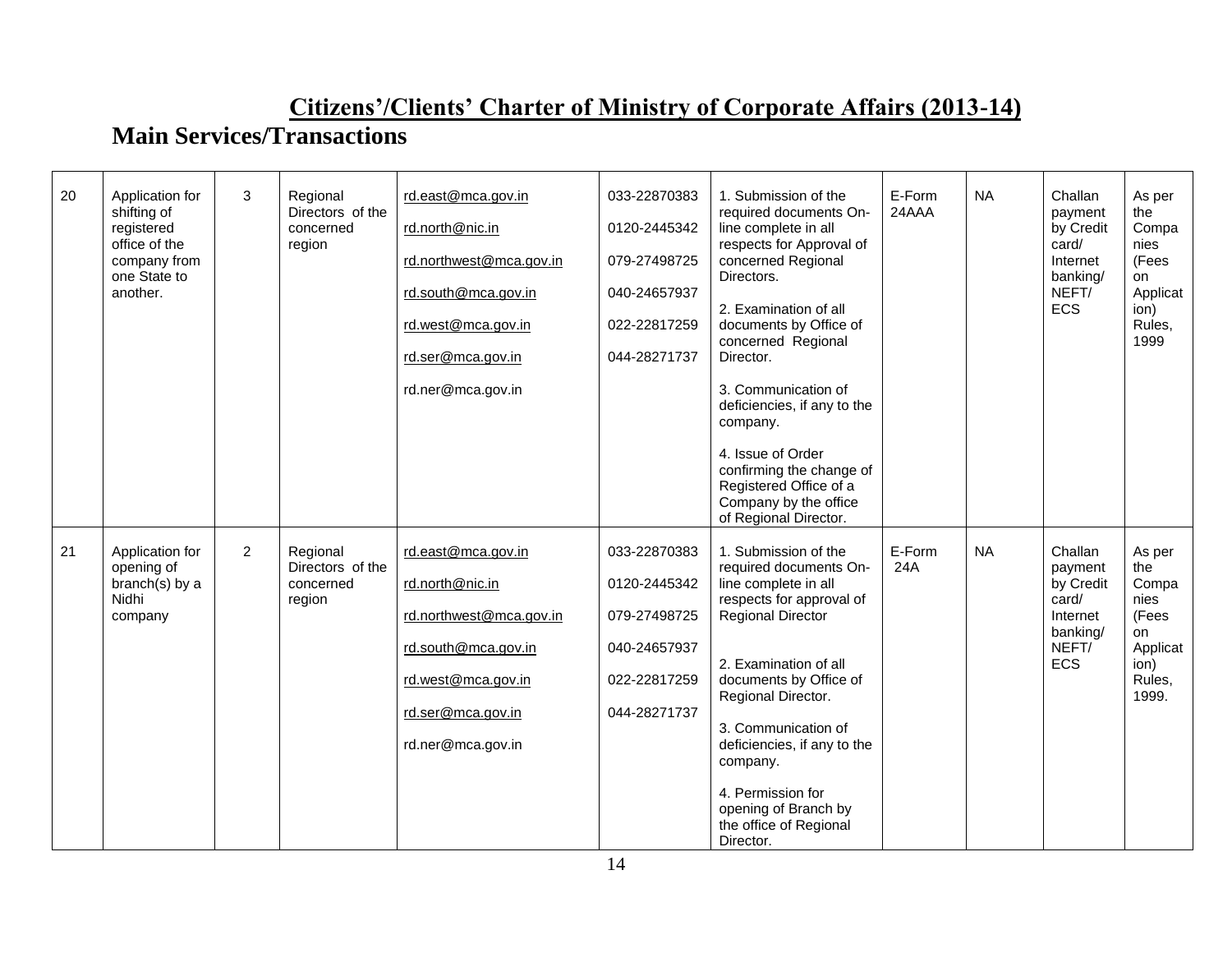| 20 | Application for<br>shifting of<br>registered<br>office of the<br>company from<br>one State to<br>another. | 3              | Regional<br>Directors of the<br>concerned<br>region | rd.east@mca.gov.in<br>rd.north@nic.in<br>rd.northwest@mca.gov.in<br>rd.south@mca.gov.in<br>rd.west@mca.gov.in<br>rd.ser@mca.gov.in<br>rd.ner@mca.gov.in | 033-22870383<br>0120-2445342<br>079-27498725<br>040-24657937<br>022-22817259<br>044-28271737 | 1. Submission of the<br>required documents On-<br>line complete in all<br>respects for Approval of<br>concerned Regional<br>Directors.<br>2. Examination of all<br>documents by Office of<br>concerned Regional<br>Director.<br>3. Communication of<br>deficiencies, if any to the<br>company.<br>4. Issue of Order<br>confirming the change of<br>Registered Office of a<br>Company by the office<br>of Regional Director. | E-Form<br>24AAA | <b>NA</b> | Challan<br>payment<br>by Credit<br>card/<br>Internet<br>banking/<br>NEFT/<br><b>ECS</b> | As per<br>the<br>Compa<br>nies<br>(Fees<br>on<br>Applicat<br>ion)<br>Rules,<br>1999  |
|----|-----------------------------------------------------------------------------------------------------------|----------------|-----------------------------------------------------|---------------------------------------------------------------------------------------------------------------------------------------------------------|----------------------------------------------------------------------------------------------|-----------------------------------------------------------------------------------------------------------------------------------------------------------------------------------------------------------------------------------------------------------------------------------------------------------------------------------------------------------------------------------------------------------------------------|-----------------|-----------|-----------------------------------------------------------------------------------------|--------------------------------------------------------------------------------------|
| 21 | Application for<br>opening of<br>branch(s) by a<br>Nidhi<br>company                                       | $\overline{2}$ | Regional<br>Directors of the<br>concerned<br>region | rd.east@mca.gov.in<br>rd.north@nic.in<br>rd.northwest@mca.gov.in<br>rd.south@mca.gov.in<br>rd.west@mca.gov.in<br>rd.ser@mca.gov.in<br>rd.ner@mca.gov.in | 033-22870383<br>0120-2445342<br>079-27498725<br>040-24657937<br>022-22817259<br>044-28271737 | 1. Submission of the<br>required documents On-<br>line complete in all<br>respects for approval of<br><b>Regional Director</b><br>2. Examination of all<br>documents by Office of<br>Regional Director.<br>3. Communication of<br>deficiencies, if any to the<br>company.<br>4. Permission for<br>opening of Branch by<br>the office of Regional<br>Director.                                                               | E-Form<br>24A   | <b>NA</b> | Challan<br>payment<br>by Credit<br>card/<br>Internet<br>banking/<br>NEFT/<br><b>ECS</b> | As per<br>the<br>Compa<br>nies<br>(Fees<br>on<br>Applicat<br>ion)<br>Rules,<br>1999. |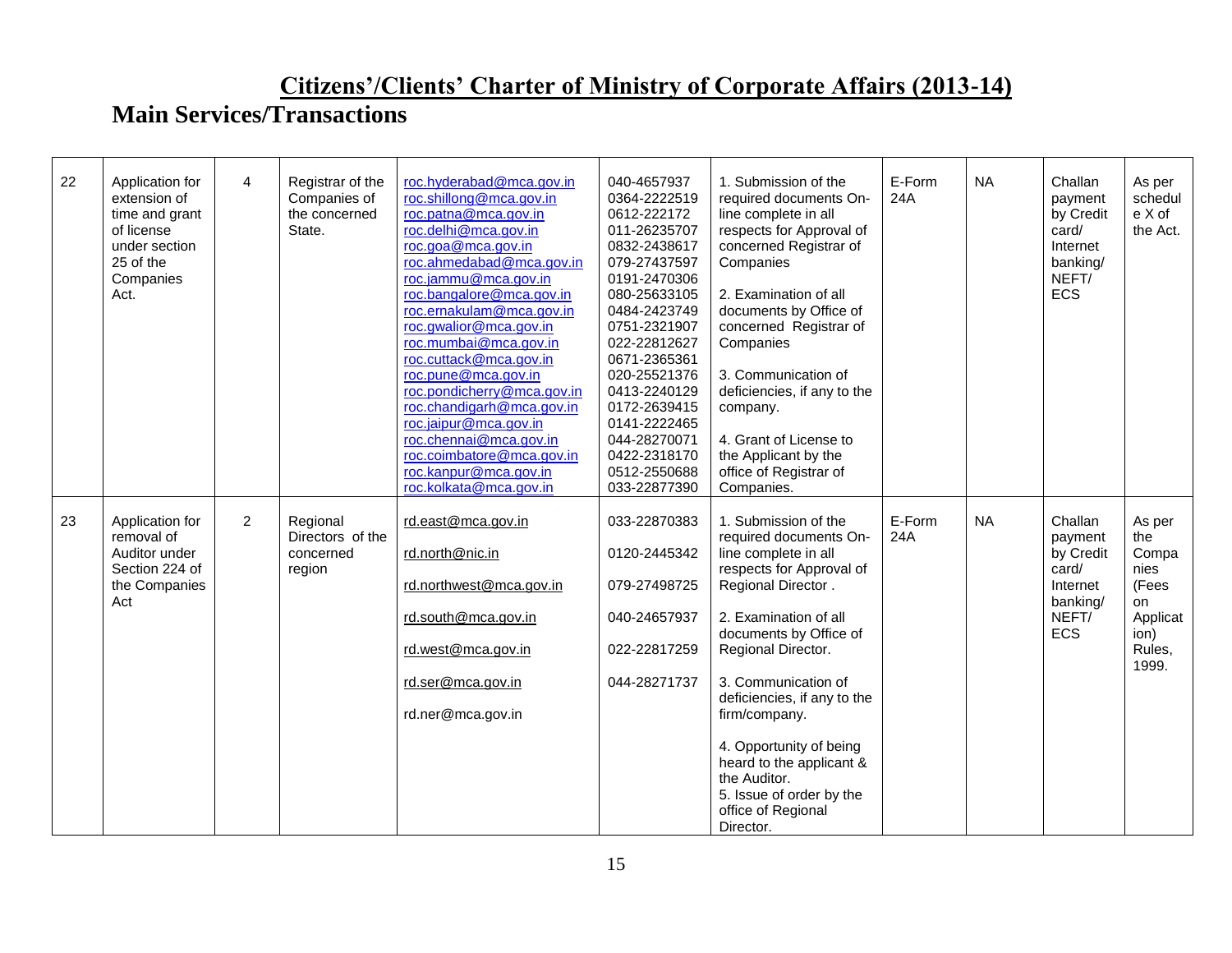| 22 | Application for<br>extension of<br>time and grant<br>of license<br>under section<br>25 of the<br>Companies<br>Act. | $\overline{4}$ | Registrar of the<br>Companies of<br>the concerned<br>State. | roc.hyderabad@mca.gov.in<br>roc.shillong@mca.gov.in<br>roc.patna@mca.gov.in<br>roc.delhi@mca.gov.in<br>roc.goa@mca.gov.in<br>roc.ahmedabad@mca.gov.in<br>roc.jammu@mca.gov.in<br>roc.bangalore@mca.gov.in<br>roc.ernakulam@mca.gov.in<br>roc.gwalior@mca.gov.in<br>roc.mumbai@mca.gov.in<br>roc.cuttack@mca.gov.in<br>roc.pune@mca.gov.in<br>roc.pondicherry@mca.gov.in<br>roc.chandigarh@mca.gov.in<br>roc.jaipur@mca.gov.in<br>roc.chennai@mca.gov.in<br>roc.coimbatore@mca.gov.in<br>roc.kanpur@mca.gov.in<br>roc.kolkata@mca.gov.in | 040-4657937<br>0364-2222519<br>0612-222172<br>011-26235707<br>0832-2438617<br>079-27437597<br>0191-2470306<br>080-25633105<br>0484-2423749<br>0751-2321907<br>022-22812627<br>0671-2365361<br>020-25521376<br>0413-2240129<br>0172-2639415<br>0141-2222465<br>044-28270071<br>0422-2318170<br>0512-2550688<br>033-22877390 | 1. Submission of the<br>required documents On-<br>line complete in all<br>respects for Approval of<br>concerned Registrar of<br>Companies<br>2. Examination of all<br>documents by Office of<br>concerned Registrar of<br>Companies<br>3. Communication of<br>deficiencies, if any to the<br>company.<br>4. Grant of License to<br>the Applicant by the<br>office of Registrar of<br>Companies.                | E-Form<br>24A | <b>NA</b> | Challan<br>payment<br>by Credit<br>card/<br>Internet<br>banking/<br>NEFT/<br>ECS        | As per<br>schedul<br>e X of<br>the Act.                                              |
|----|--------------------------------------------------------------------------------------------------------------------|----------------|-------------------------------------------------------------|-----------------------------------------------------------------------------------------------------------------------------------------------------------------------------------------------------------------------------------------------------------------------------------------------------------------------------------------------------------------------------------------------------------------------------------------------------------------------------------------------------------------------------------------|----------------------------------------------------------------------------------------------------------------------------------------------------------------------------------------------------------------------------------------------------------------------------------------------------------------------------|----------------------------------------------------------------------------------------------------------------------------------------------------------------------------------------------------------------------------------------------------------------------------------------------------------------------------------------------------------------------------------------------------------------|---------------|-----------|-----------------------------------------------------------------------------------------|--------------------------------------------------------------------------------------|
| 23 | Application for<br>removal of<br>Auditor under<br>Section 224 of<br>the Companies<br>Act                           | $\overline{2}$ | Regional<br>Directors of the<br>concerned<br>region         | rd.east@mca.gov.in<br>rd.north@nic.in<br>rd.northwest@mca.gov.in<br>rd.south@mca.gov.in<br>rd.west@mca.gov.in<br>rd.ser@mca.gov.in<br>rd.ner@mca.gov.in                                                                                                                                                                                                                                                                                                                                                                                 | 033-22870383<br>0120-2445342<br>079-27498725<br>040-24657937<br>022-22817259<br>044-28271737                                                                                                                                                                                                                               | 1. Submission of the<br>required documents On-<br>line complete in all<br>respects for Approval of<br>Regional Director.<br>2. Examination of all<br>documents by Office of<br>Regional Director.<br>3. Communication of<br>deficiencies, if any to the<br>firm/company.<br>4. Opportunity of being<br>heard to the applicant &<br>the Auditor.<br>5. Issue of order by the<br>office of Regional<br>Director. | E-Form<br>24A | <b>NA</b> | Challan<br>payment<br>by Credit<br>card/<br>Internet<br>banking/<br>NEFT/<br><b>ECS</b> | As per<br>the<br>Compa<br>nies<br>(Fees<br>on<br>Applicat<br>ion)<br>Rules,<br>1999. |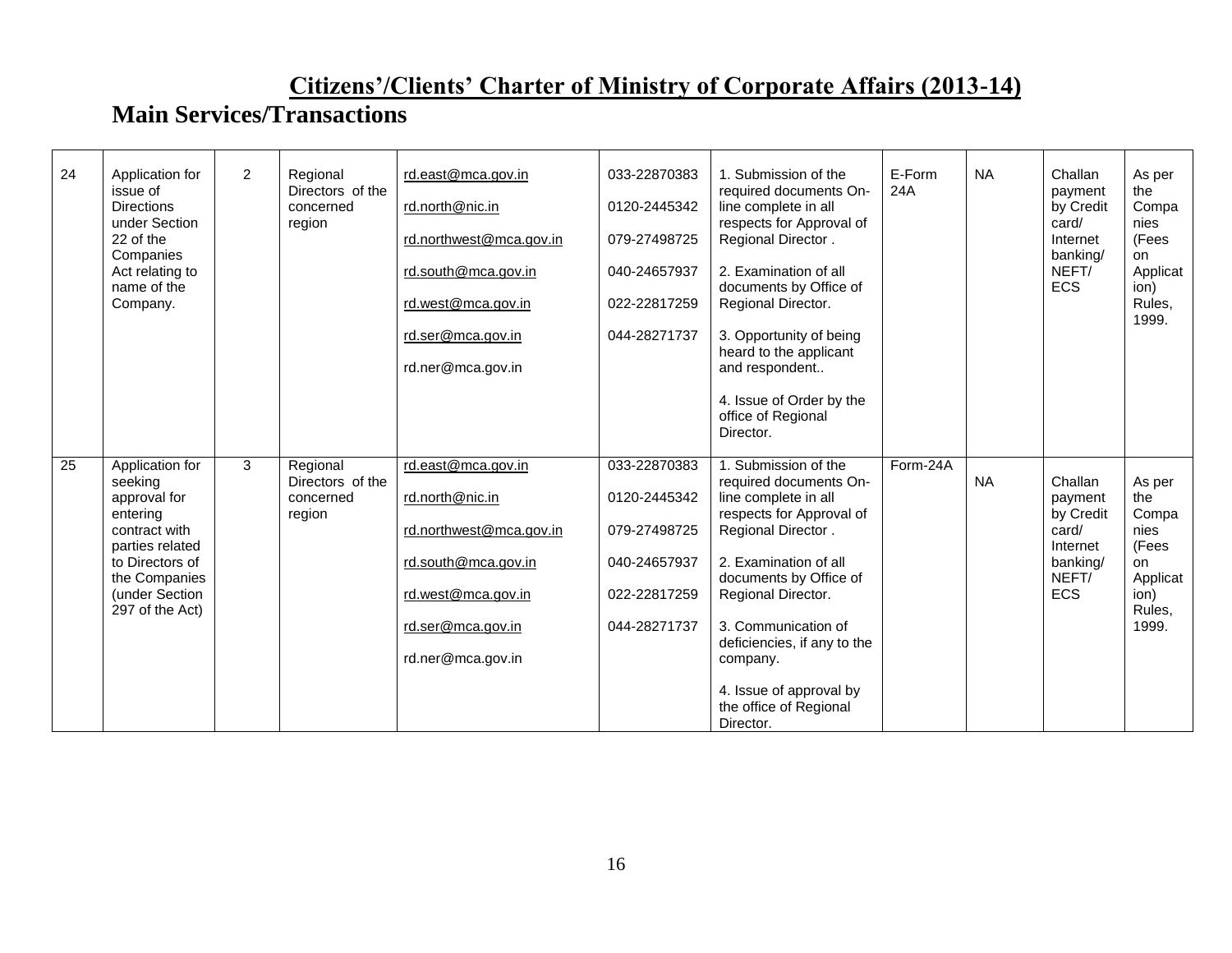| 24 | Application for<br>issue of<br><b>Directions</b><br>under Section<br>22 of the<br>Companies<br>Act relating to<br>name of the<br>Company.                           | $\overline{2}$ | Regional<br>Directors of the<br>concerned<br>region | rd.east@mca.gov.in<br>rd.north@nic.in<br>rd.northwest@mca.gov.in<br>rd.south@mca.gov.in<br>rd.west@mca.gov.in<br>rd.ser@mca.gov.in<br>rd.ner@mca.gov.in | 033-22870383<br>0120-2445342<br>079-27498725<br>040-24657937<br>022-22817259<br>044-28271737 | 1. Submission of the<br>required documents On-<br>line complete in all<br>respects for Approval of<br>Regional Director.<br>2. Examination of all<br>documents by Office of<br>Regional Director.<br>3. Opportunity of being<br>heard to the applicant<br>and respondent<br>4. Issue of Order by the<br>office of Regional<br>Director. | E-Form<br>24A | <b>NA</b> | Challan<br>payment<br>by Credit<br>card/<br>Internet<br>banking/<br>NEFT/<br><b>ECS</b> | As per<br>the<br>Compa<br>nies<br>(Fees<br>on<br>Applicat<br>ion)<br>Rules,<br>1999.  |
|----|---------------------------------------------------------------------------------------------------------------------------------------------------------------------|----------------|-----------------------------------------------------|---------------------------------------------------------------------------------------------------------------------------------------------------------|----------------------------------------------------------------------------------------------|-----------------------------------------------------------------------------------------------------------------------------------------------------------------------------------------------------------------------------------------------------------------------------------------------------------------------------------------|---------------|-----------|-----------------------------------------------------------------------------------------|---------------------------------------------------------------------------------------|
| 25 | Application for<br>seeking<br>approval for<br>entering<br>contract with<br>parties related<br>to Directors of<br>the Companies<br>(under Section<br>297 of the Act) | 3              | Regional<br>Directors of the<br>concerned<br>region | rd.east@mca.gov.in<br>rd.north@nic.in<br>rd.northwest@mca.gov.in<br>rd.south@mca.gov.in<br>rd.west@mca.gov.in<br>rd.ser@mca.gov.in<br>rd.ner@mca.gov.in | 033-22870383<br>0120-2445342<br>079-27498725<br>040-24657937<br>022-22817259<br>044-28271737 | 1. Submission of the<br>required documents On-<br>line complete in all<br>respects for Approval of<br>Regional Director.<br>2. Examination of all<br>documents by Office of<br>Regional Director.<br>3. Communication of<br>deficiencies, if any to the<br>company.<br>4. Issue of approval by<br>the office of Regional<br>Director.   | Form-24A      | <b>NA</b> | Challan<br>payment<br>by Credit<br>card/<br>Internet<br>banking/<br>NEFT/<br><b>ECS</b> | As per<br>the<br>Compa<br>nies<br>(Fees<br>on.<br>Applicat<br>ion)<br>Rules,<br>1999. |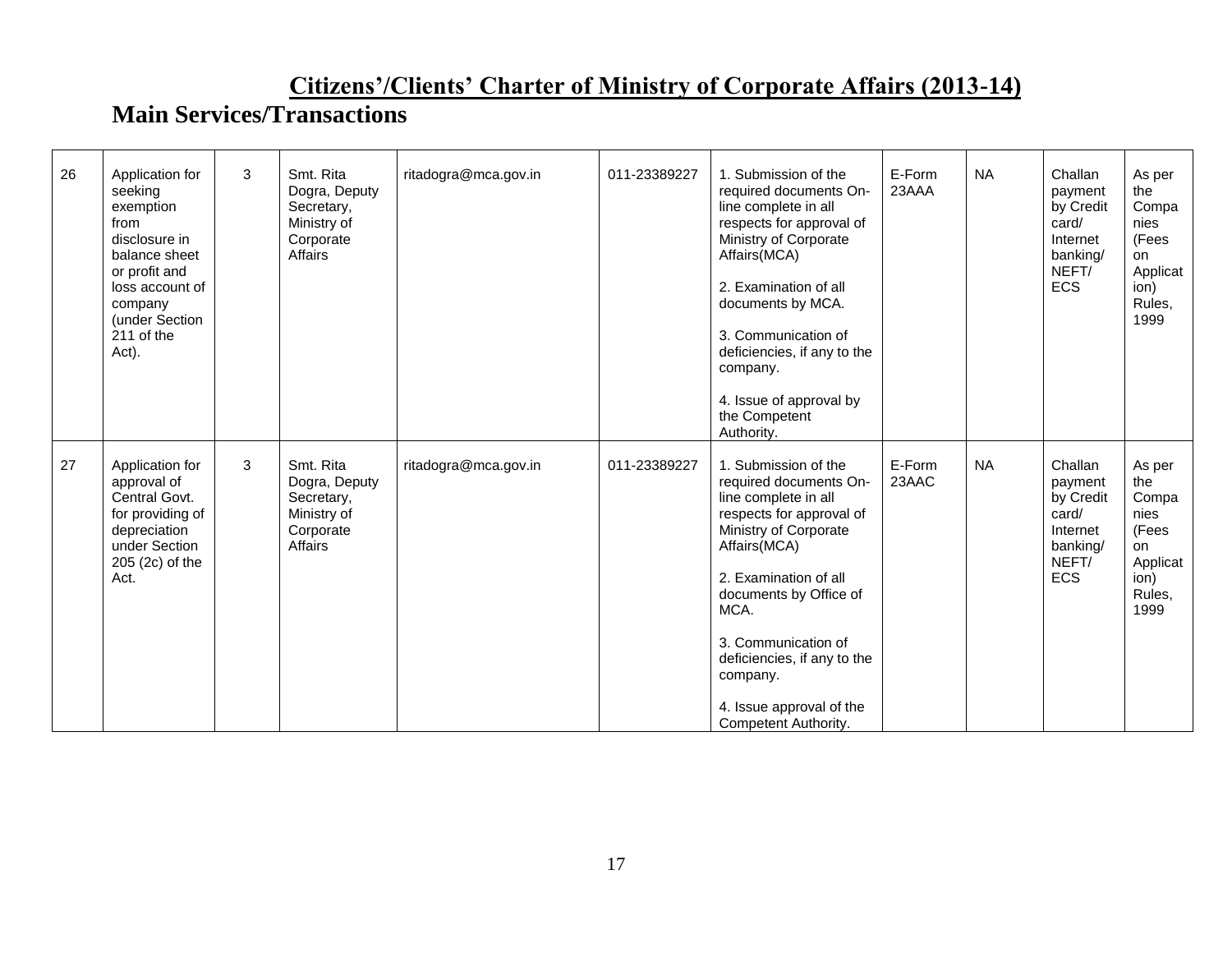| 26 | Application for<br>seeking<br>exemption<br>from<br>disclosure in<br>balance sheet<br>or profit and                              | 3 | Smt. Rita<br>Dogra, Deputy<br>Secretary,<br>Ministry of<br>Corporate<br>Affairs | ritadogra@mca.gov.in | 011-23389227 | 1. Submission of the<br>required documents On-<br>line complete in all<br>respects for approval of<br>Ministry of Corporate<br>Affairs(MCA)                                                                                                                                                                                  | E-Form<br>23AAA | <b>NA</b> | Challan<br>payment<br>by Credit<br>card/<br>Internet<br>banking/<br>NEFT/        | As per<br>the<br>Compa<br>nies<br>(Fees<br>on<br>Applicat                           |
|----|---------------------------------------------------------------------------------------------------------------------------------|---|---------------------------------------------------------------------------------|----------------------|--------------|------------------------------------------------------------------------------------------------------------------------------------------------------------------------------------------------------------------------------------------------------------------------------------------------------------------------------|-----------------|-----------|----------------------------------------------------------------------------------|-------------------------------------------------------------------------------------|
|    | loss account of<br>company<br>(under Section<br>211 of the<br>Act).                                                             |   |                                                                                 |                      |              | 2. Examination of all<br>documents by MCA.<br>3. Communication of<br>deficiencies, if any to the<br>company.                                                                                                                                                                                                                 |                 |           | <b>ECS</b>                                                                       | ion)<br>Rules,<br>1999                                                              |
|    |                                                                                                                                 |   |                                                                                 |                      |              | 4. Issue of approval by<br>the Competent<br>Authority.                                                                                                                                                                                                                                                                       |                 |           |                                                                                  |                                                                                     |
| 27 | Application for<br>approval of<br>Central Govt.<br>for providing of<br>depreciation<br>under Section<br>205 (2c) of the<br>Act. | 3 | Smt. Rita<br>Dogra, Deputy<br>Secretary,<br>Ministry of<br>Corporate<br>Affairs | ritadogra@mca.gov.in | 011-23389227 | 1. Submission of the<br>required documents On-<br>line complete in all<br>respects for approval of<br>Ministry of Corporate<br>Affairs(MCA)<br>2. Examination of all<br>documents by Office of<br>MCA.<br>3. Communication of<br>deficiencies, if any to the<br>company.<br>4. Issue approval of the<br>Competent Authority. | E-Form<br>23AAC | <b>NA</b> | Challan<br>payment<br>by Credit<br>card/<br>Internet<br>banking/<br>NEFT/<br>ECS | As per<br>the<br>Compa<br>nies<br>(Fees<br>on<br>Applicat<br>ion)<br>Rules,<br>1999 |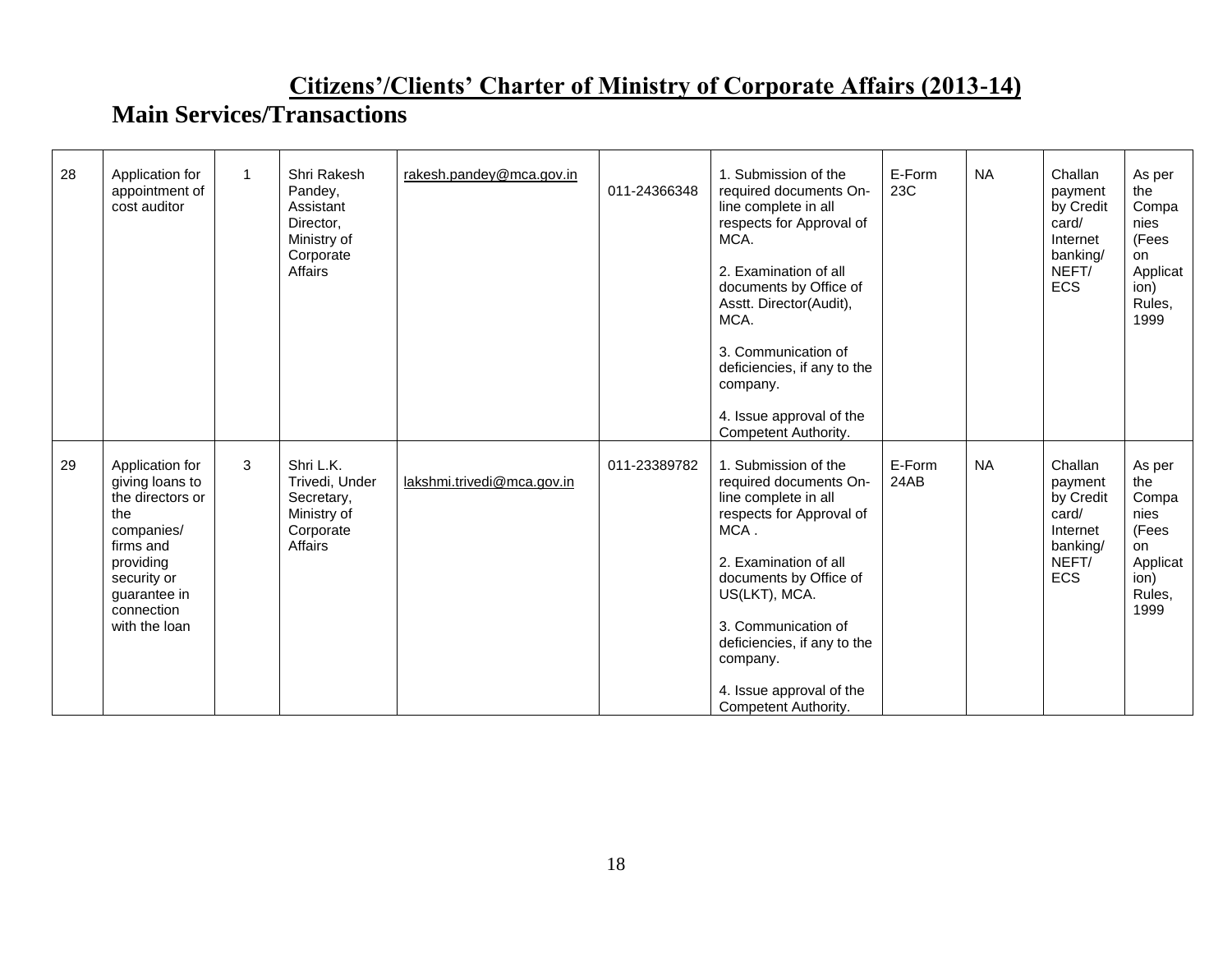| 28 | Application for<br>appointment of<br>cost auditor                                                                                                                   | 1 | Shri Rakesh<br>Pandey,<br>Assistant<br>Director.<br>Ministry of<br>Corporate<br>Affairs | rakesh.pandey@mca.gov.in   | 011-24366348 | 1. Submission of the<br>required documents On-<br>line complete in all<br>respects for Approval of<br>MCA.<br>2. Examination of all<br>documents by Office of<br>Asstt. Director(Audit),<br>MCA.<br>3. Communication of<br>deficiencies, if any to the<br>company.<br>4. Issue approval of the<br>Competent Authority. | E-Form<br>23C  | <b>NA</b> | Challan<br>payment<br>by Credit<br>card/<br>Internet<br>banking/<br>NEFT/<br><b>ECS</b> | As per<br>the<br>Compa<br>nies<br>(Fees<br><b>on</b><br>Applicat<br>ion)<br>Rules,<br>1999 |
|----|---------------------------------------------------------------------------------------------------------------------------------------------------------------------|---|-----------------------------------------------------------------------------------------|----------------------------|--------------|------------------------------------------------------------------------------------------------------------------------------------------------------------------------------------------------------------------------------------------------------------------------------------------------------------------------|----------------|-----------|-----------------------------------------------------------------------------------------|--------------------------------------------------------------------------------------------|
| 29 | Application for<br>giving loans to<br>the directors or<br>the<br>companies/<br>firms and<br>providing<br>security or<br>guarantee in<br>connection<br>with the loan | 3 | Shri L.K.<br>Trivedi, Under<br>Secretary,<br>Ministry of<br>Corporate<br>Affairs        | lakshmi.trivedi@mca.gov.in | 011-23389782 | 1. Submission of the<br>required documents On-<br>line complete in all<br>respects for Approval of<br>MCA.<br>2. Examination of all<br>documents by Office of<br>US(LKT), MCA.<br>3. Communication of<br>deficiencies, if any to the<br>company.<br>4. Issue approval of the<br>Competent Authority.                   | E-Form<br>24AB | <b>NA</b> | Challan<br>payment<br>by Credit<br>card/<br>Internet<br>banking/<br>NEFT/<br><b>ECS</b> | As per<br>the<br>Compa<br>nies<br>(Fees<br><b>on</b><br>Applicat<br>ion)<br>Rules,<br>1999 |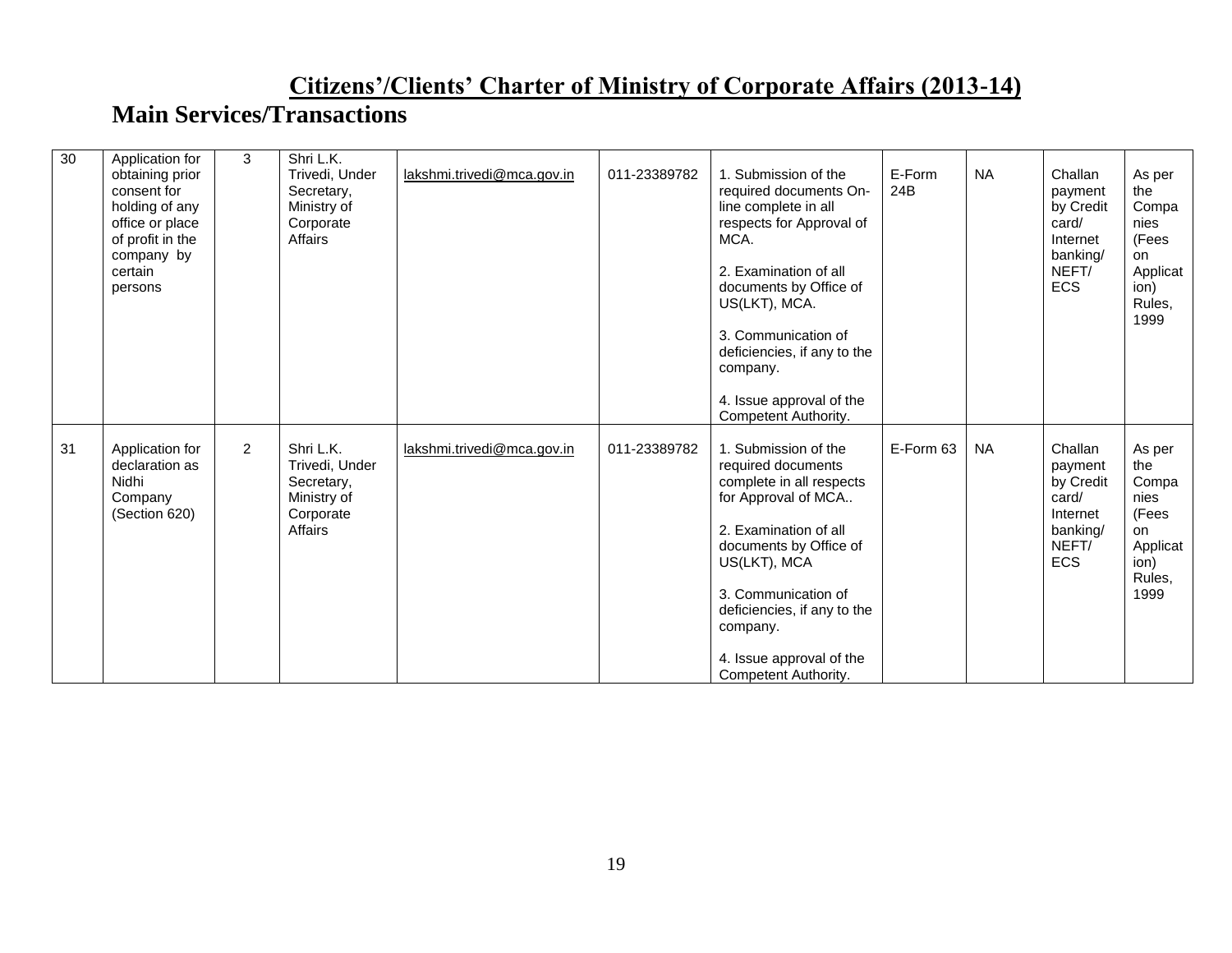| 30 | Application for<br>obtaining prior<br>consent for<br>holding of any<br>office or place<br>of profit in the<br>company by<br>certain<br>persons | 3              | Shri L.K.<br>Trivedi, Under<br>Secretary,<br>Ministry of<br>Corporate<br>Affairs | lakshmi.trivedi@mca.gov.in | 011-23389782 | 1. Submission of the<br>required documents On-<br>line complete in all<br>respects for Approval of<br>MCA.<br>2. Examination of all<br>documents by Office of<br>US(LKT), MCA.<br>3. Communication of<br>deficiencies, if any to the<br>company.<br>4. Issue approval of the<br>Competent Authority. | E-Form<br>24B | <b>NA</b> | Challan<br>payment<br>by Credit<br>card/<br>Internet<br>banking/<br>NEFT/<br><b>ECS</b> | As per<br>the<br>Compa<br>nies<br>(Fees<br>on<br>Applicat<br>ion)<br>Rules,<br>1999  |
|----|------------------------------------------------------------------------------------------------------------------------------------------------|----------------|----------------------------------------------------------------------------------|----------------------------|--------------|------------------------------------------------------------------------------------------------------------------------------------------------------------------------------------------------------------------------------------------------------------------------------------------------------|---------------|-----------|-----------------------------------------------------------------------------------------|--------------------------------------------------------------------------------------|
| 31 | Application for<br>declaration as<br>Nidhi<br>Company<br>(Section 620)                                                                         | $\overline{2}$ | Shri L.K.<br>Trivedi, Under<br>Secretary,<br>Ministry of<br>Corporate<br>Affairs | lakshmi.trivedi@mca.gov.in | 011-23389782 | 1. Submission of the<br>required documents<br>complete in all respects<br>for Approval of MCA<br>2. Examination of all<br>documents by Office of<br>US(LKT), MCA<br>3. Communication of<br>deficiencies, if any to the<br>company.<br>4. Issue approval of the<br>Competent Authority.               | E-Form 63     | <b>NA</b> | Challan<br>payment<br>by Credit<br>card/<br>Internet<br>banking/<br>NEFT/<br><b>ECS</b> | As per<br>the<br>Compa<br>nies<br>(Fees<br>on.<br>Applicat<br>ion)<br>Rules,<br>1999 |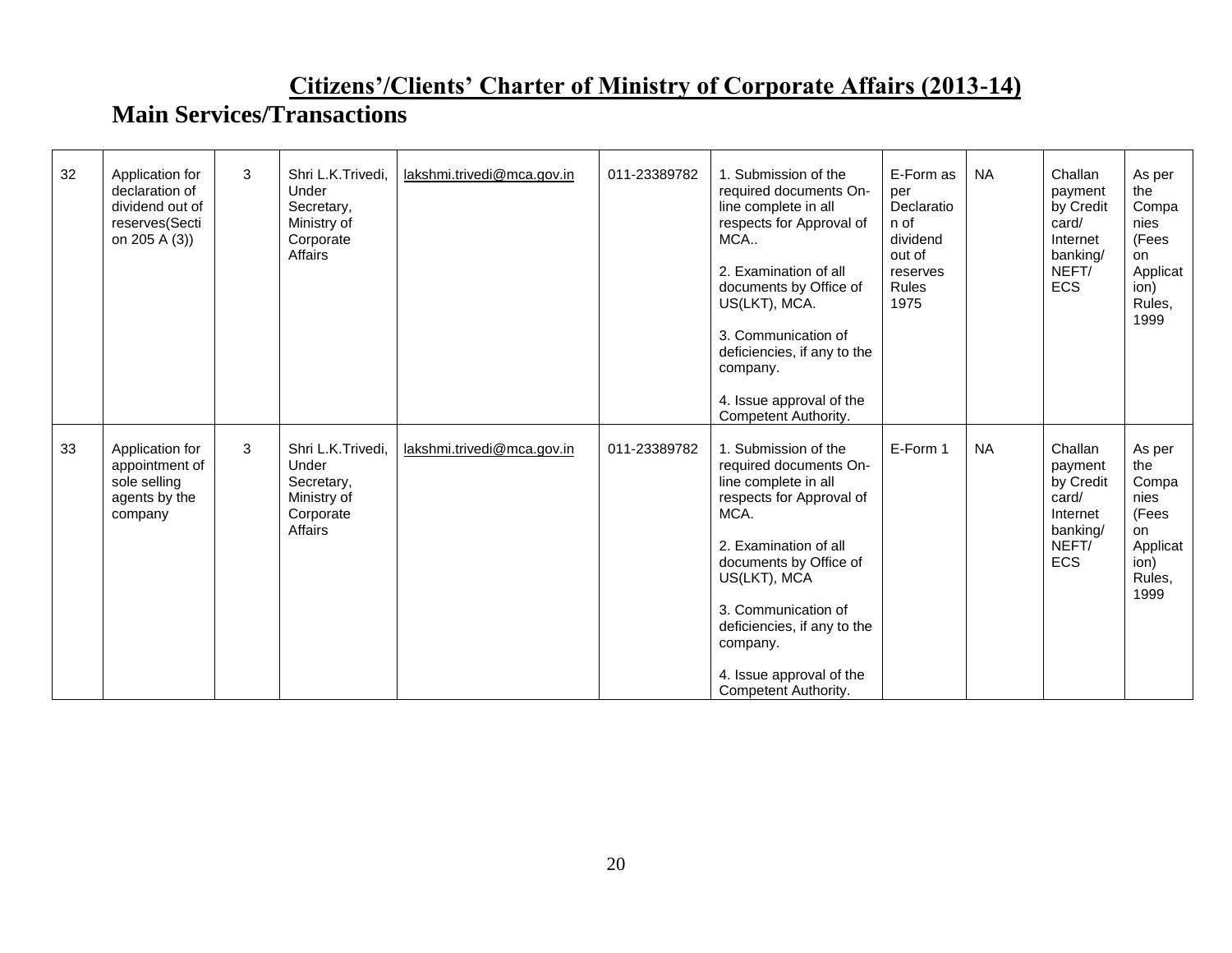| 32 | Application for<br>declaration of<br>dividend out of<br>reserves(Secti<br>on 205 A (3)) | 3 | Shri L.K.Trivedi.<br>Under<br>Secretary,<br>Ministry of<br>Corporate<br>Affairs | lakshmi.trivedi@mca.gov.in | 011-23389782 | 1. Submission of the<br>required documents On-<br>line complete in all<br>respects for Approval of<br>MCA<br>2. Examination of all<br>documents by Office of<br>US(LKT), MCA.<br>3. Communication of<br>deficiencies, if any to the<br>company.<br>4. Issue approval of the<br>Competent Authority. | E-Form as<br>per<br>Declaratio<br>n of<br>dividend<br>out of<br>reserves<br>Rules<br>1975 | <b>NA</b> | Challan<br>payment<br>by Credit<br>card/<br>Internet<br>banking/<br>NEFT/<br><b>ECS</b> | As per<br>the<br>Compa<br>nies<br>(Fees<br>on<br>Applicat<br>ion)<br>Rules,<br>1999 |
|----|-----------------------------------------------------------------------------------------|---|---------------------------------------------------------------------------------|----------------------------|--------------|-----------------------------------------------------------------------------------------------------------------------------------------------------------------------------------------------------------------------------------------------------------------------------------------------------|-------------------------------------------------------------------------------------------|-----------|-----------------------------------------------------------------------------------------|-------------------------------------------------------------------------------------|
| 33 | Application for<br>appointment of<br>sole selling<br>agents by the<br>company           | 3 | Shri L.K.Trivedi,<br>Under<br>Secretary,<br>Ministry of<br>Corporate<br>Affairs | lakshmi.trivedi@mca.gov.in | 011-23389782 | 1. Submission of the<br>required documents On-<br>line complete in all<br>respects for Approval of<br>MCA.<br>2. Examination of all<br>documents by Office of<br>US(LKT), MCA<br>3. Communication of<br>deficiencies, if any to the<br>company.<br>4. Issue approval of the<br>Competent Authority. | E-Form 1                                                                                  | <b>NA</b> | Challan<br>payment<br>by Credit<br>card/<br>Internet<br>banking/<br>NEFT/<br>ECS        | As per<br>the<br>Compa<br>nies<br>(Fees<br>on<br>Applicat<br>ion)<br>Rules,<br>1999 |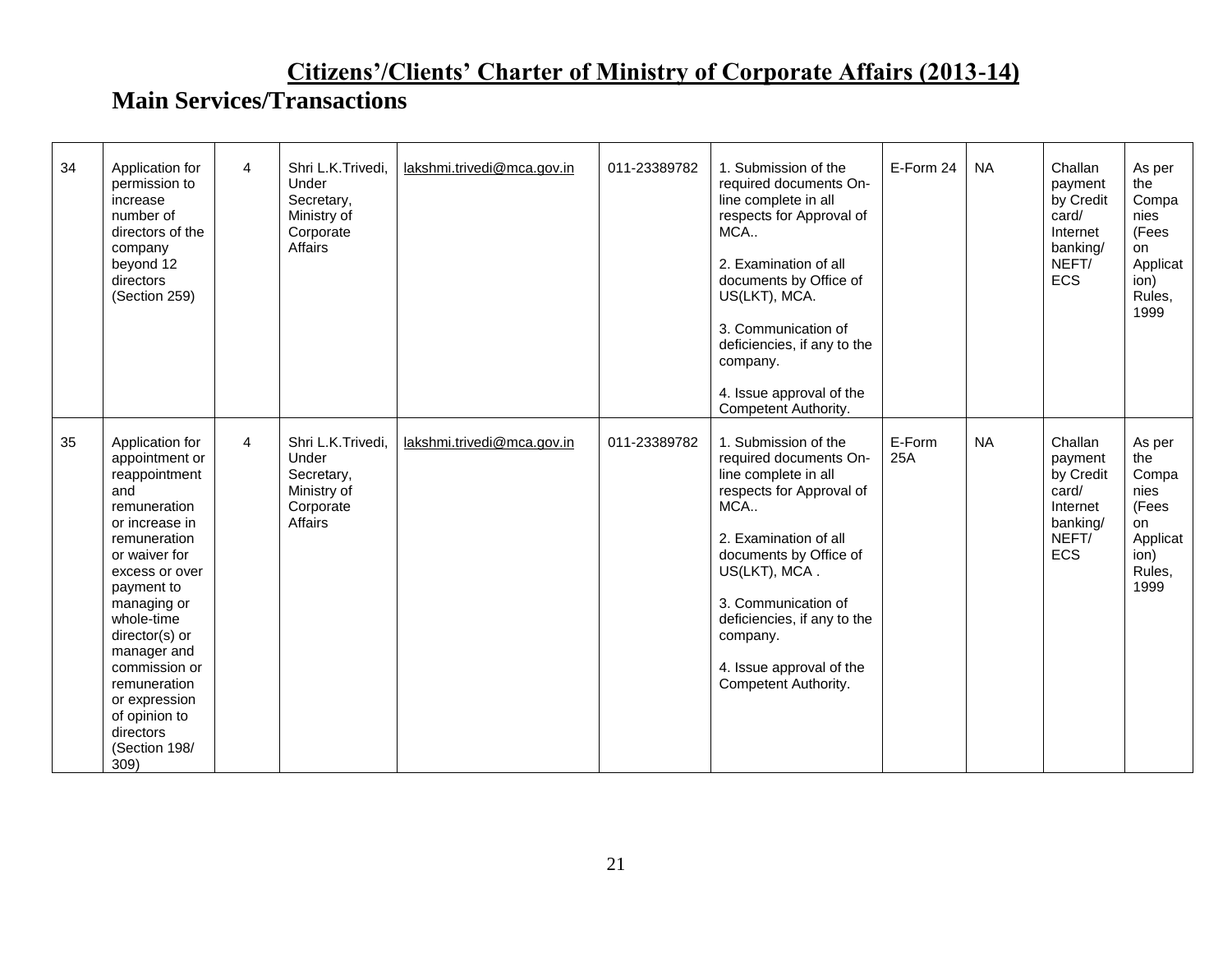| 34 | Application for<br>permission to<br>increase<br>number of<br>directors of the<br>company<br>beyond 12<br>directors<br>(Section 259)                                                                                                                                                                                                 | $\overline{4}$ | Shri L.K.Trivedi,<br>Under<br>Secretary,<br>Ministry of<br>Corporate<br>Affairs | lakshmi.trivedi@mca.gov.in | 011-23389782 | 1. Submission of the<br>required documents On-<br>line complete in all<br>respects for Approval of<br>MCA<br>2. Examination of all<br>documents by Office of<br>US(LKT), MCA.<br>3. Communication of<br>deficiencies, if any to the<br>company.<br>4. Issue approval of the<br>Competent Authority. | E-Form 24     | <b>NA</b> | Challan<br>payment<br>by Credit<br>card/<br>Internet<br>banking/<br>NEFT/<br><b>ECS</b> | As per<br>the<br>Compa<br>nies<br>(Fees<br>on<br>Applicat<br>ion)<br>Rules,<br>1999 |
|----|-------------------------------------------------------------------------------------------------------------------------------------------------------------------------------------------------------------------------------------------------------------------------------------------------------------------------------------|----------------|---------------------------------------------------------------------------------|----------------------------|--------------|-----------------------------------------------------------------------------------------------------------------------------------------------------------------------------------------------------------------------------------------------------------------------------------------------------|---------------|-----------|-----------------------------------------------------------------------------------------|-------------------------------------------------------------------------------------|
| 35 | Application for<br>appointment or<br>reappointment<br>and<br>remuneration<br>or increase in<br>remuneration<br>or waiver for<br>excess or over<br>payment to<br>managing or<br>whole-time<br>director(s) or<br>manager and<br>commission or<br>remuneration<br>or expression<br>of opinion to<br>directors<br>(Section 198/<br>309) | $\overline{4}$ | Shri L.K.Trivedi,<br>Under<br>Secretary,<br>Ministry of<br>Corporate<br>Affairs | lakshmi.trivedi@mca.gov.in | 011-23389782 | 1. Submission of the<br>required documents On-<br>line complete in all<br>respects for Approval of<br>MCA<br>2. Examination of all<br>documents by Office of<br>US(LKT), MCA.<br>3. Communication of<br>deficiencies, if any to the<br>company.<br>4. Issue approval of the<br>Competent Authority. | E-Form<br>25A | <b>NA</b> | Challan<br>payment<br>by Credit<br>card/<br>Internet<br>banking/<br>NEFT/<br><b>ECS</b> | As per<br>the<br>Compa<br>nies<br>(Fees<br>on<br>Applicat<br>ion)<br>Rules,<br>1999 |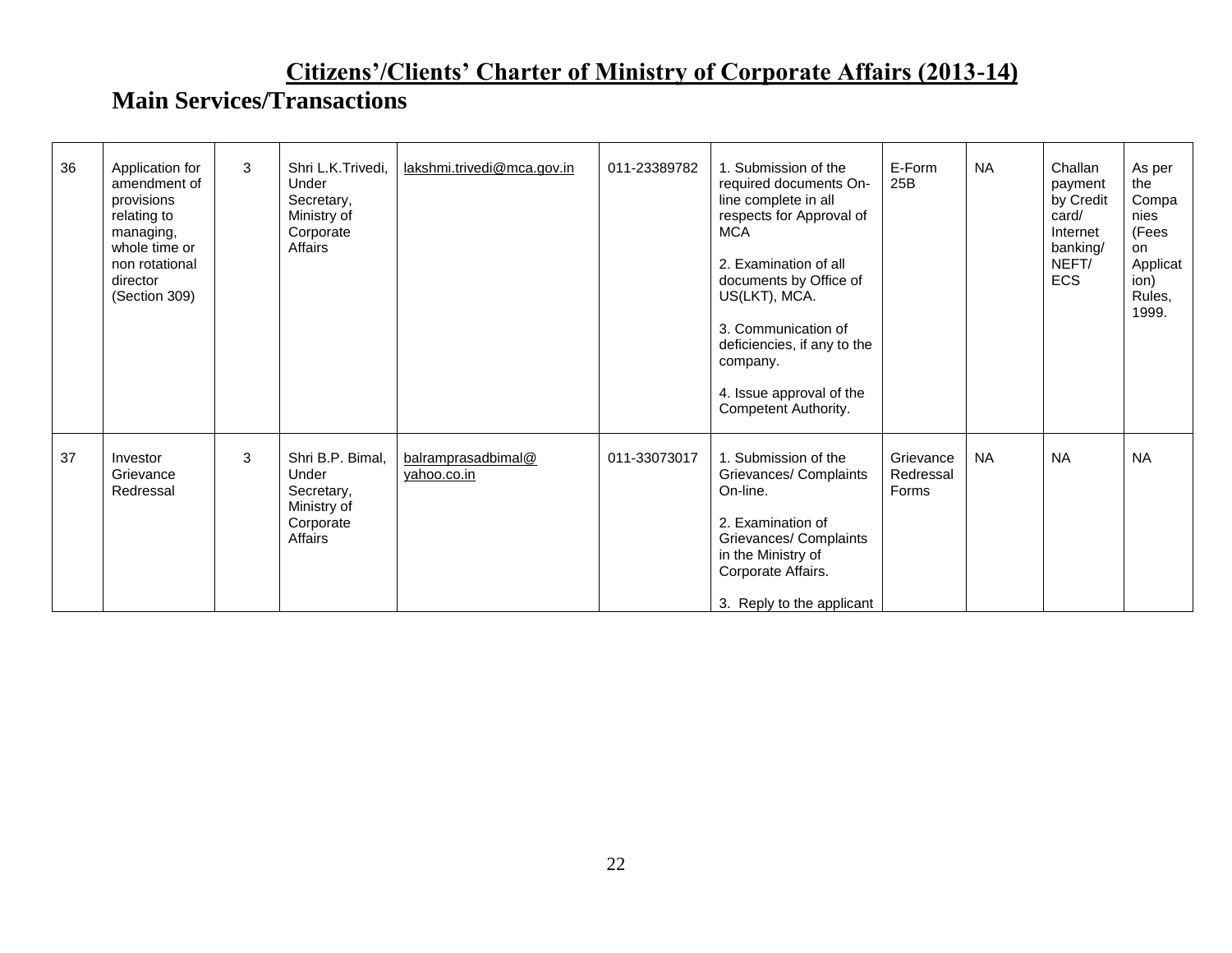| 36 | Application for<br>amendment of<br>provisions<br>relating to<br>managing,<br>whole time or<br>non rotational<br>director<br>(Section 309) | 3 | Shri L.K.Trivedi.<br>Under<br>Secretary,<br>Ministry of<br>Corporate<br>Affairs | lakshmi.trivedi@mca.gov.in        | 011-23389782 | 1. Submission of the<br>required documents On-<br>line complete in all<br>respects for Approval of<br><b>MCA</b><br>2. Examination of all<br>documents by Office of<br>US(LKT), MCA.<br>3. Communication of<br>deficiencies, if any to the<br>company.<br>4. Issue approval of the<br>Competent Authority. | E-Form<br>25B                   | <b>NA</b> | Challan<br>payment<br>by Credit<br>card/<br>Internet<br>banking/<br>NEFT/<br><b>ECS</b> | As per<br>the<br>Compa<br>nies<br>(Fees<br>on<br>Applicat<br>ion)<br>Rules,<br>1999. |
|----|-------------------------------------------------------------------------------------------------------------------------------------------|---|---------------------------------------------------------------------------------|-----------------------------------|--------------|------------------------------------------------------------------------------------------------------------------------------------------------------------------------------------------------------------------------------------------------------------------------------------------------------------|---------------------------------|-----------|-----------------------------------------------------------------------------------------|--------------------------------------------------------------------------------------|
| 37 | Investor<br>Grievance<br>Redressal                                                                                                        | 3 | Shri B.P. Bimal.<br>Under<br>Secretary,<br>Ministry of<br>Corporate<br>Affairs  | balramprasadbimal@<br>yahoo.co.in | 011-33073017 | 1. Submission of the<br>Grievances/ Complaints<br>On-line.<br>2. Examination of<br>Grievances/ Complaints<br>in the Ministry of<br>Corporate Affairs.<br>3. Reply to the applicant                                                                                                                         | Grievance<br>Redressal<br>Forms | <b>NA</b> | <b>NA</b>                                                                               | <b>NA</b>                                                                            |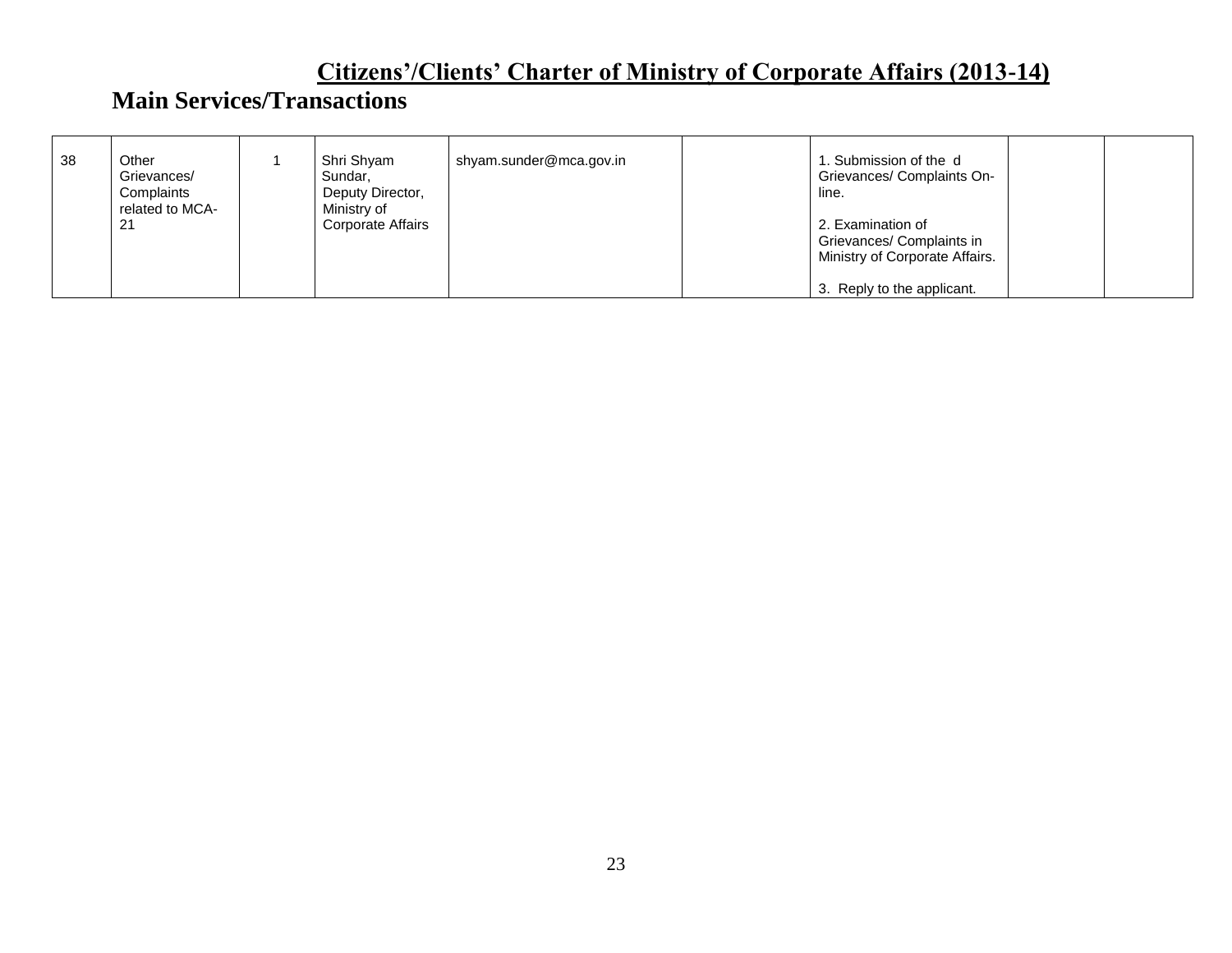| -38 | Other<br>Grievances/<br>Complaints<br>related to MCA-<br>21 | Shri Shyam<br>Sundar,<br>Deputy Director,<br>Ministry of<br>Corporate Affairs | shyam.sunder@mca.gov.in | . Submission of the d<br>Grievances/ Complaints On-<br>line.<br>2. Examination of<br>Grievances/ Complaints in<br>Ministry of Corporate Affairs. |  |
|-----|-------------------------------------------------------------|-------------------------------------------------------------------------------|-------------------------|--------------------------------------------------------------------------------------------------------------------------------------------------|--|
|     |                                                             |                                                                               |                         | 3. Reply to the applicant.                                                                                                                       |  |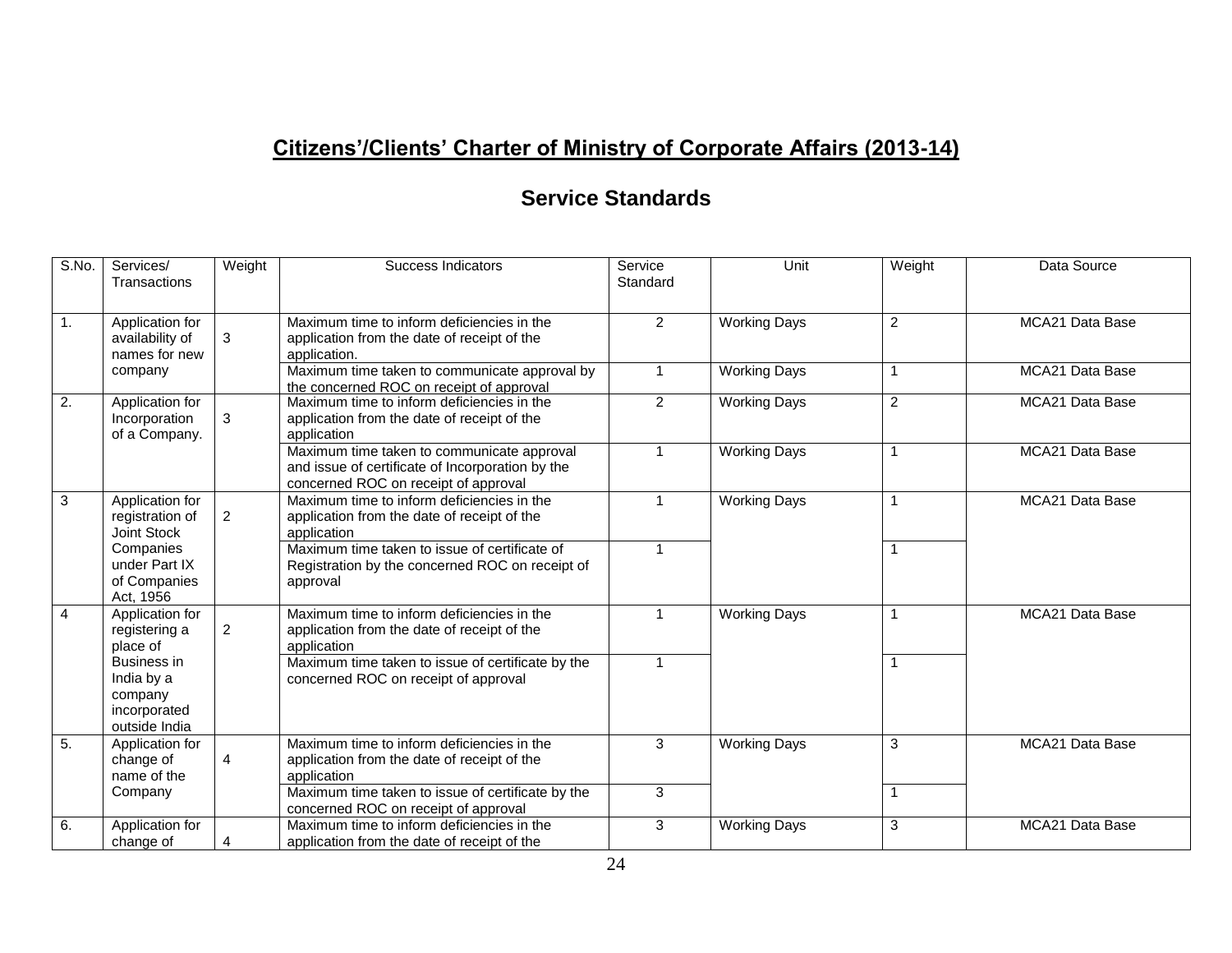#### **Service Standards**

| S.No.            | Services/<br>Transactions                                                    | Weight         | Success Indicators                                                                                                                     | Service<br>Standard | Unit                | Weight         | Data Source            |
|------------------|------------------------------------------------------------------------------|----------------|----------------------------------------------------------------------------------------------------------------------------------------|---------------------|---------------------|----------------|------------------------|
| $\overline{1}$ . | Application for<br>availability of<br>names for new                          | 3              | Maximum time to inform deficiencies in the<br>application from the date of receipt of the<br>application.                              | $\overline{2}$      | <b>Working Days</b> | 2              | <b>MCA21 Data Base</b> |
|                  | company                                                                      |                | Maximum time taken to communicate approval by<br>the concerned ROC on receipt of approval                                              | $\overline{1}$      | <b>Working Days</b> | 1              | MCA21 Data Base        |
| $\overline{2}$ . | Application for<br>Incorporation<br>of a Company.                            | 3              | Maximum time to inform deficiencies in the<br>application from the date of receipt of the<br>application                               | 2                   | <b>Working Days</b> | 2              | MCA21 Data Base        |
|                  |                                                                              |                | Maximum time taken to communicate approval<br>and issue of certificate of Incorporation by the<br>concerned ROC on receipt of approval | $\overline{1}$      | <b>Working Days</b> | $\mathbf{1}$   | <b>MCA21 Data Base</b> |
| $\mathbf{3}$     | Application for<br>registration of<br>Joint Stock                            | 2              | Maximum time to inform deficiencies in the<br>application from the date of receipt of the<br>application                               | $\overline{1}$      | <b>Working Days</b> | $\mathbf 1$    | MCA21 Data Base        |
|                  | Companies<br>under Part IX<br>of Companies<br>Act, 1956                      |                | Maximum time taken to issue of certificate of<br>Registration by the concerned ROC on receipt of<br>approval                           | $\overline{1}$      |                     | $\mathbf{1}$   |                        |
| $\overline{4}$   | Application for<br>registering a<br>place of                                 | $\overline{2}$ | Maximum time to inform deficiencies in the<br>application from the date of receipt of the<br>application                               | $\overline{1}$      | <b>Working Days</b> | $\overline{1}$ | MCA21 Data Base        |
|                  | <b>Business in</b><br>India by a<br>company<br>incorporated<br>outside India |                | Maximum time taken to issue of certificate by the<br>concerned ROC on receipt of approval                                              | $\overline{1}$      |                     | 1              |                        |
| 5.               | Application for<br>change of<br>name of the                                  | $\overline{4}$ | Maximum time to inform deficiencies in the<br>application from the date of receipt of the<br>application                               | 3                   | <b>Working Days</b> | 3              | MCA21 Data Base        |
|                  | Company                                                                      |                | Maximum time taken to issue of certificate by the<br>concerned ROC on receipt of approval                                              | 3                   |                     | $\mathbf{1}$   |                        |
| 6.               | Application for<br>change of                                                 | 4              | Maximum time to inform deficiencies in the<br>application from the date of receipt of the                                              | 3                   | <b>Working Days</b> | 3              | MCA21 Data Base        |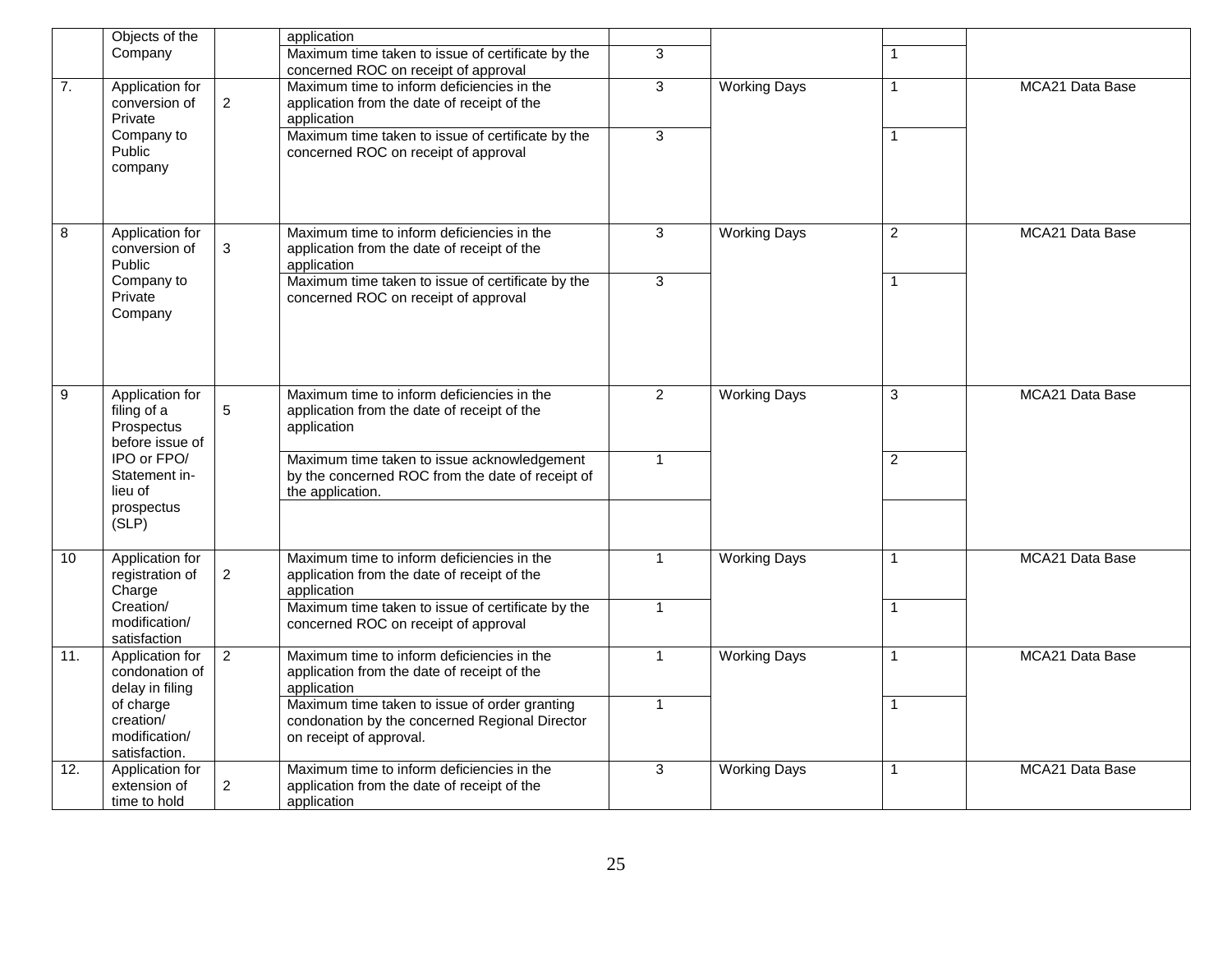|                         | Objects of the                                                  |                 | application                                                                                                                |                |                     |                |                 |
|-------------------------|-----------------------------------------------------------------|-----------------|----------------------------------------------------------------------------------------------------------------------------|----------------|---------------------|----------------|-----------------|
|                         | Company                                                         |                 | Maximum time taken to issue of certificate by the<br>concerned ROC on receipt of approval                                  | 3              |                     | 1              |                 |
| $\overline{7}$ .        | Application for<br>conversion of<br>Private                     | $\overline{2}$  | Maximum time to inform deficiencies in the<br>application from the date of receipt of the<br>application                   | 3              | <b>Working Days</b> | 1              | MCA21 Data Base |
|                         | Company to<br>Public<br>company                                 |                 | Maximum time taken to issue of certificate by the<br>concerned ROC on receipt of approval                                  | $\overline{3}$ |                     | $\mathbf 1$    |                 |
| $\overline{\mathbf{8}}$ | Application for<br>conversion of<br>Public                      | 3               | Maximum time to inform deficiencies in the<br>application from the date of receipt of the<br>application                   | 3              | <b>Working Days</b> | $\overline{2}$ | MCA21 Data Base |
|                         | Company to<br>Private<br>Company                                |                 | Maximum time taken to issue of certificate by the<br>concerned ROC on receipt of approval                                  | $\overline{3}$ |                     | 1              |                 |
| $\overline{9}$          | Application for<br>filing of a<br>Prospectus<br>before issue of | $5\phantom{.0}$ | Maximum time to inform deficiencies in the<br>application from the date of receipt of the<br>application                   | $\overline{2}$ | <b>Working Days</b> | 3              | MCA21 Data Base |
|                         | IPO or FPO/<br>Statement in-<br>lieu of<br>prospectus<br>(SLP)  |                 | Maximum time taken to issue acknowledgement<br>by the concerned ROC from the date of receipt of<br>the application.        | $\mathbf{1}$   |                     | $\overline{2}$ |                 |
| 10                      | Application for<br>registration of<br>Charge                    | $\overline{2}$  | Maximum time to inform deficiencies in the<br>application from the date of receipt of the<br>application                   | $\overline{1}$ | <b>Working Days</b> | 1              | MCA21 Data Base |
|                         | Creation/<br>modification/<br>satisfaction                      |                 | Maximum time taken to issue of certificate by the<br>concerned ROC on receipt of approval                                  | $\mathbf{1}$   |                     | 1              |                 |
| 11.                     | Application for<br>condonation of<br>delay in filing            | 2               | Maximum time to inform deficiencies in the<br>application from the date of receipt of the<br>application                   | $\overline{1}$ | <b>Working Days</b> | 1              | MCA21 Data Base |
|                         | of charge<br>creation/<br>modification/<br>satisfaction.        |                 | Maximum time taken to issue of order granting<br>condonation by the concerned Regional Director<br>on receipt of approval. | $\mathbf{1}$   |                     | $\mathbf 1$    |                 |
| 12.                     | Application for<br>extension of<br>time to hold                 | $\overline{2}$  | Maximum time to inform deficiencies in the<br>application from the date of receipt of the<br>application                   | $\overline{3}$ | <b>Working Days</b> | 1              | MCA21 Data Base |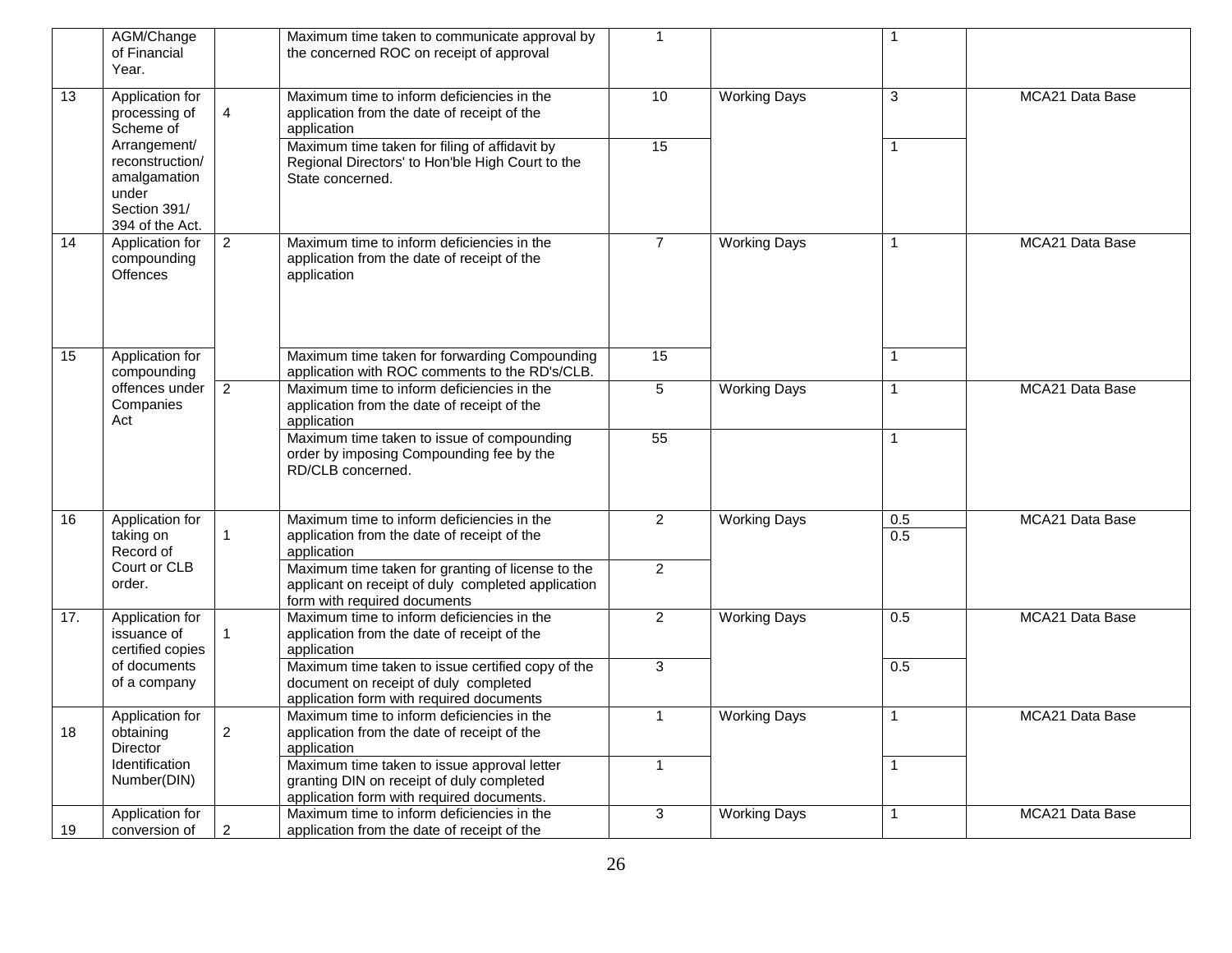|     | AGM/Change<br>of Financial<br>Year.                                                         |                | Maximum time taken to communicate approval by<br>the concerned ROC on receipt of approval                                               | $\mathbf 1$    |                     |              |                        |
|-----|---------------------------------------------------------------------------------------------|----------------|-----------------------------------------------------------------------------------------------------------------------------------------|----------------|---------------------|--------------|------------------------|
| 13  | Application for<br>processing of<br>Scheme of                                               | $\overline{4}$ | Maximum time to inform deficiencies in the<br>application from the date of receipt of the<br>application                                | 10             | <b>Working Days</b> | 3            | MCA21 Data Base        |
|     | Arrangement/<br>reconstruction/<br>amalgamation<br>under<br>Section 391/<br>394 of the Act. |                | Maximum time taken for filing of affidavit by<br>Regional Directors' to Hon'ble High Court to the<br>State concerned.                   | 15             |                     | 1            |                        |
| 14  | Application for<br>compounding<br>Offences                                                  | 2              | Maximum time to inform deficiencies in the<br>application from the date of receipt of the<br>application                                | $\overline{7}$ | <b>Working Days</b> | 1            | <b>MCA21 Data Base</b> |
| 15  | Application for<br>compounding                                                              |                | Maximum time taken for forwarding Compounding<br>application with ROC comments to the RD's/CLB.                                         | 15             |                     | 1            |                        |
|     | offences under<br>Companies<br>Act                                                          | $\overline{2}$ | Maximum time to inform deficiencies in the<br>application from the date of receipt of the<br>application                                | $\overline{5}$ | <b>Working Days</b> | $\mathbf{1}$ | MCA21 Data Base        |
|     |                                                                                             |                | Maximum time taken to issue of compounding<br>order by imposing Compounding fee by the<br>RD/CLB concerned.                             | 55             |                     | 1            |                        |
| 16  | Application for<br>taking on<br>Record of                                                   | -1             | Maximum time to inform deficiencies in the<br>application from the date of receipt of the<br>application                                | $\overline{2}$ | <b>Working Days</b> | 0.5<br>0.5   | MCA21 Data Base        |
|     | Court or CLB<br>order.                                                                      |                | Maximum time taken for granting of license to the<br>applicant on receipt of duly completed application<br>form with required documents | $\overline{2}$ |                     |              |                        |
| 17. | Application for<br>issuance of<br>certified copies                                          | $\mathbf{1}$   | Maximum time to inform deficiencies in the<br>application from the date of receipt of the<br>application                                | $\overline{2}$ | <b>Working Days</b> | 0.5          | MCA21 Data Base        |
|     | of documents<br>of a company                                                                |                | Maximum time taken to issue certified copy of the<br>document on receipt of duly completed<br>application form with required documents  | $\overline{3}$ |                     | 0.5          |                        |
| 18  | Application for<br>obtaining<br>Director                                                    | $\overline{c}$ | Maximum time to inform deficiencies in the<br>application from the date of receipt of the<br>application                                | $\mathbf{1}$   | <b>Working Days</b> | $\mathbf{1}$ | MCA21 Data Base        |
|     | Identification<br>Number(DIN)                                                               |                | Maximum time taken to issue approval letter<br>granting DIN on receipt of duly completed<br>application form with required documents.   | $\mathbf{1}$   |                     | $\mathbf{1}$ |                        |
| 19  | Application for<br>conversion of                                                            | $\overline{c}$ | Maximum time to inform deficiencies in the<br>application from the date of receipt of the                                               | 3              | <b>Working Days</b> | $\mathbf{1}$ | MCA21 Data Base        |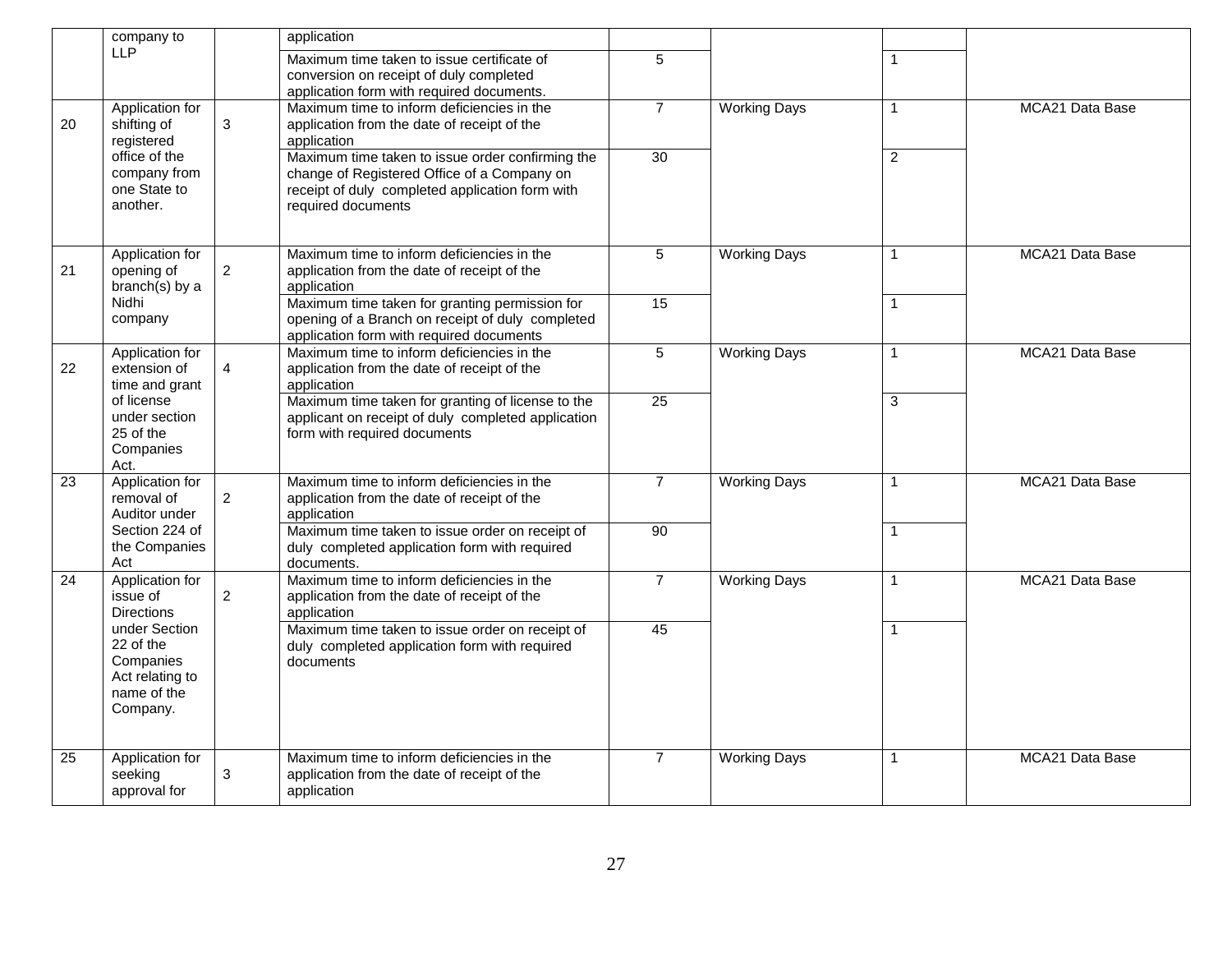|                 | company to                                                                            |                | application                                                                                                                                                              |                |                     |                |                 |
|-----------------|---------------------------------------------------------------------------------------|----------------|--------------------------------------------------------------------------------------------------------------------------------------------------------------------------|----------------|---------------------|----------------|-----------------|
|                 | <b>LLP</b>                                                                            |                | Maximum time taken to issue certificate of<br>conversion on receipt of duly completed<br>application form with required documents.                                       | 5              |                     | $\mathbf{1}$   |                 |
| 20              | Application for<br>shifting of<br>registered                                          | $\mathbf{3}$   | Maximum time to inform deficiencies in the<br>application from the date of receipt of the<br>application                                                                 | $\overline{7}$ | <b>Working Days</b> |                | MCA21 Data Base |
|                 | office of the<br>company from<br>one State to<br>another.                             |                | Maximum time taken to issue order confirming the<br>change of Registered Office of a Company on<br>receipt of duly completed application form with<br>required documents | 30             |                     | $\overline{2}$ |                 |
| 21              | Application for<br>opening of<br>branch(s) by a                                       | $\overline{2}$ | Maximum time to inform deficiencies in the<br>application from the date of receipt of the<br>application                                                                 | 5              | <b>Working Days</b> |                | MCA21 Data Base |
|                 | Nidhi<br>company                                                                      |                | Maximum time taken for granting permission for<br>opening of a Branch on receipt of duly completed<br>application form with required documents                           | 15             |                     | $\mathbf{1}$   |                 |
| 22              | Application for<br>extension of<br>time and grant                                     | $\overline{4}$ | Maximum time to inform deficiencies in the<br>application from the date of receipt of the<br>application                                                                 | 5              | <b>Working Days</b> | $\mathbf{1}$   | MCA21 Data Base |
|                 | of license<br>under section<br>25 of the<br>Companies<br>Act.                         |                | Maximum time taken for granting of license to the<br>applicant on receipt of duly completed application<br>form with required documents                                  | 25             |                     | 3              |                 |
| $\overline{23}$ | Application for<br>removal of<br>Auditor under                                        | $\overline{2}$ | Maximum time to inform deficiencies in the<br>application from the date of receipt of the<br>application                                                                 | $\overline{7}$ | <b>Working Days</b> | $\mathbf{1}$   | MCA21 Data Base |
|                 | Section 224 of<br>the Companies<br>Act                                                |                | Maximum time taken to issue order on receipt of<br>duly completed application form with required<br>documents.                                                           | 90             |                     | $\mathbf{1}$   |                 |
| 24              | Application for<br>issue of<br><b>Directions</b>                                      | $\overline{2}$ | Maximum time to inform deficiencies in the<br>application from the date of receipt of the<br>application                                                                 | $\overline{7}$ | <b>Working Days</b> | $\mathbf{1}$   | MCA21 Data Base |
|                 | under Section<br>22 of the<br>Companies<br>Act relating to<br>name of the<br>Company. |                | Maximum time taken to issue order on receipt of<br>duly completed application form with required<br>documents                                                            | 45             |                     |                |                 |
| 25              | Application for<br>seeking<br>approval for                                            | $\mathbf{3}$   | Maximum time to inform deficiencies in the<br>application from the date of receipt of the<br>application                                                                 | $\overline{7}$ | <b>Working Days</b> | $\mathbf 1$    | MCA21 Data Base |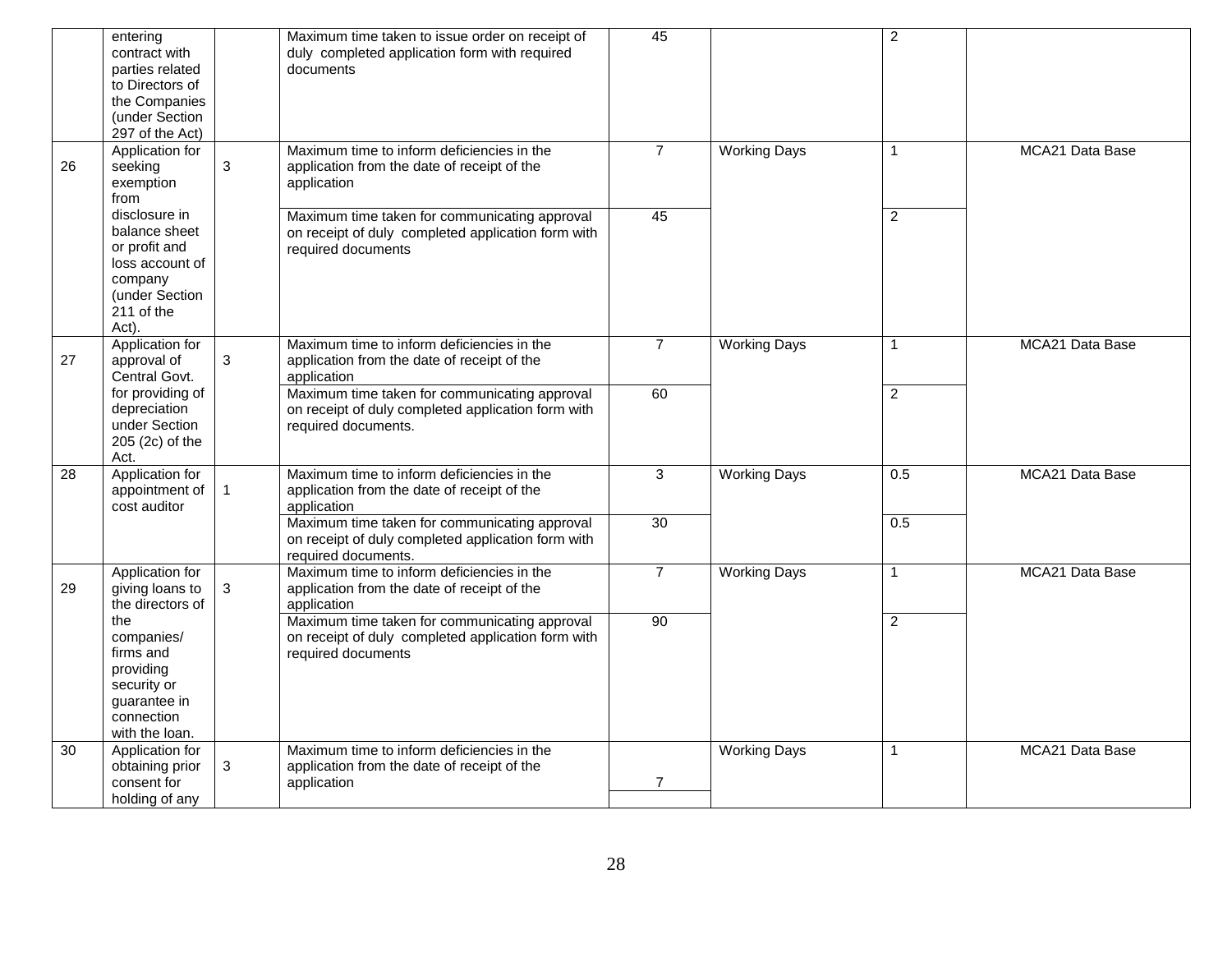|    | entering<br>contract with<br>parties related<br>to Directors of<br>the Companies<br>(under Section<br>297 of the Act)  |                | Maximum time taken to issue order on receipt of<br>duly completed application form with required<br>documents              | 45             |                     | $\overline{c}$ |                 |
|----|------------------------------------------------------------------------------------------------------------------------|----------------|----------------------------------------------------------------------------------------------------------------------------|----------------|---------------------|----------------|-----------------|
| 26 | Application for<br>seeking<br>exemption<br>from                                                                        | 3              | Maximum time to inform deficiencies in the<br>application from the date of receipt of the<br>application                   | $\overline{7}$ | <b>Working Days</b> | 1              | MCA21 Data Base |
|    | disclosure in<br>balance sheet<br>or profit and<br>loss account of<br>company<br>(under Section<br>211 of the<br>Act). |                | Maximum time taken for communicating approval<br>on receipt of duly completed application form with<br>required documents  | 45             |                     | $\overline{c}$ |                 |
| 27 | Application for<br>approval of<br>Central Govt.                                                                        | $\mathsf 3$    | Maximum time to inform deficiencies in the<br>application from the date of receipt of the<br>application                   | $\overline{7}$ | <b>Working Days</b> | 1              | MCA21 Data Base |
|    | for providing of<br>depreciation<br>under Section<br>205 (2c) of the<br>Act.                                           |                | Maximum time taken for communicating approval<br>on receipt of duly completed application form with<br>required documents. | 60             |                     | $\overline{2}$ |                 |
| 28 | Application for<br>appointment of<br>cost auditor                                                                      | $\overline{1}$ | Maximum time to inform deficiencies in the<br>application from the date of receipt of the<br>application                   | 3              | <b>Working Days</b> | 0.5            | MCA21 Data Base |
|    |                                                                                                                        |                | Maximum time taken for communicating approval<br>on receipt of duly completed application form with<br>required documents. | 30             |                     | 0.5            |                 |
| 29 | Application for<br>giving loans to<br>the directors of                                                                 | $\mathbf{3}$   | Maximum time to inform deficiencies in the<br>application from the date of receipt of the<br>application                   | $\overline{7}$ | <b>Working Days</b> | $\mathbf{1}$   | MCA21 Data Base |
|    | the<br>companies/<br>firms and<br>providing<br>security or<br>quarantee in<br>connection<br>with the loan.             |                | Maximum time taken for communicating approval<br>on receipt of duly completed application form with<br>required documents  | 90             |                     | $\overline{2}$ |                 |
| 30 | Application for<br>obtaining prior<br>consent for<br>holding of any                                                    | $\mathbf{3}$   | Maximum time to inform deficiencies in the<br>application from the date of receipt of the<br>application                   | $\overline{7}$ | <b>Working Days</b> | $\mathbf{1}$   | MCA21 Data Base |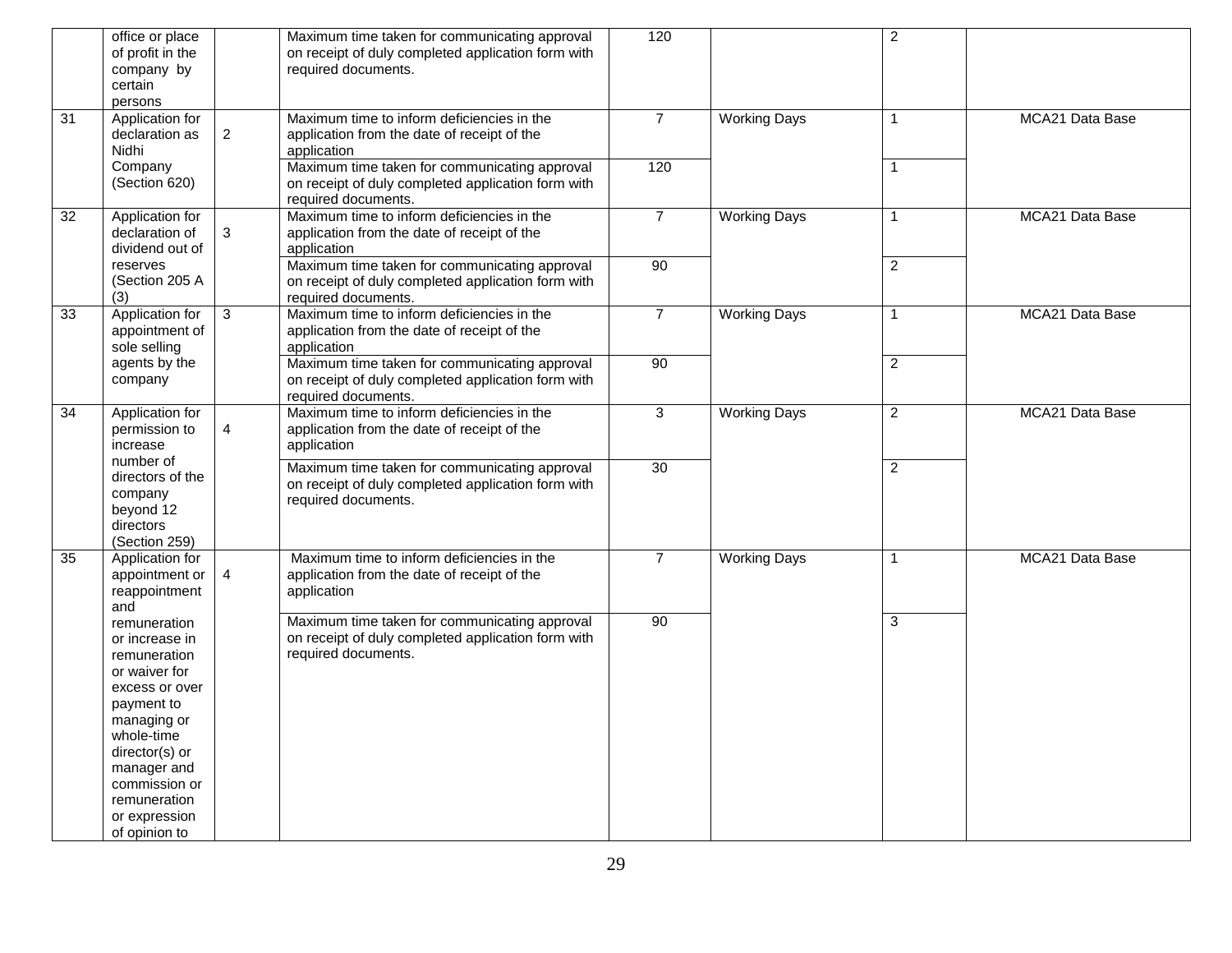|                 | office or place<br>of profit in the<br>company by<br>certain<br>persons                                                                                                                                                          |                | Maximum time taken for communicating approval<br>on receipt of duly completed application form with<br>required documents. | 120            |                     | $\overline{2}$ |                 |
|-----------------|----------------------------------------------------------------------------------------------------------------------------------------------------------------------------------------------------------------------------------|----------------|----------------------------------------------------------------------------------------------------------------------------|----------------|---------------------|----------------|-----------------|
| $\overline{31}$ | Application for<br>declaration as<br><b>Nidhi</b>                                                                                                                                                                                | $\overline{2}$ | Maximum time to inform deficiencies in the<br>application from the date of receipt of the<br>application                   | $\overline{7}$ | <b>Working Days</b> | $\mathbf{1}$   | MCA21 Data Base |
|                 | Company<br>(Section 620)                                                                                                                                                                                                         |                | Maximum time taken for communicating approval<br>on receipt of duly completed application form with<br>required documents. | 120            |                     | $\mathbf{1}$   |                 |
| $\overline{32}$ | Application for<br>declaration of<br>dividend out of                                                                                                                                                                             | 3              | Maximum time to inform deficiencies in the<br>application from the date of receipt of the<br>application                   | $\overline{7}$ | <b>Working Days</b> | $\mathbf{1}$   | MCA21 Data Base |
|                 | reserves<br>(Section 205 A<br>(3)                                                                                                                                                                                                |                | Maximum time taken for communicating approval<br>on receipt of duly completed application form with<br>required documents. | 90             |                     | $\overline{2}$ |                 |
| 33              | Application for<br>appointment of<br>sole selling                                                                                                                                                                                | $\mathbf{3}$   | Maximum time to inform deficiencies in the<br>application from the date of receipt of the<br>application                   | $\overline{7}$ | <b>Working Days</b> | $\mathbf{1}$   | MCA21 Data Base |
|                 | agents by the<br>company                                                                                                                                                                                                         |                | Maximum time taken for communicating approval<br>on receipt of duly completed application form with<br>required documents. | 90             |                     | $\overline{2}$ |                 |
| 34              | Application for<br>permission to<br>increase                                                                                                                                                                                     | $\overline{4}$ | Maximum time to inform deficiencies in the<br>application from the date of receipt of the<br>application                   | 3              | <b>Working Days</b> | $\overline{2}$ | MCA21 Data Base |
|                 | number of<br>directors of the<br>company<br>beyond 12<br>directors<br>(Section 259)                                                                                                                                              |                | Maximum time taken for communicating approval<br>on receipt of duly completed application form with<br>required documents. | 30             |                     | $\overline{2}$ |                 |
| 35              | Application for<br>appointment or<br>reappointment<br>and                                                                                                                                                                        | $\overline{4}$ | Maximum time to inform deficiencies in the<br>application from the date of receipt of the<br>application                   | $\overline{7}$ | <b>Working Days</b> | $\mathbf{1}$   | MCA21 Data Base |
|                 | remuneration<br>or increase in<br>remuneration<br>or waiver for<br>excess or over<br>payment to<br>managing or<br>whole-time<br>director(s) or<br>manager and<br>commission or<br>remuneration<br>or expression<br>of opinion to |                | Maximum time taken for communicating approval<br>on receipt of duly completed application form with<br>required documents. | 90             |                     | $\overline{3}$ |                 |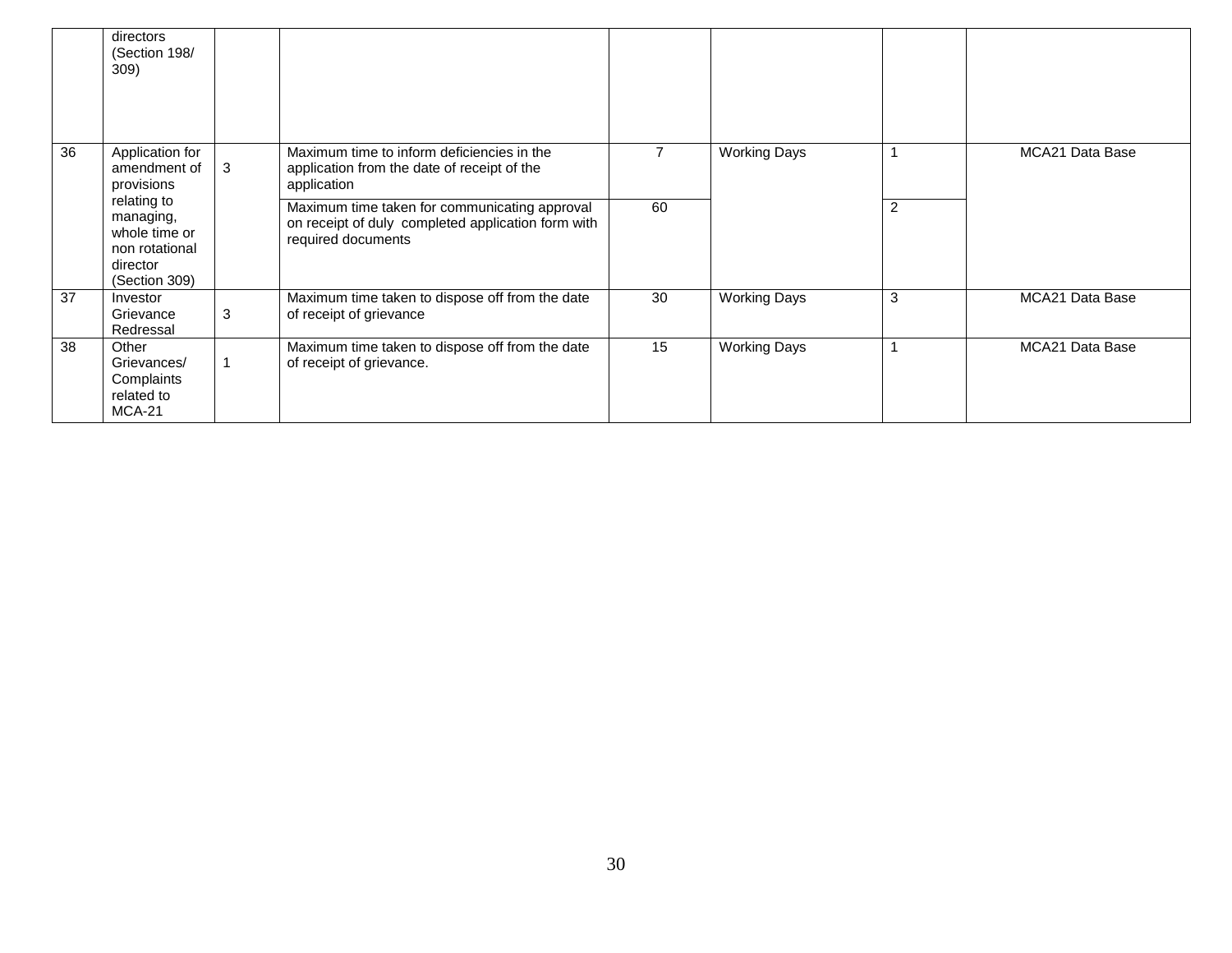|    | directors<br>(Section 198/<br>309)                                                       |   |                                                                                                                           |    |                     |   |                 |
|----|------------------------------------------------------------------------------------------|---|---------------------------------------------------------------------------------------------------------------------------|----|---------------------|---|-----------------|
| 36 | Application for<br>amendment of<br>provisions                                            | 3 | Maximum time to inform deficiencies in the<br>application from the date of receipt of the<br>application                  |    | <b>Working Days</b> |   | MCA21 Data Base |
|    | relating to<br>managing,<br>whole time or<br>non rotational<br>director<br>(Section 309) |   | Maximum time taken for communicating approval<br>on receipt of duly completed application form with<br>required documents | 60 |                     | 2 |                 |
| 37 | Investor<br>Grievance<br>Redressal                                                       | 3 | Maximum time taken to dispose off from the date<br>of receipt of grievance                                                | 30 | <b>Working Days</b> | 3 | MCA21 Data Base |
| 38 | Other<br>Grievances/<br>Complaints<br>related to<br>$MCA-21$                             |   | Maximum time taken to dispose off from the date<br>of receipt of grievance.                                               | 15 | <b>Working Days</b> |   | MCA21 Data Base |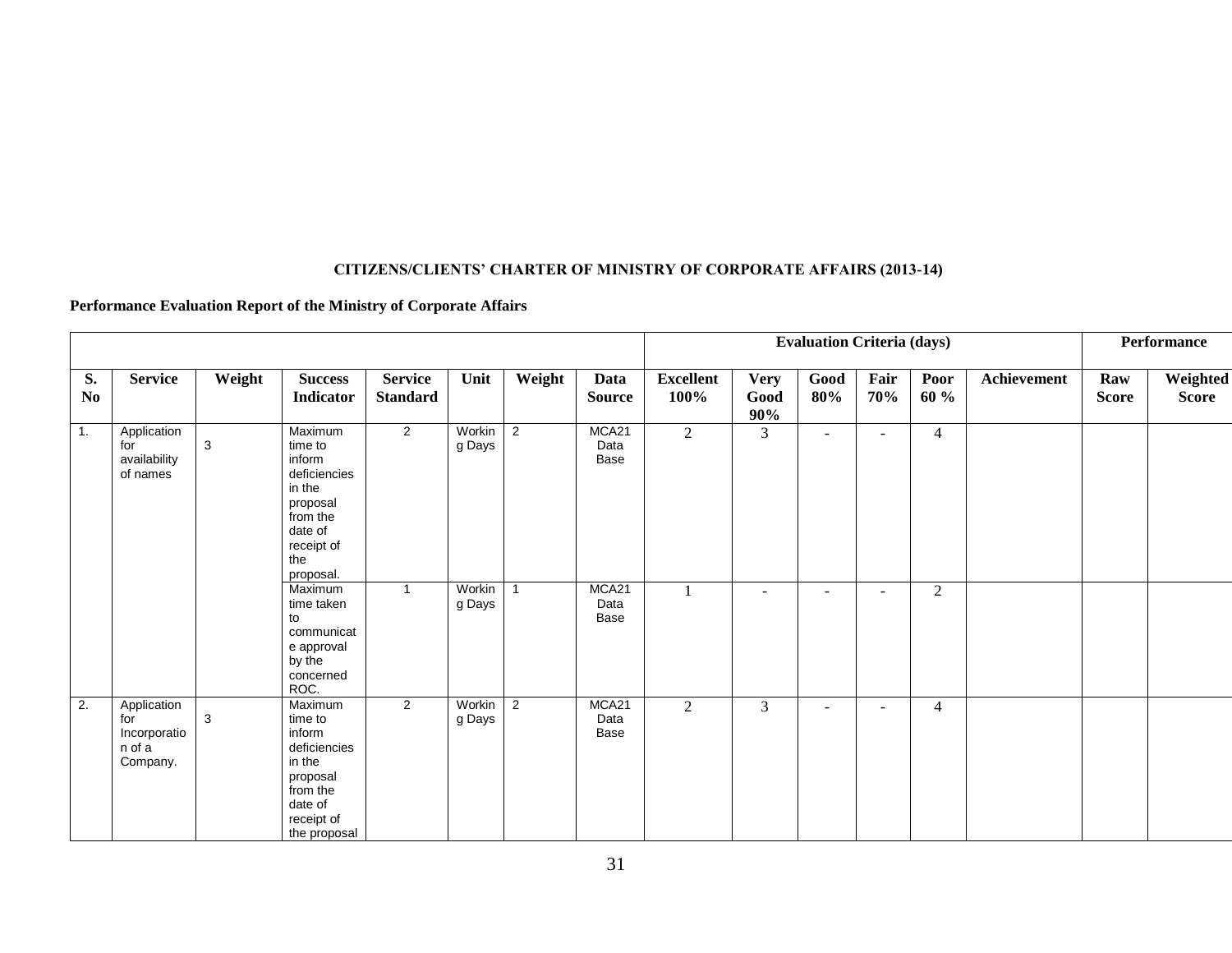#### **CITIZENS/CLIENTS' CHARTER OF MINISTRY OF CORPORATE AFFAIRS (2013-14)**

#### **Performance Evaluation Report of the Ministry of Corporate Affairs**

|                      |                                                          |              |                                                                                                                                                                                                                       |                                   |                                      |                                  |                                                |                          |                               | <b>Evaluation Criteria (days)</b>  |                                    |                                  |             |                     | Performance       |
|----------------------|----------------------------------------------------------|--------------|-----------------------------------------------------------------------------------------------------------------------------------------------------------------------------------------------------------------------|-----------------------------------|--------------------------------------|----------------------------------|------------------------------------------------|--------------------------|-------------------------------|------------------------------------|------------------------------------|----------------------------------|-------------|---------------------|-------------------|
| S.<br>N <sub>0</sub> | <b>Service</b>                                           | Weight       | <b>Success</b><br>Indicator                                                                                                                                                                                           | <b>Service</b><br><b>Standard</b> | Unit                                 | Weight                           | Data<br><b>Source</b>                          | <b>Excellent</b><br>100% | <b>Very</b><br>Good<br>90%    | Good<br>80%                        | Fair<br>70%                        | Poor<br>60 %                     | Achievement | Raw<br><b>Score</b> | Weighted<br>Score |
| 1.                   | Application<br>for<br>availability<br>of names           | $\mathbf{3}$ | Maximum<br>time to<br>inform<br>deficiencies<br>in the<br>proposal<br>from the<br>date of<br>receipt of<br>the<br>proposal.<br>Maximum<br>time taken<br>to<br>communicat<br>e approval<br>by the<br>concerned<br>ROC. | $\overline{2}$<br>$\mathbf{1}$    | Workin<br>g Days<br>Workin<br>g Days | $\overline{2}$<br>$\overline{1}$ | MCA21<br>Data<br>Base<br>MCA21<br>Data<br>Base | $\overline{2}$           | 3<br>$\overline{\phantom{a}}$ | $\sim$<br>$\overline{\phantom{a}}$ | $\sim$<br>$\overline{\phantom{a}}$ | $\overline{4}$<br>$\overline{2}$ |             |                     |                   |
| 2.                   | Application<br>for<br>Incorporatio<br>n of a<br>Company. | 3            | Maximum<br>time to<br>inform<br>deficiencies<br>in the<br>proposal<br>from the<br>date of<br>receipt of<br>the proposal                                                                                               | $\overline{2}$                    | Workin<br>g Days                     | 2                                | MCA21<br>Data<br>Base                          | $\overline{2}$           | 3                             | $\overline{\phantom{a}}$           | $\overline{\phantom{a}}$           | $\overline{4}$                   |             |                     |                   |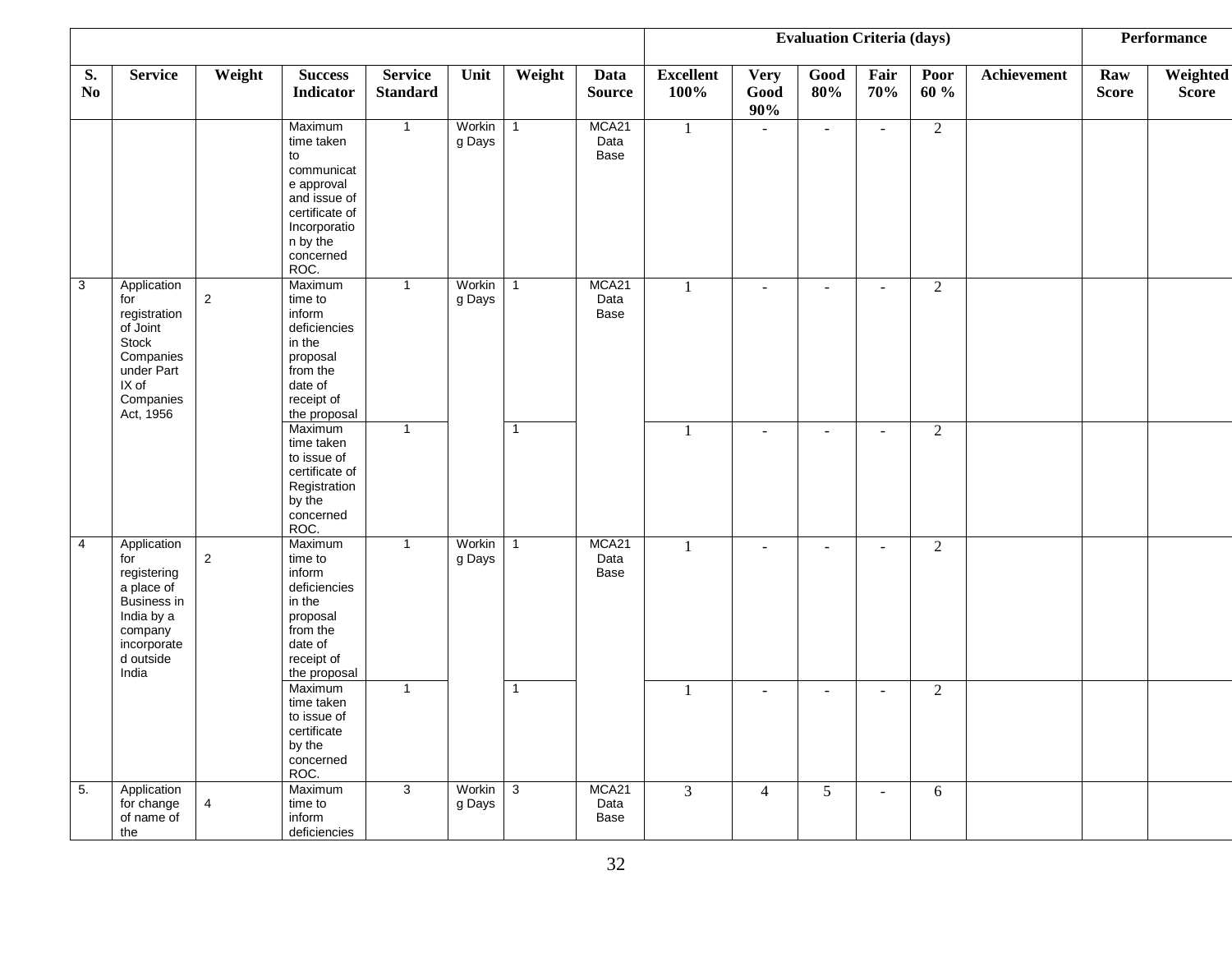|                      |                                                                                                                              |                |                                                                                                                                            |                                   |                  |                |                       |                          |                            | <b>Evaluation Criteria (days)</b> |              |                |                    |                     | Performance              |
|----------------------|------------------------------------------------------------------------------------------------------------------------------|----------------|--------------------------------------------------------------------------------------------------------------------------------------------|-----------------------------------|------------------|----------------|-----------------------|--------------------------|----------------------------|-----------------------------------|--------------|----------------|--------------------|---------------------|--------------------------|
| S.<br>N <sub>0</sub> | <b>Service</b>                                                                                                               | Weight         | <b>Success</b><br><b>Indicator</b>                                                                                                         | <b>Service</b><br><b>Standard</b> | Unit             | Weight         | Data<br><b>Source</b> | <b>Excellent</b><br>100% | <b>Very</b><br>Good<br>90% | Good<br>80%                       | Fair<br>70%  | Poor<br>60 %   | <b>Achievement</b> | Raw<br><b>Score</b> | Weighted<br><b>Score</b> |
|                      |                                                                                                                              |                | Maximum<br>time taken<br>to<br>communicat<br>e approval<br>and issue of<br>certificate of<br>Incorporatio<br>n by the<br>concerned<br>ROC. | $\overline{1}$                    | Workin<br>g Days | $\mathbf{1}$   | MCA21<br>Data<br>Base | $\mathbf{1}$             | $\omega$                   | $\omega$                          | $\sim$       | $\overline{2}$ |                    |                     |                          |
| $\overline{3}$       | Application<br>for<br>registration<br>of Joint<br>Stock<br>Companies<br>under Part<br>IX of<br>Companies<br>Act, 1956        | $\overline{2}$ | Maximum<br>time to<br>inform<br>deficiencies<br>in the<br>proposal<br>from the<br>date of<br>receipt of<br>the proposal                    | $\overline{1}$                    | Workin<br>g Days | $\overline{1}$ | MCA21<br>Data<br>Base | $\mathbf{1}$             | $\sim$                     | $\sim$                            | $\sim$       | $\overline{2}$ |                    |                     |                          |
|                      |                                                                                                                              |                | Maximum<br>time taken<br>to issue of<br>certificate of<br>Registration<br>by the<br>concerned<br>ROC.                                      | $\overline{1}$                    |                  | $\overline{1}$ |                       | $\overline{1}$           | $\sim$                     | $\overline{\phantom{a}}$          | $\omega$     | $\sqrt{2}$     |                    |                     |                          |
| $\overline{4}$       | Application<br>for<br>registering<br>a place of<br>Business in<br>India by a<br>company<br>incorporate<br>d outside<br>India | $\overline{2}$ | Maximum<br>time to<br>inform<br>deficiencies<br>in the<br>proposal<br>from the<br>date of<br>receipt of<br>the proposal                    | $\mathbf{1}$                      | Workin<br>g Days | $\mathbf 1$    | MCA21<br>Data<br>Base | $\mathbf{1}$             | $\overline{a}$             | $\overline{a}$                    |              | $\sqrt{2}$     |                    |                     |                          |
|                      |                                                                                                                              |                | Maximum<br>time taken<br>to issue of<br>certificate<br>by the<br>concerned<br>ROC.                                                         | $\overline{1}$                    |                  | $\overline{1}$ |                       | $\mathbf{1}$             | $\sim$                     | $\sim$                            | $\mathbf{r}$ | $\overline{2}$ |                    |                     |                          |
| 5.                   | Application<br>for change<br>of name of<br>the                                                                               | $\overline{4}$ | Maximum<br>time to<br>inform<br>deficiencies                                                                                               | 3                                 | Workin<br>g Days | $\mathbf{3}$   | MCA21<br>Data<br>Base | $\overline{3}$           | $\overline{4}$             | 5                                 | $\sim$       | 6              |                    |                     |                          |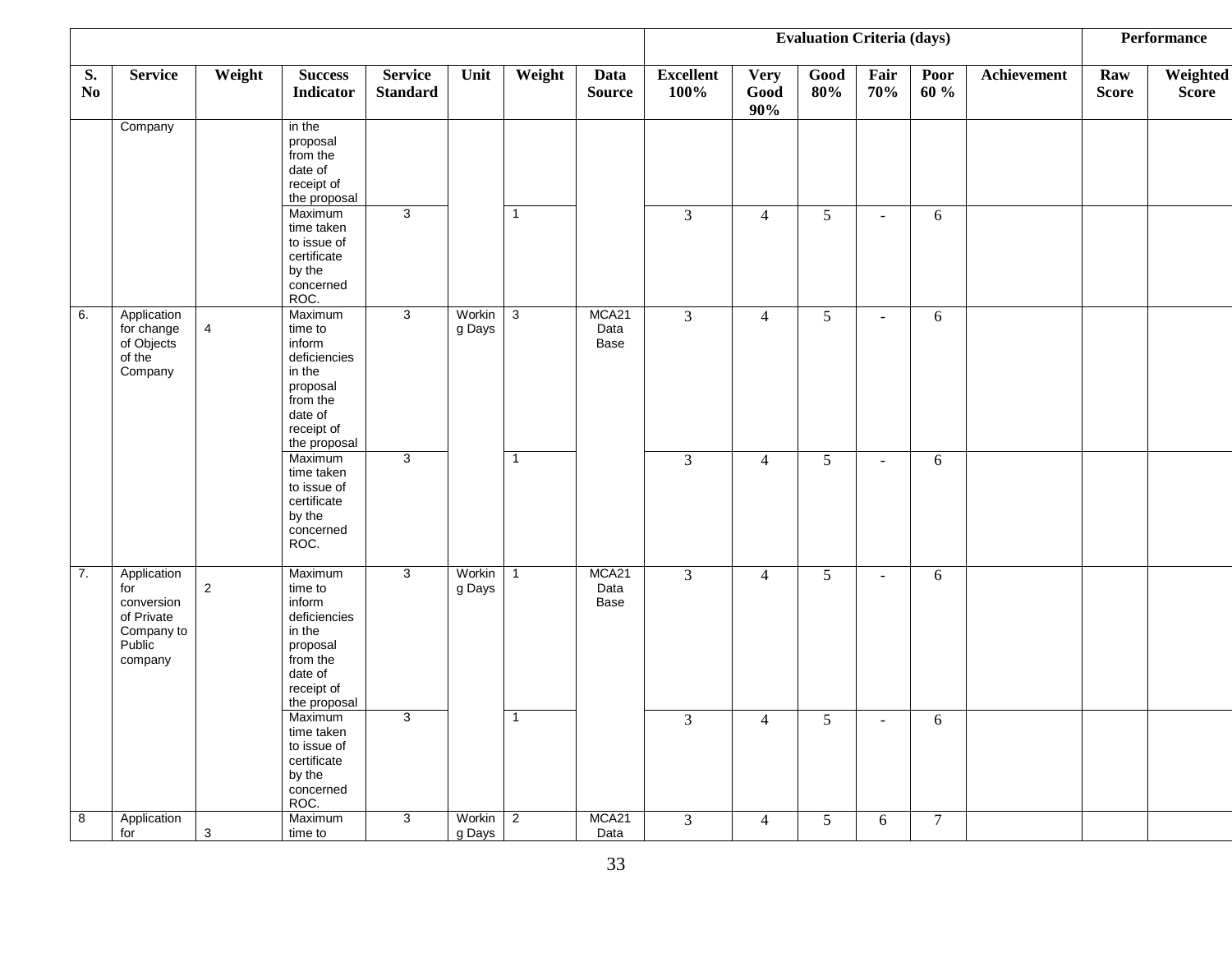|                      |                                                                                   |                |                                                                                                                         |                                   |                    |                |                       |                          |                            | <b>Evaluation Criteria (days)</b> |             |              |             |                     | <b>Performance</b>       |
|----------------------|-----------------------------------------------------------------------------------|----------------|-------------------------------------------------------------------------------------------------------------------------|-----------------------------------|--------------------|----------------|-----------------------|--------------------------|----------------------------|-----------------------------------|-------------|--------------|-------------|---------------------|--------------------------|
| S.<br>N <sub>0</sub> | <b>Service</b>                                                                    | Weight         | <b>Success</b><br><b>Indicator</b>                                                                                      | <b>Service</b><br><b>Standard</b> | Unit               | Weight         | Data<br><b>Source</b> | <b>Excellent</b><br>100% | <b>Very</b><br>Good<br>90% | $\mathbf{Good}$<br>80%            | Fair<br>70% | Poor<br>60 % | Achievement | Raw<br><b>Score</b> | Weighted<br><b>Score</b> |
|                      | Company                                                                           |                | in the<br>proposal<br>from the<br>date of<br>receipt of<br>the proposal                                                 |                                   |                    |                |                       |                          |                            |                                   |             |              |             |                     |                          |
|                      |                                                                                   |                | Maximum<br>time taken<br>to issue of<br>certificate<br>by the<br>concerned<br>ROC.                                      | $\overline{3}$                    |                    | $\overline{1}$ |                       | $\mathfrak{Z}$           | $\overline{4}$             | 5                                 | $\sim$      | 6            |             |                     |                          |
| 6.                   | Application<br>for change<br>of Objects<br>of the<br>Company                      | 4              | Maximum<br>time to<br>inform<br>deficiencies<br>in the<br>proposal<br>from the<br>date of<br>receipt of<br>the proposal | $\mathbf{3}$                      | Workin<br>g Days   | $\mathbf{3}$   | MCA21<br>Data<br>Base | $\overline{3}$           | $\overline{4}$             | $5\overline{)}$                   | $\sim$      | 6            |             |                     |                          |
|                      |                                                                                   |                | Maximum<br>time taken<br>to issue of<br>certificate<br>by the<br>concerned<br>ROC.                                      | $\mathbf{3}$                      |                    | $\mathbf 1$    |                       | 3                        | $\overline{4}$             | 5                                 | $\sim$      | 6            |             |                     |                          |
| 7.                   | Application<br>for<br>conversion<br>of Private<br>Company to<br>Public<br>company | $\overline{2}$ | Maximum<br>time to<br>inform<br>deficiencies<br>in the<br>proposal<br>from the<br>date of<br>receipt of<br>the proposal | 3                                 | Workin<br>g Days   | $\overline{1}$ | MCA21<br>Data<br>Base | $\overline{3}$           | $\overline{4}$             | $\mathfrak{S}$                    | $\sim$      | 6            |             |                     |                          |
|                      |                                                                                   |                | Maximum<br>time taken<br>to issue of<br>certificate<br>by the<br>concerned<br>ROC.                                      | 3                                 |                    | $\overline{1}$ |                       | 3                        | $\overline{4}$             | 5                                 | $\sim$      | 6            |             |                     |                          |
| 8                    | Application<br>for                                                                | $\mathbf{3}$   | Maximum<br>time to                                                                                                      | $\mathbf{3}$                      | Workin 2<br>g Days |                | MCA21<br>Data         | 3 <sup>7</sup>           | $\overline{4}$             | $5\overline{)}$                   | 6           | $\tau$       |             |                     |                          |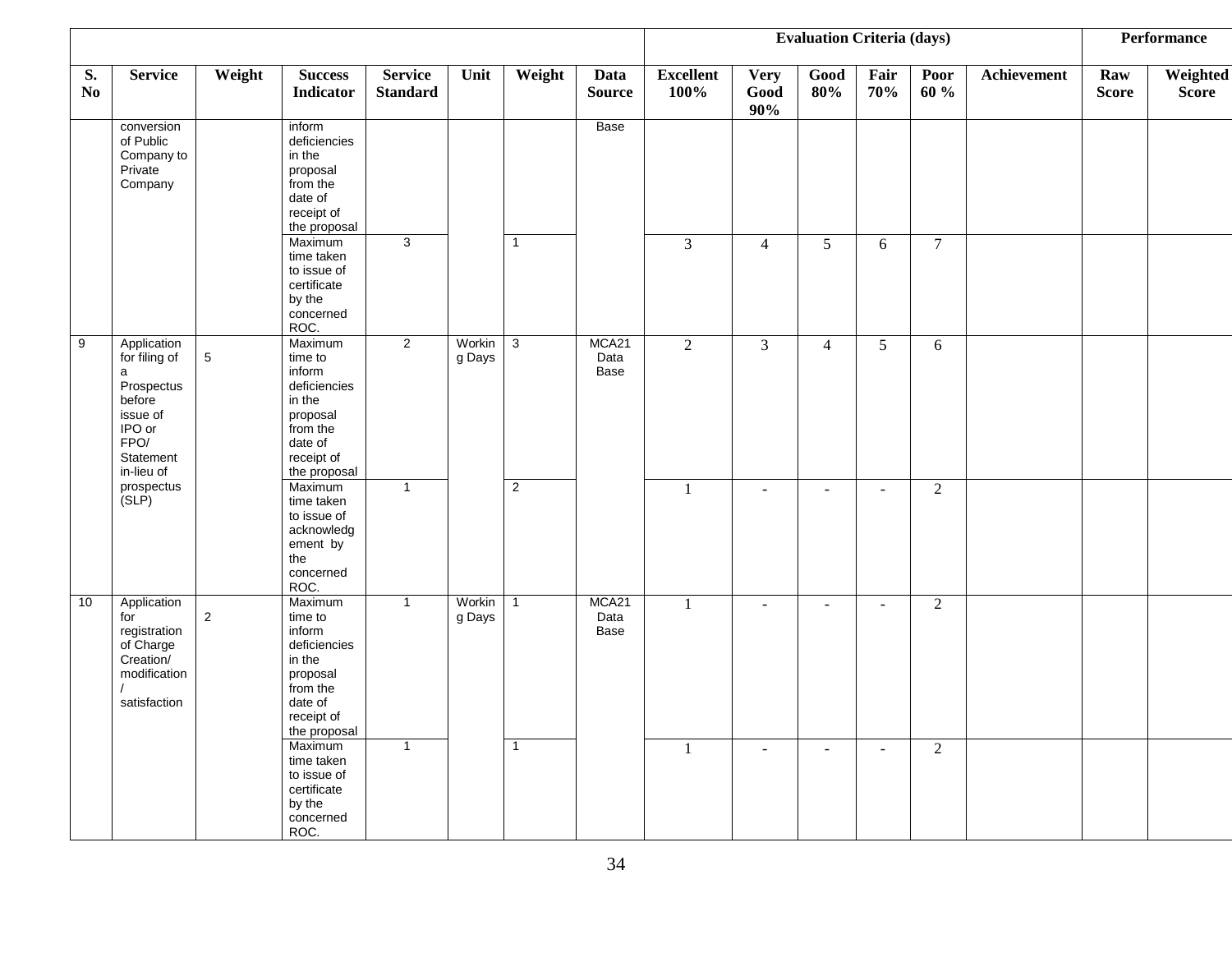|                      |                                                                                                                    |                |                                                                                                                         |                                   |                  |                |                       |                          |                            | <b>Evaluation Criteria (days)</b> |                |                |             |                     | <b>Performance</b>       |
|----------------------|--------------------------------------------------------------------------------------------------------------------|----------------|-------------------------------------------------------------------------------------------------------------------------|-----------------------------------|------------------|----------------|-----------------------|--------------------------|----------------------------|-----------------------------------|----------------|----------------|-------------|---------------------|--------------------------|
| S.<br>N <sub>0</sub> | <b>Service</b>                                                                                                     | Weight         | $\ensuremath{\mathsf{Success}}$<br><b>Indicator</b>                                                                     | <b>Service</b><br><b>Standard</b> | Unit             | Weight         | Data<br><b>Source</b> | <b>Excellent</b><br>100% | <b>Very</b><br>Good<br>90% | Good<br>80%                       | Fair<br>70%    | Poor<br>60 %   | Achievement | Raw<br><b>Score</b> | Weighted<br><b>Score</b> |
|                      | conversion<br>of Public<br>Company to<br>Private<br>Company                                                        |                | inform<br>deficiencies<br>in the<br>proposal<br>from the<br>date of<br>receipt of<br>the proposal                       |                                   |                  |                | Base                  |                          |                            |                                   |                |                |             |                     |                          |
|                      |                                                                                                                    |                | Maximum<br>time taken<br>to issue of<br>certificate<br>by the<br>concerned<br>ROC.                                      | 3                                 |                  | $\overline{1}$ |                       | 3                        | $\overline{4}$             | 5                                 | 6              | $\overline{7}$ |             |                     |                          |
| 9                    | Application<br>for filing of<br>a<br>Prospectus<br>before<br>issue of<br>IPO or<br>FPO/<br>Statement<br>in-lieu of | $\,$ 5 $\,$    | Maximum<br>time to<br>inform<br>deficiencies<br>in the<br>proposal<br>from the<br>date of<br>receipt of<br>the proposal | $\overline{2}$                    | Workin<br>g Days | $\overline{3}$ | MCA21<br>Data<br>Base | $\overline{2}$           | 3                          | $\overline{4}$                    | 5              | 6              |             |                     |                          |
|                      | prospectus<br>(SLP)                                                                                                |                | Maximum<br>time taken<br>to issue of<br>acknowledg<br>ement by<br>the<br>concerned<br>ROC.                              | $\overline{1}$                    |                  | 2              |                       | $\mathbf{1}$             | $\sim$                     | $\sim$                            | $\sim$         | $\overline{2}$ |             |                     |                          |
| 10                   | Application<br>for<br>registration<br>of Charge<br>Creation/<br>modification<br>satisfaction                       | $\overline{2}$ | Maximum<br>time to<br>inform<br>deficiencies<br>in the<br>proposal<br>from the<br>date of<br>receipt of<br>the proposal | $\overline{1}$                    | Workin<br>g Days | $\overline{1}$ | MCA21<br>Data<br>Base | $\mathbf{1}$             | $\blacksquare$             | $\sim$                            | $\blacksquare$ | $\overline{2}$ |             |                     |                          |
|                      |                                                                                                                    |                | Maximum<br>time taken<br>to issue of<br>certificate<br>by the<br>concerned<br>ROC.                                      | $\overline{1}$                    |                  | $\overline{1}$ |                       | 1                        | $\overline{\phantom{a}}$   | $\sim$                            | $\sim$         | $\overline{2}$ |             |                     |                          |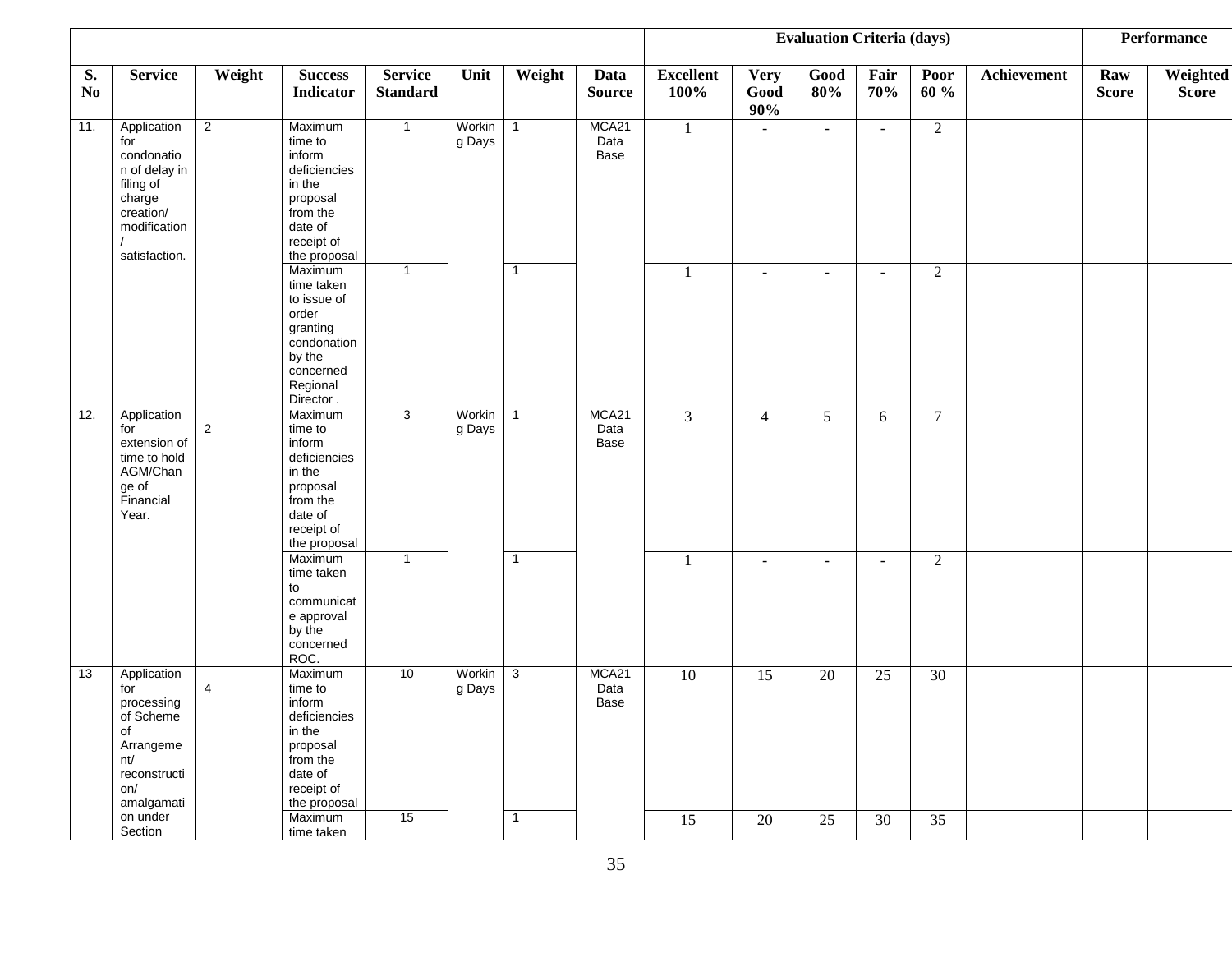|                      |                                                                                                                        |                |                                                                                                                          |                                   |                  |                |                       |                          |                            | <b>Evaluation Criteria (days)</b> |             |                |             |                     | <b>Performance</b>       |
|----------------------|------------------------------------------------------------------------------------------------------------------------|----------------|--------------------------------------------------------------------------------------------------------------------------|-----------------------------------|------------------|----------------|-----------------------|--------------------------|----------------------------|-----------------------------------|-------------|----------------|-------------|---------------------|--------------------------|
| S.<br>N <sub>0</sub> | <b>Service</b>                                                                                                         | Weight         | <b>Success</b><br>Indicator                                                                                              | <b>Service</b><br><b>Standard</b> | Unit             | Weight         | Data<br><b>Source</b> | <b>Excellent</b><br>100% | <b>Very</b><br>Good<br>90% | Good<br>80%                       | Fair<br>70% | Poor<br>60 %   | Achievement | Raw<br><b>Score</b> | Weighted<br><b>Score</b> |
| 11.                  | Application<br>for<br>condonatio<br>n of delay in<br>filing of<br>charge<br>creation/<br>modification<br>satisfaction. | $\overline{2}$ | Maximum<br>time to<br>inform<br>deficiencies<br>in the<br>proposal<br>from the<br>date of<br>receipt of<br>the proposal  | $\overline{1}$                    | Workin<br>g Days | $\mathbf 1$    | MCA21<br>Data<br>Base | $\mathbf{1}$             |                            | $\sim$                            | $\sim$      | $\overline{2}$ |             |                     |                          |
|                      |                                                                                                                        |                | Maximum<br>time taken<br>to issue of<br>order<br>granting<br>condonation<br>by the<br>concerned<br>Regional<br>Director. | $\overline{1}$                    |                  | $\mathbf 1$    |                       | $\overline{1}$           | $\blacksquare$             | $\overline{a}$                    |             | $\overline{2}$ |             |                     |                          |
| 12.                  | Application<br>for<br>extension of<br>time to hold<br>AGM/Chan<br>ge of<br>Financial<br>Year.                          | $\overline{2}$ | Maximum<br>time to<br>inform<br>deficiencies<br>in the<br>proposal<br>from the<br>date of<br>receipt of<br>the proposal  | 3                                 | Workin<br>g Days | $\overline{1}$ | MCA21<br>Data<br>Base | $\overline{3}$           | $\overline{4}$             | 5                                 | 6           | $\tau$         |             |                     |                          |
|                      |                                                                                                                        |                | Maximum<br>time taken<br>to<br>communicat<br>e approval<br>by the<br>concerned<br>ROC.                                   | $\overline{1}$                    |                  | $\overline{1}$ |                       | 1                        | $\blacksquare$             | $\overline{\phantom{a}}$          | $\sim$      | $\overline{2}$ |             |                     |                          |
| 13                   | Application<br>for<br>processing<br>of Scheme<br>of<br>Arrangeme<br>nt/<br>reconstructi<br>on/<br>amalgamati           | 4              | Maximum<br>time to<br>inform<br>deficiencies<br>in the<br>proposal<br>from the<br>date of<br>receipt of<br>the proposal  | 10                                | Workin<br>g Days | 3              | MCA21<br>Data<br>Base | 10                       | 15                         | 20                                | 25          | 30             |             |                     |                          |
|                      | on under<br>Section                                                                                                    |                | Maximum<br>time taken                                                                                                    | 15                                |                  | $\overline{1}$ |                       | 15                       | 20                         | 25                                | 30          | 35             |             |                     |                          |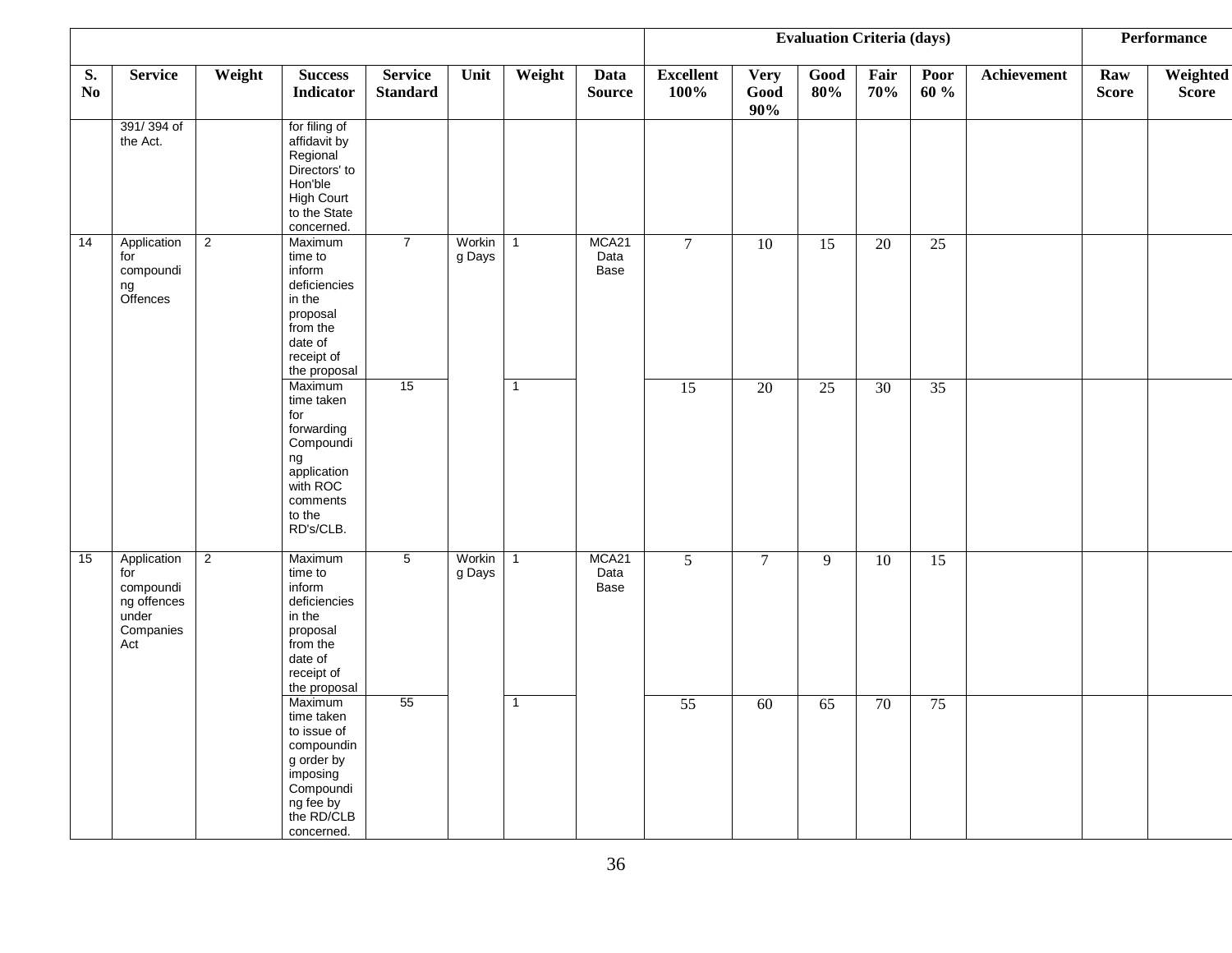|                      |                                                                             |                |                                                                                                                                    |                                   |                  |                |                       |                          |                            | <b>Evaluation Criteria (days)</b> |                 |                 |             |                     | <b>Performance</b>       |
|----------------------|-----------------------------------------------------------------------------|----------------|------------------------------------------------------------------------------------------------------------------------------------|-----------------------------------|------------------|----------------|-----------------------|--------------------------|----------------------------|-----------------------------------|-----------------|-----------------|-------------|---------------------|--------------------------|
| S.<br>N <sub>0</sub> | <b>Service</b>                                                              | Weight         | <b>Success</b><br><b>Indicator</b>                                                                                                 | <b>Service</b><br><b>Standard</b> | Unit             | Weight         | Data<br><b>Source</b> | <b>Excellent</b><br>100% | <b>Very</b><br>Good<br>90% | $\mathbf{Good}$<br>80%            | Fair<br>70%     | Poor<br>60 %    | Achievement | Raw<br><b>Score</b> | Weighted<br><b>Score</b> |
|                      | 391/394 of<br>the Act.                                                      |                | for filing of<br>affidavit by<br>Regional<br>Directors' to<br>Hon'ble<br><b>High Court</b><br>to the State<br>concerned.           |                                   |                  |                |                       |                          |                            |                                   |                 |                 |             |                     |                          |
| 14                   | Application<br>for<br>compoundi<br>ng<br>Offences                           | $\overline{2}$ | Maximum<br>time to<br>inform<br>deficiencies<br>in the<br>proposal<br>from the<br>date of<br>receipt of<br>the proposal            | $\overline{7}$                    | Workin<br>g Days | $\overline{1}$ | MCA21<br>Data<br>Base | $\overline{7}$           | $\overline{10}$            | 15                                | $\overline{20}$ | $\overline{25}$ |             |                     |                          |
|                      |                                                                             |                | Maximum<br>time taken<br>for<br>forwarding<br>Compoundi<br>ng<br>application<br>with ROC<br>comments<br>to the<br>RD's/CLB.        | 15                                |                  | $\overline{1}$ |                       | $\overline{15}$          | 20                         | $\overline{25}$                   | $\overline{30}$ | $\overline{35}$ |             |                     |                          |
| 15                   | Application<br>for<br>compoundi<br>ng offences<br>under<br>Companies<br>Act | $\overline{2}$ | Maximum<br>time to<br>inform<br>deficiencies<br>in the<br>proposal<br>from the<br>date of<br>receipt of<br>the proposal            | $5\overline{)}$                   | Workin<br>g Days | $\overline{1}$ | MCA21<br>Data<br>Base | $\overline{5}$           | $\overline{7}$             | $\overline{9}$                    | 10              | 15              |             |                     |                          |
|                      |                                                                             |                | Maximum<br>time taken<br>to issue of<br>compoundin<br>g order by<br>imposing<br>Compoundi<br>ng fee by<br>the RD/CLB<br>concerned. | 55                                |                  | $\overline{1}$ |                       | 55                       | $\overline{60}$            | $\overline{65}$                   | 70              | 75              |             |                     |                          |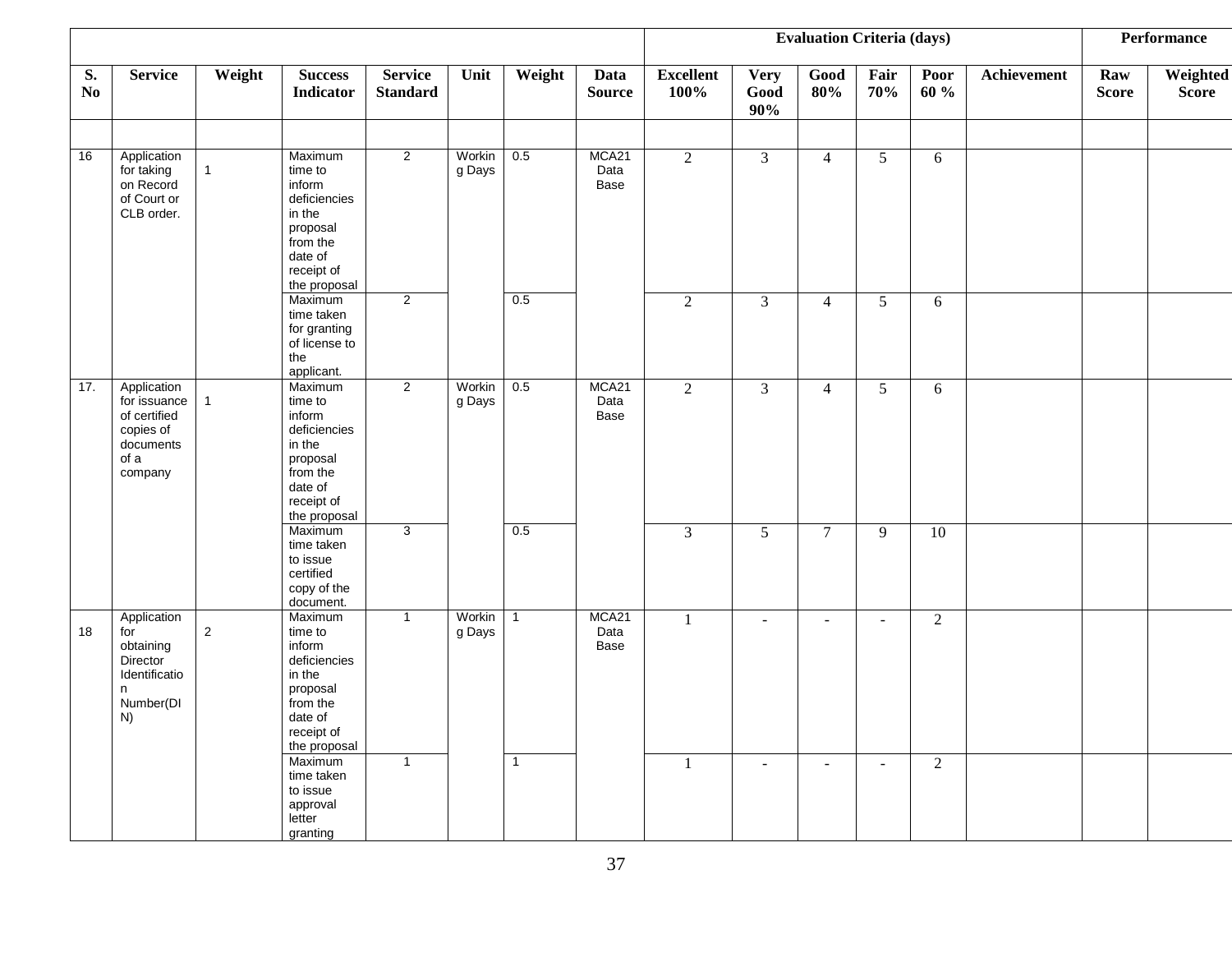|                      |                                                                                          |              |                                                                                                                         |                                   |                  |                |                       |                          |                            | <b>Evaluation Criteria (days)</b> |                 |                |             |                     | Performance              |
|----------------------|------------------------------------------------------------------------------------------|--------------|-------------------------------------------------------------------------------------------------------------------------|-----------------------------------|------------------|----------------|-----------------------|--------------------------|----------------------------|-----------------------------------|-----------------|----------------|-------------|---------------------|--------------------------|
| S.<br>N <sub>0</sub> | <b>Service</b>                                                                           | Weight       | <b>Success</b><br>Indicator                                                                                             | <b>Service</b><br><b>Standard</b> | Unit             | Weight         | Data<br><b>Source</b> | <b>Excellent</b><br>100% | <b>Very</b><br>Good<br>90% | $\mathbf{Good}$<br>80%            | Fair<br>70%     | Poor<br>60 %   | Achievement | Raw<br><b>Score</b> | Weighted<br><b>Score</b> |
| 16                   | Application<br>for taking<br>on Record<br>of Court or<br>CLB order.                      | $\mathbf{1}$ | Maximum<br>time to<br>inform<br>deficiencies<br>in the<br>proposal<br>from the<br>date of<br>receipt of<br>the proposal | $\overline{2}$                    | Workin<br>g Days | 0.5            | MCA21<br>Data<br>Base | $\overline{2}$           | $\mathfrak{Z}$             | $\overline{4}$                    | $5\overline{)}$ | 6              |             |                     |                          |
|                      |                                                                                          |              | Maximum<br>time taken<br>for granting<br>of license to<br>the<br>applicant.                                             | $\overline{2}$                    |                  | 0.5            |                       | $\overline{2}$           | 3                          | $\overline{4}$                    | $5\overline{)}$ | 6              |             |                     |                          |
| 17.                  | Application<br>for issuance<br>of certified<br>copies of<br>documents<br>of a<br>company | 1            | Maximum<br>time to<br>inform<br>deficiencies<br>in the<br>proposal<br>from the<br>date of<br>receipt of<br>the proposal | $\overline{2}$                    | Workin<br>g Days | 0.5            | MCA21<br>Data<br>Base | $\overline{2}$           | $\mathfrak{Z}$             | $\overline{4}$                    | $5\overline{)}$ | 6              |             |                     |                          |
|                      |                                                                                          |              | Maximum<br>time taken<br>to issue<br>certified<br>copy of the<br>document.                                              | 3                                 |                  | 0.5            |                       | 3                        | $\overline{5}$             | $\overline{7}$                    | 9               | 10             |             |                     |                          |
| 18                   | Application<br>for<br>obtaining<br>Director<br>Identificatio<br>n<br>Number(DI<br>N)     | $\sqrt{2}$   | Maximum<br>time to<br>inform<br>deficiencies<br>in the<br>proposal<br>from the<br>date of<br>receipt of<br>the proposal | $\mathbf{1}$                      | Workin<br>g Days | $\overline{1}$ | MCA21<br>Data<br>Base | 1                        | $\blacksquare$             | $\sim$                            | $\sim$          | $\sqrt{2}$     |             |                     |                          |
|                      |                                                                                          |              | Maximum<br>time taken<br>to issue<br>approval<br>letter<br>granting                                                     | $\overline{1}$                    |                  | $\overline{1}$ |                       | 1                        | $\sim$                     | $\sim$                            | $\sim$          | $\overline{2}$ |             |                     |                          |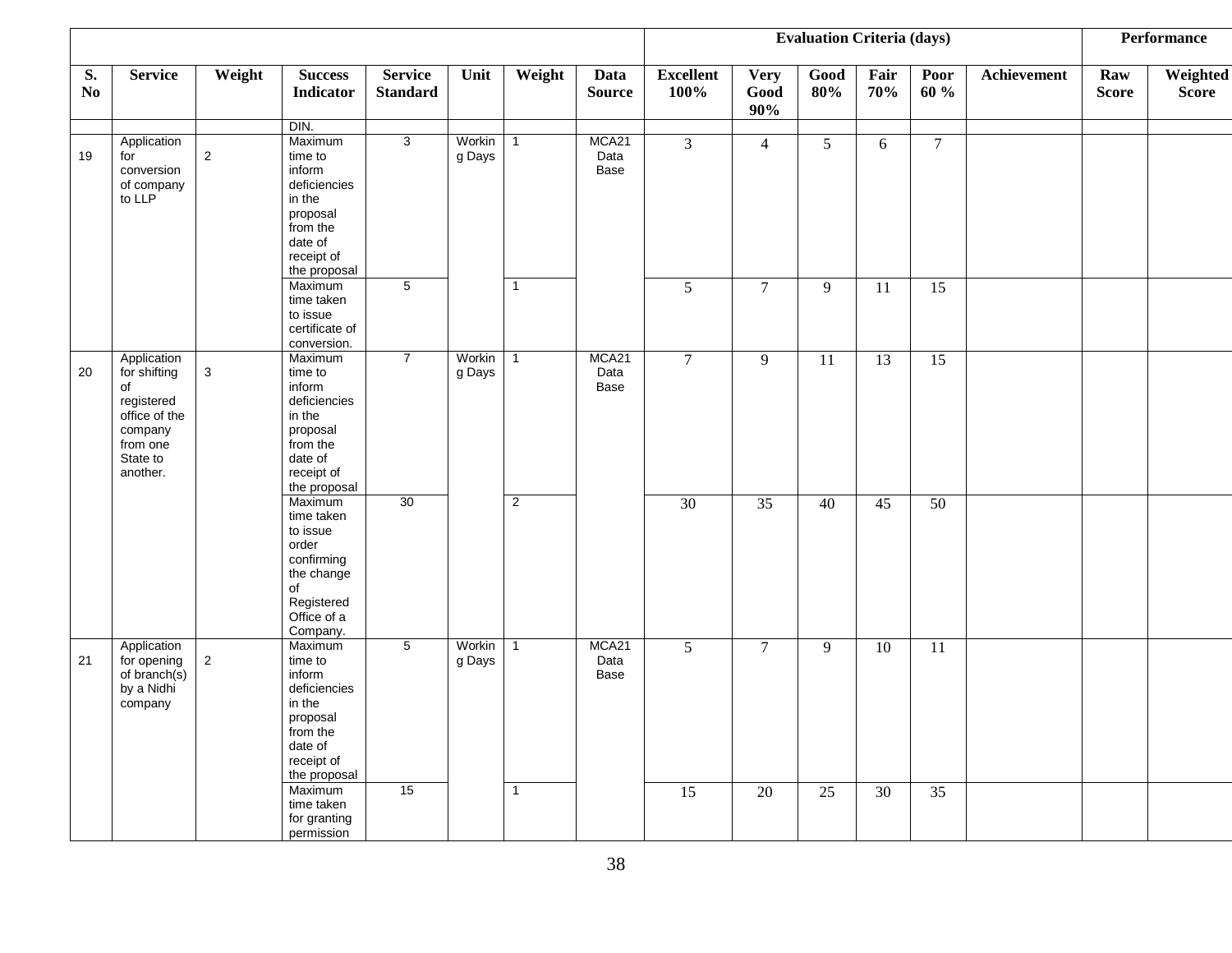|                      |                                                                                                                 |             |                                                                                                                         |                                   |                  |                |                       |                          |                            | <b>Evaluation Criteria (days)</b> |                 |                |             |                     | Performance              |
|----------------------|-----------------------------------------------------------------------------------------------------------------|-------------|-------------------------------------------------------------------------------------------------------------------------|-----------------------------------|------------------|----------------|-----------------------|--------------------------|----------------------------|-----------------------------------|-----------------|----------------|-------------|---------------------|--------------------------|
| S.<br>N <sub>0</sub> | <b>Service</b>                                                                                                  | Weight      | <b>Success</b><br>Indicator                                                                                             | <b>Service</b><br><b>Standard</b> | Unit             | Weight         | Data<br><b>Source</b> | <b>Excellent</b><br>100% | <b>Very</b><br>Good<br>90% | Good<br>80%                       | Fair<br>70%     | Poor<br>60 %   | Achievement | Raw<br><b>Score</b> | Weighted<br><b>Score</b> |
|                      |                                                                                                                 |             | DIN.                                                                                                                    |                                   |                  |                |                       |                          |                            |                                   |                 |                |             |                     |                          |
| 19                   | Application<br>for<br>conversion<br>of company<br>to LLP                                                        | $\sqrt{2}$  | Maximum<br>time to<br>inform<br>deficiencies<br>in the<br>proposal<br>from the<br>date of<br>receipt of<br>the proposal | $\overline{3}$                    | Workin<br>g Days | $\mathbf{1}$   | MCA21<br>Data<br>Base | $\overline{3}$           | $\overline{4}$             | $\mathfrak{S}$                    | 6               | $\overline{7}$ |             |                     |                          |
|                      |                                                                                                                 |             | Maximum<br>time taken<br>to issue<br>certificate of<br>conversion.                                                      | 5                                 |                  | $\overline{1}$ |                       | 5                        | $\overline{7}$             | 9                                 | 11              | 15             |             |                     |                          |
| 20                   | Application<br>for shifting<br>of<br>registered<br>office of the<br>company<br>from one<br>State to<br>another. | $\mathbf 3$ | Maximum<br>time to<br>inform<br>deficiencies<br>in the<br>proposal<br>from the<br>date of<br>receipt of<br>the proposal | $\overline{7}$                    | Workin<br>g Days | $\overline{1}$ | MCA21<br>Data<br>Base | $\overline{7}$           | 9                          | 11                                | 13              | 15             |             |                     |                          |
|                      |                                                                                                                 |             | Maximum<br>time taken<br>to issue<br>order<br>confirming<br>the change<br>of<br>Registered<br>Office of a<br>Company.   | 30                                |                  | $\overline{c}$ |                       | 30                       | $\overline{35}$            | 40                                | 45              | 50             |             |                     |                          |
| 21                   | Application<br>for opening<br>of branch(s)<br>by a Nidhi<br>company                                             | $\sqrt{2}$  | Maximum<br>time to<br>inform<br>deficiencies<br>in the<br>proposal<br>from the<br>date of<br>receipt of<br>the proposal | $\overline{5}$                    | Workin<br>g Days | $\overline{1}$ | MCA21<br>Data<br>Base | $\overline{5}$           | $\tau$                     | 9                                 | $\overline{10}$ | 11             |             |                     |                          |
|                      |                                                                                                                 |             | Maximum<br>time taken<br>for granting<br>permission                                                                     | 15                                |                  | $\overline{1}$ |                       | 15                       | 20                         | 25                                | 30              | 35             |             |                     |                          |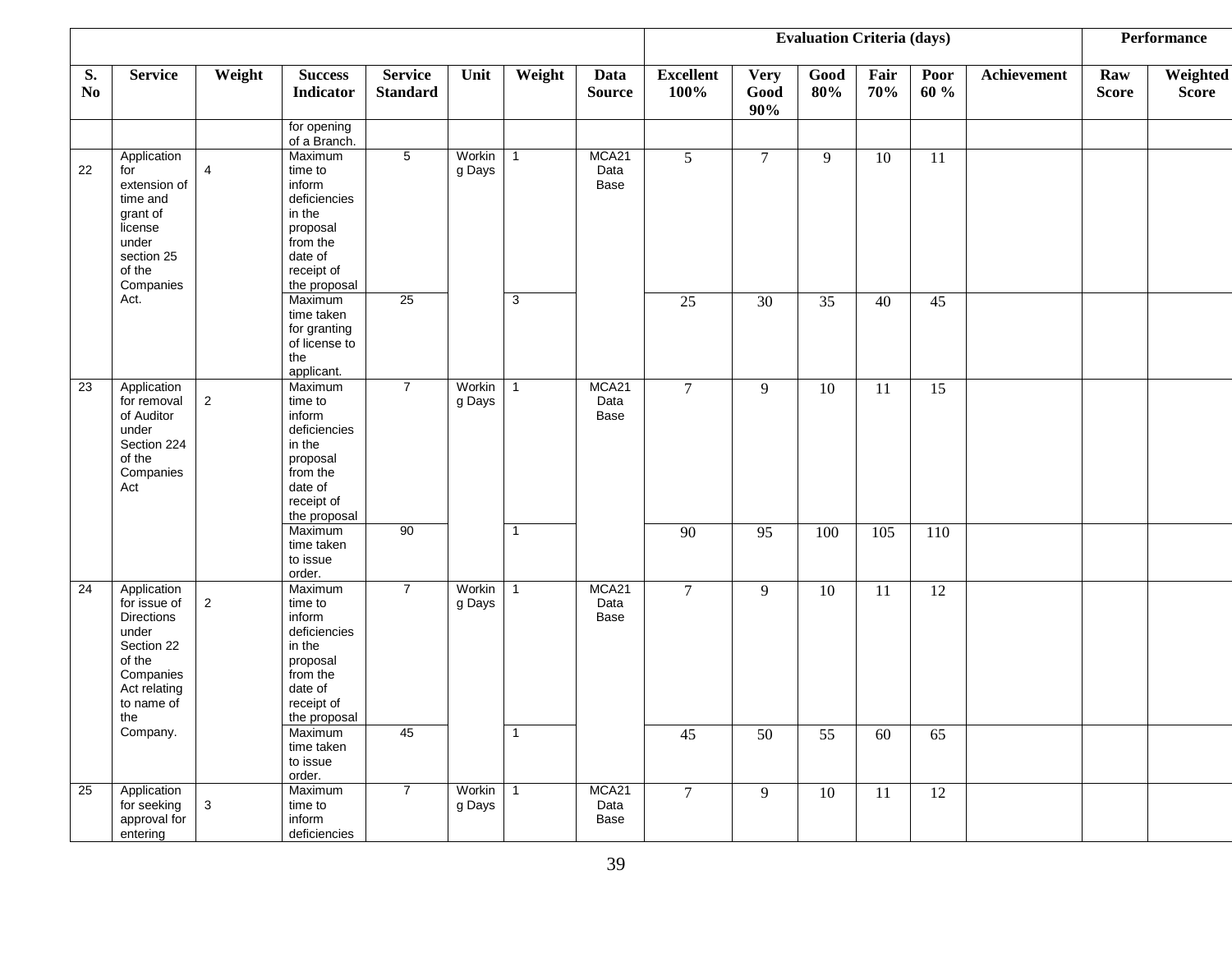|          |                                                                                                                                     |                |                                                                                                                         |                                   |                  |                |                              | <b>Evaluation Criteria (days)</b> |                            |                 |             |                 |                    | <b>Performance</b>  |                          |
|----------|-------------------------------------------------------------------------------------------------------------------------------------|----------------|-------------------------------------------------------------------------------------------------------------------------|-----------------------------------|------------------|----------------|------------------------------|-----------------------------------|----------------------------|-----------------|-------------|-----------------|--------------------|---------------------|--------------------------|
| S.<br>No | <b>Service</b>                                                                                                                      | Weight         | <b>Success</b><br><b>Indicator</b>                                                                                      | <b>Service</b><br><b>Standard</b> | Unit             | Weight         | Data<br><b>Source</b>        | <b>Excellent</b><br>100%          | <b>Very</b><br>Good<br>90% | Good<br>80%     | Fair<br>70% | Poor<br>60 %    | <b>Achievement</b> | Raw<br><b>Score</b> | Weighted<br><b>Score</b> |
|          |                                                                                                                                     |                | for opening<br>of a Branch.                                                                                             |                                   |                  |                |                              |                                   |                            |                 |             |                 |                    |                     |                          |
| 22       | Application<br>for<br>extension of<br>time and<br>grant of<br>license<br>under<br>section 25<br>of the<br>Companies                 | $\overline{4}$ | Maximum<br>time to<br>inform<br>deficiencies<br>in the<br>proposal<br>from the<br>date of<br>receipt of<br>the proposal | $\overline{5}$                    | Workin<br>g Days | $\overline{1}$ | MCA21<br>Data<br>Base        | 5 <sup>5</sup>                    | $\overline{7}$             | 9               | 10          | 11              |                    |                     |                          |
|          | Act.                                                                                                                                |                | Maximum<br>time taken<br>for granting<br>of license to<br>the<br>applicant.                                             | 25                                |                  | 3              |                              | $\overline{25}$                   | $\overline{30}$            | $\overline{35}$ | 40          | 45              |                    |                     |                          |
| 23       | Application<br>for removal<br>of Auditor<br>under<br>Section 224<br>of the<br>Companies<br>Act                                      | $\overline{2}$ | Maximum<br>time to<br>inform<br>deficiencies<br>in the<br>proposal<br>from the<br>date of<br>receipt of<br>the proposal | $\overline{7}$                    | Workin<br>g Days | $\overline{1}$ | MCA21<br>Data<br>Base        | $\overline{7}$                    | 9                          | $\overline{10}$ | 11          | 15              |                    |                     |                          |
|          |                                                                                                                                     |                | Maximum<br>time taken<br>to issue<br>order.                                                                             | 90                                |                  | $\overline{1}$ |                              | 90                                | 95                         | 100             | 105         | 110             |                    |                     |                          |
| 24       | Application<br>for issue of<br><b>Directions</b><br>under<br>Section 22<br>of the<br>Companies<br>Act relating<br>to name of<br>the | $\overline{2}$ | Maximum<br>time to<br>inform<br>deficiencies<br>in the<br>proposal<br>from the<br>date of<br>receipt of<br>the proposal | $\overline{7}$                    | Workin<br>g Days | $\overline{1}$ | MCA21<br>Data<br><b>Base</b> | $\overline{7}$                    | 9                          | 10              | 11          | 12              |                    |                     |                          |
|          | Company.                                                                                                                            |                | Maximum<br>time taken<br>to issue<br>order.                                                                             | 45                                |                  | $\overline{1}$ |                              | 45                                | 50                         | 55              | 60          | 65              |                    |                     |                          |
| 25       | Application<br>for seeking<br>approval for<br>entering                                                                              | $\mathbf{3}$   | Maximum<br>time to<br>inform<br>deficiencies                                                                            | $\overline{7}$                    | Workin<br>g Days | $\overline{1}$ | MCA21<br>Data<br>Base        | $\overline{7}$                    | 9                          | $\overline{10}$ | 11          | $\overline{12}$ |                    |                     |                          |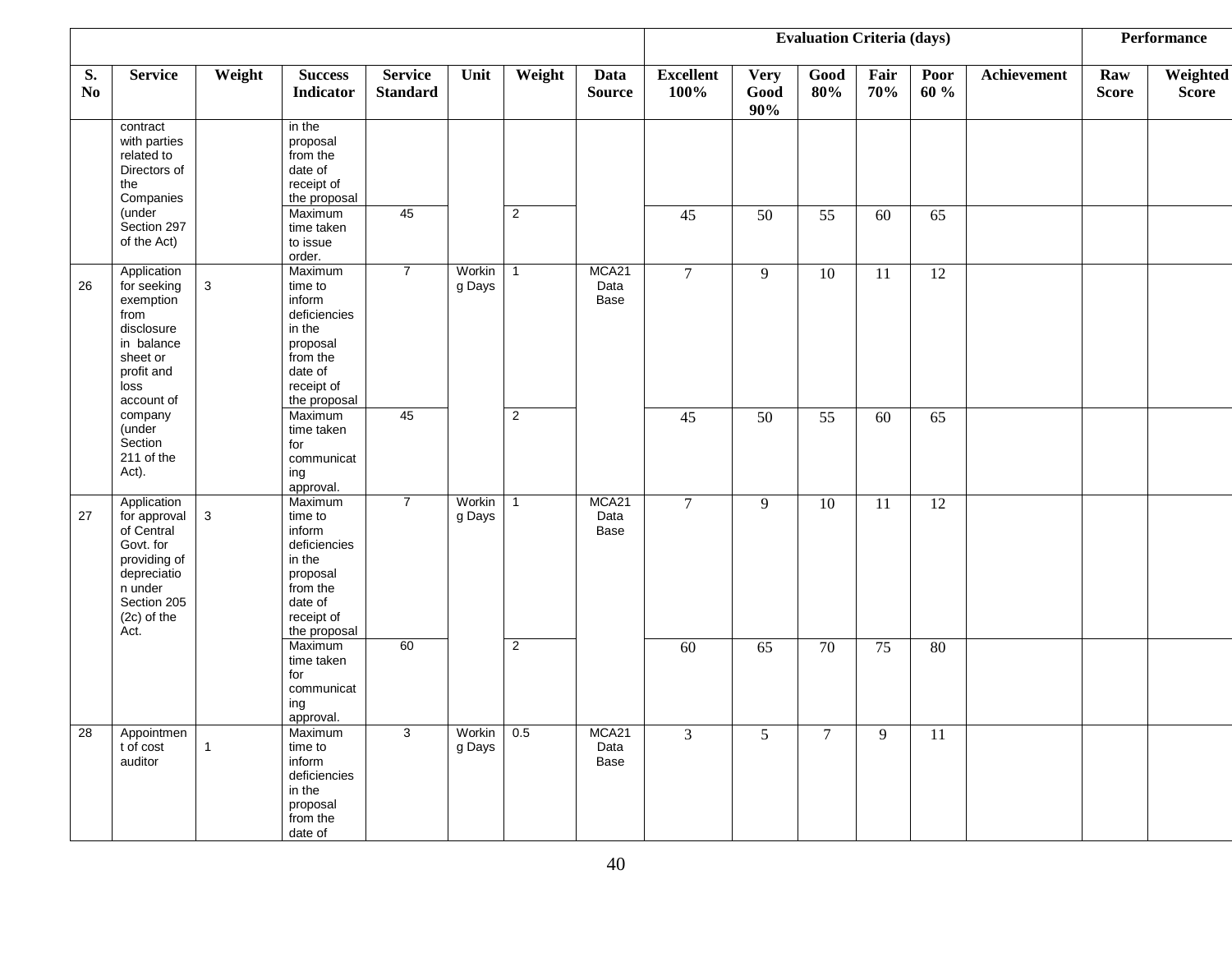|                      |                                                                                                                                          |              |                                                                                                                         |                                   |                  |                | <b>Evaluation Criteria (days)</b> |                          |                            |                 |             | <b>Performance</b> |             |                     |                          |
|----------------------|------------------------------------------------------------------------------------------------------------------------------------------|--------------|-------------------------------------------------------------------------------------------------------------------------|-----------------------------------|------------------|----------------|-----------------------------------|--------------------------|----------------------------|-----------------|-------------|--------------------|-------------|---------------------|--------------------------|
| S.<br>N <sub>0</sub> | <b>Service</b>                                                                                                                           | Weight       | <b>Success</b><br><b>Indicator</b>                                                                                      | <b>Service</b><br><b>Standard</b> | Unit             | Weight         | Data<br><b>Source</b>             | <b>Excellent</b><br>100% | <b>Very</b><br>Good<br>90% | Good<br>80%     | Fair<br>70% | Poor<br>60 %       | Achievement | Raw<br><b>Score</b> | Weighted<br><b>Score</b> |
|                      | contract<br>with parties<br>related to<br>Directors of<br>the<br>Companies                                                               |              | in the<br>proposal<br>from the<br>date of<br>receipt of<br>the proposal                                                 |                                   |                  |                |                                   |                          |                            |                 |             |                    |             |                     |                          |
|                      | (under<br>Section 297<br>of the Act)                                                                                                     |              | Maximum<br>time taken<br>to issue<br>order.                                                                             | $\overline{45}$                   |                  | $\overline{2}$ |                                   | $\overline{45}$          | $\overline{50}$            | $\overline{55}$ | 60          | $\overline{65}$    |             |                     |                          |
| 26                   | Application<br>for seeking<br>exemption<br>from<br>disclosure<br>in balance<br>sheet or<br>profit and<br>loss<br>account of              | $\mathbf{3}$ | Maximum<br>time to<br>inform<br>deficiencies<br>in the<br>proposal<br>from the<br>date of<br>receipt of<br>the proposal | $\overline{7}$                    | Workin<br>g Days | $\overline{1}$ | MCA21<br>Data<br>Base             | $\overline{7}$           | 9                          | $\overline{10}$ | 11          | 12                 |             |                     |                          |
|                      | company<br>(under<br>Section<br>211 of the<br>Act).                                                                                      |              | Maximum<br>time taken<br>for<br>communicat<br>ing<br>approval.                                                          | 45                                |                  | $\overline{2}$ |                                   | $\overline{45}$          | $\overline{50}$            | 55              | 60          | 65                 |             |                     |                          |
| 27                   | Application<br>for approval<br>of Central<br>Govt. for<br>providing of<br>depreciatio<br>n under<br>Section 205<br>$(2c)$ of the<br>Act. | $\mathbf{3}$ | Maximum<br>time to<br>inform<br>deficiencies<br>in the<br>proposal<br>from the<br>date of<br>receipt of<br>the proposal | $\overline{7}$                    | Workin<br>g Days | $\overline{1}$ | MCA21<br>Data<br>Base             | $\overline{7}$           | $\overline{9}$             | $\overline{10}$ | 11          | 12                 |             |                     |                          |
|                      |                                                                                                                                          |              | Maximum<br>time taken<br>for<br>communicat<br>ing<br>approval.                                                          | 60                                |                  | $\overline{2}$ |                                   | 60                       | 65                         | 70              | 75          | 80                 |             |                     |                          |
| 28                   | Appointmen<br>t of cost<br>auditor                                                                                                       | $\mathbf{1}$ | Maximum<br>time to<br>inform<br>deficiencies<br>in the<br>proposal<br>from the<br>date of                               | 3                                 | Workin<br>g Days | 0.5            | MCA21<br>Data<br>Base             | $\overline{3}$           | $\mathfrak{S}$             | $\overline{7}$  | 9           | $\overline{11}$    |             |                     |                          |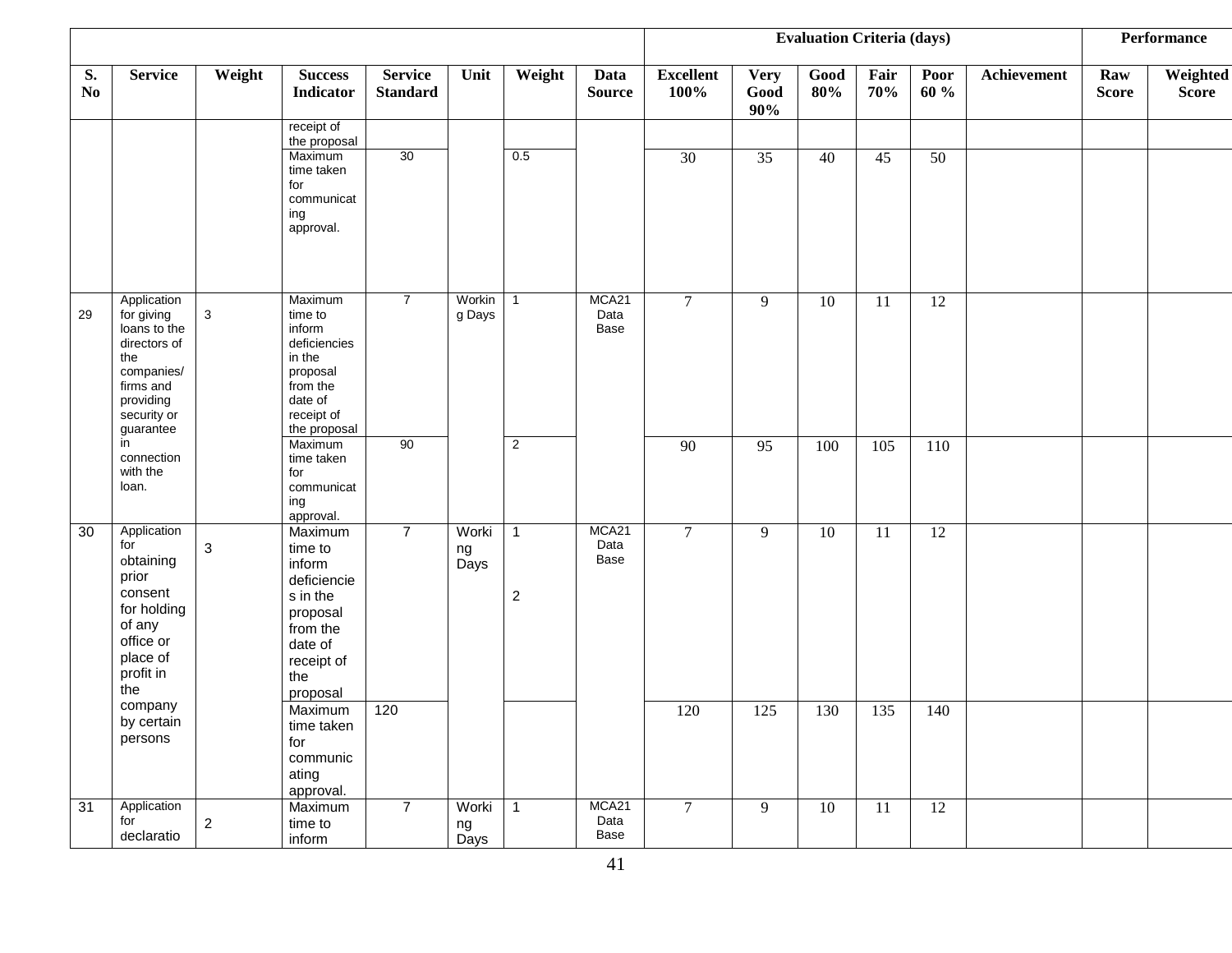|                              |                                                                                                                                      |                           |                                                                                                                             |                                   |                       |                              | <b>Evaluation Criteria (days)</b> |                          |                            |             |             | <b>Performance</b> |             |                     |                          |
|------------------------------|--------------------------------------------------------------------------------------------------------------------------------------|---------------------------|-----------------------------------------------------------------------------------------------------------------------------|-----------------------------------|-----------------------|------------------------------|-----------------------------------|--------------------------|----------------------------|-------------|-------------|--------------------|-------------|---------------------|--------------------------|
| S.<br>$\mathbf{N}\mathbf{o}$ | <b>Service</b>                                                                                                                       | Weight                    | <b>Success</b><br><b>Indicator</b>                                                                                          | <b>Service</b><br><b>Standard</b> | Unit                  | Weight                       | Data<br><b>Source</b>             | <b>Excellent</b><br>100% | <b>Very</b><br>Good<br>90% | Good<br>80% | Fair<br>70% | Poor<br>60 %       | Achievement | Raw<br><b>Score</b> | Weighted<br><b>Score</b> |
|                              |                                                                                                                                      |                           | receipt of<br>the proposal                                                                                                  |                                   |                       |                              |                                   |                          |                            |             |             |                    |             |                     |                          |
|                              |                                                                                                                                      |                           | Maximum<br>time taken<br>for<br>communicat<br>ing<br>approval.                                                              | 30                                |                       | 0.5                          |                                   | $\overline{30}$          | 35                         | 40          | 45          | 50                 |             |                     |                          |
|                              |                                                                                                                                      |                           |                                                                                                                             |                                   |                       |                              |                                   |                          |                            |             |             |                    |             |                     |                          |
| 29                           | Application<br>for giving<br>loans to the<br>directors of<br>the<br>companies/<br>firms and<br>providing<br>security or<br>guarantee | $\mathbf{3}$              | Maximum<br>time to<br>inform<br>deficiencies<br>in the<br>proposal<br>from the<br>date of<br>receipt of<br>the proposal     | $\overline{7}$                    | Workin<br>g Days      | $\mathbf{1}$                 | MCA21<br>Data<br>Base             | $\tau$                   | 9                          | 10          | 11          | $\overline{12}$    |             |                     |                          |
|                              | in<br>connection<br>with the<br>loan.                                                                                                |                           | Maximum<br>time taken<br>for<br>communicat<br>ing<br>approval.                                                              | 90                                |                       | $\overline{2}$               |                                   | $\overline{90}$          | $\overline{95}$            | 100         | 105         | 110                |             |                     |                          |
| 30                           | Application<br>for<br>obtaining<br>prior<br>consent<br>for holding<br>of any<br>office or<br>place of<br>profit in<br>the            | $\ensuremath{\mathsf{3}}$ | Maximum<br>time to<br>inform<br>deficiencie<br>s in the<br>proposal<br>from the<br>date of<br>receipt of<br>the<br>proposal | $\overline{7}$                    | Worki<br>ng<br>Days   | $\overline{1}$<br>$\sqrt{2}$ | MCA21<br>Data<br>Base             | $\tau$                   | 9                          | 10          | 11          | 12                 |             |                     |                          |
|                              | company<br>by certain<br>persons                                                                                                     |                           | Maximum<br>time taken<br>for<br>communic<br>ating<br>approval.                                                              | 120                               |                       |                              |                                   | 120                      | 125                        | 130         | 135         | 140                |             |                     |                          |
| 31                           | Application<br>for<br>declaratio                                                                                                     | $\sqrt{2}$                | Maximum<br>time to<br>inform                                                                                                | $\overline{7}$                    | Worki  <br>ng<br>Days | $\overline{1}$               | MCA21<br>Data<br>Base             | $7\overline{ }$          | 9                          | 10          | 11          | 12                 |             |                     |                          |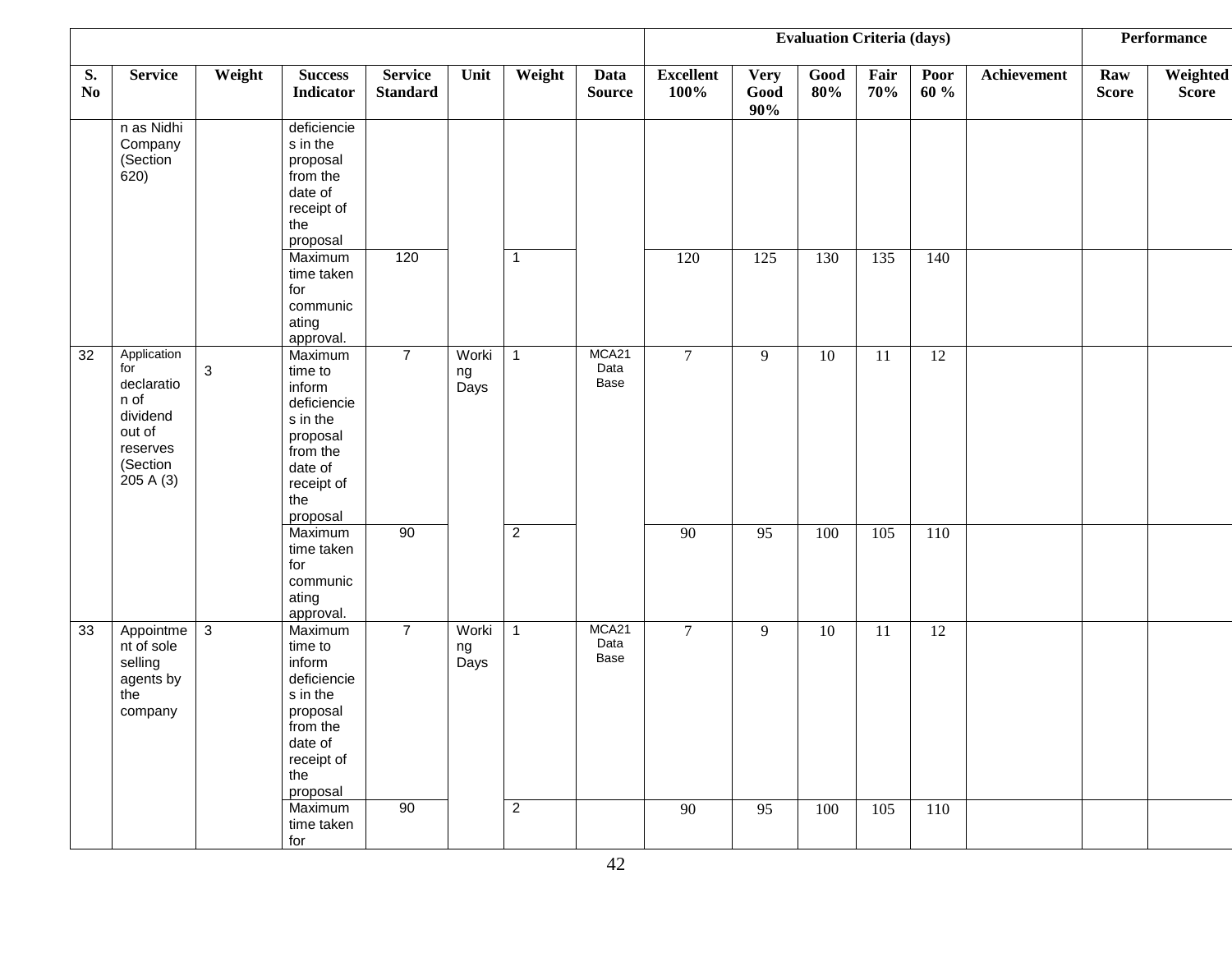|                              |                                                                                                     |             |                                                                                                                             |                                   |                     |                |                       |                          |                            | <b>Evaluation Criteria (days)</b> |             |              |             |                     | Performance              |
|------------------------------|-----------------------------------------------------------------------------------------------------|-------------|-----------------------------------------------------------------------------------------------------------------------------|-----------------------------------|---------------------|----------------|-----------------------|--------------------------|----------------------------|-----------------------------------|-------------|--------------|-------------|---------------------|--------------------------|
| S.<br>$\mathbf{N}\mathbf{o}$ | <b>Service</b>                                                                                      | Weight      | <b>Success</b><br><b>Indicator</b>                                                                                          | <b>Service</b><br><b>Standard</b> | Unit                | Weight         | Data<br><b>Source</b> | <b>Excellent</b><br>100% | <b>Very</b><br>Good<br>90% | Good<br>80%                       | Fair<br>70% | Poor<br>60 % | Achievement | Raw<br><b>Score</b> | Weighted<br><b>Score</b> |
|                              | n as Nidhi<br>Company<br>(Section<br>620)                                                           |             | deficiencie<br>s in the<br>proposal<br>from the<br>date of<br>receipt of<br>the<br>proposal                                 |                                   |                     |                |                       |                          |                            |                                   |             |              |             |                     |                          |
|                              |                                                                                                     |             | Maximum<br>time taken<br>for<br>communic<br>ating<br>approval.                                                              | 120                               |                     | $\overline{1}$ |                       | 120                      | 125                        | 130                               | 135         | 140          |             |                     |                          |
| 32                           | Application<br>for<br>declaratio<br>n of<br>dividend<br>out of<br>reserves<br>(Section<br>205 A (3) | $\mathsf 3$ | Maximum<br>time to<br>inform<br>deficiencie<br>s in the<br>proposal<br>from the<br>date of<br>receipt of<br>the<br>proposal | $\overline{7}$                    | Worki<br>ng<br>Days | $\overline{1}$ | MCA21<br>Data<br>Base | $7\overline{ }$          | 9                          | 10                                | 11          | 12           |             |                     |                          |
|                              |                                                                                                     |             | Maximum<br>time taken<br>for<br>communic<br>ating<br>approval.                                                              | 90                                |                     | $\overline{2}$ |                       | 90                       | 95                         | 100                               | 105         | 110          |             |                     |                          |
| 33                           | Appointme<br>nt of sole<br>selling<br>agents by<br>the<br>company                                   | 3           | Maximum<br>time to<br>inform<br>deficiencie<br>s in the<br>proposal<br>from the<br>date of<br>receipt of<br>the<br>proposal | $\overline{7}$                    | Worki<br>ng<br>Days | $\overline{1}$ | MCA21<br>Data<br>Base | $\overline{7}$           | 9                          | 10                                | 11          | 12           |             |                     |                          |
|                              |                                                                                                     |             | Maximum<br>time taken<br>for                                                                                                | 90                                |                     | $\overline{2}$ |                       | 90                       | 95                         | 100                               | 105         | 110          |             |                     |                          |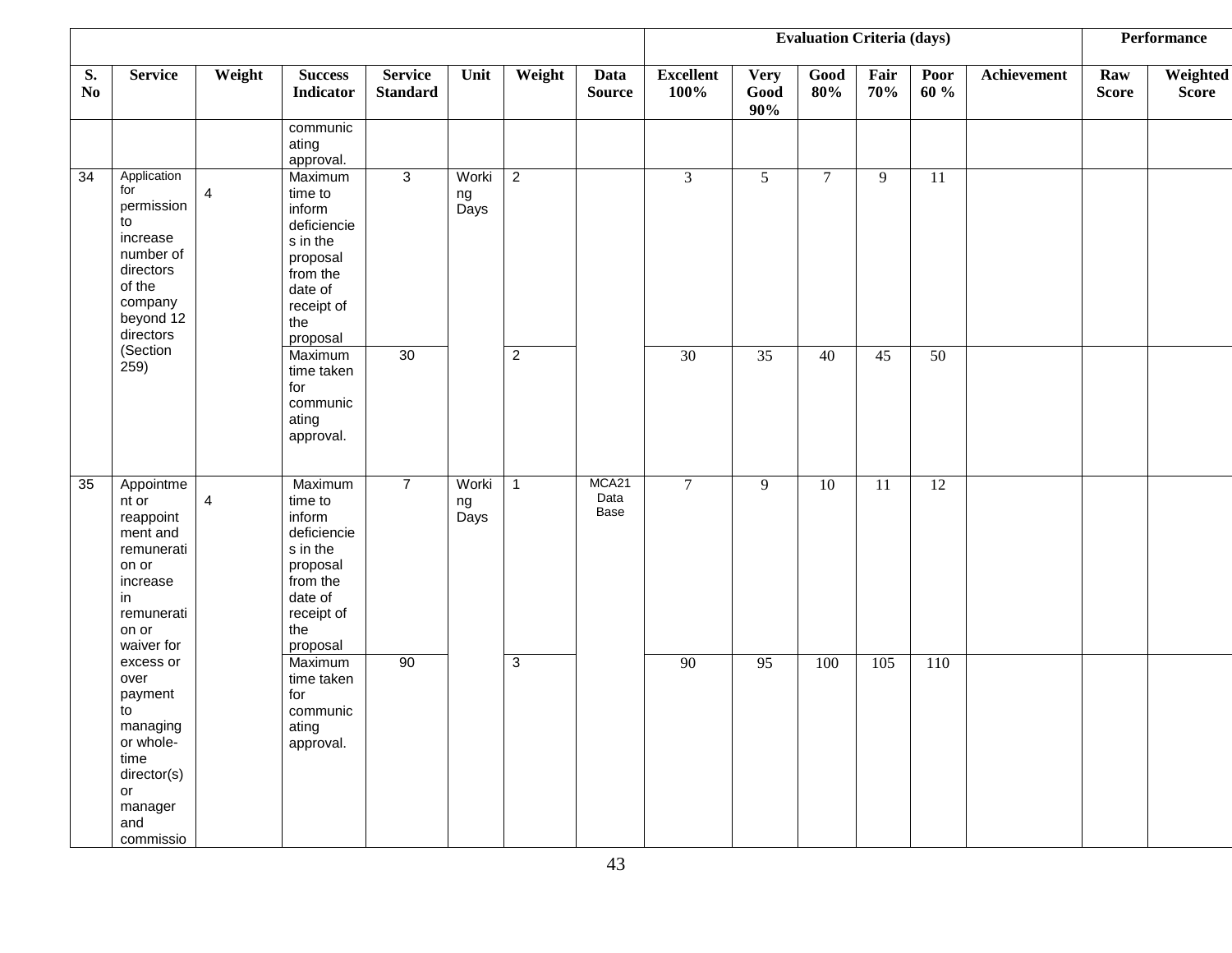|                                                  |                                                                                                                         |                |                                                                                                                             |                                   |                     |                |                       |                          |                            | <b>Evaluation Criteria (days)</b> |                 |              |             |                     | <b>Performance</b> |
|--------------------------------------------------|-------------------------------------------------------------------------------------------------------------------------|----------------|-----------------------------------------------------------------------------------------------------------------------------|-----------------------------------|---------------------|----------------|-----------------------|--------------------------|----------------------------|-----------------------------------|-----------------|--------------|-------------|---------------------|--------------------|
| S.<br>$\mathbf{N}\mathbf{0}$                     | <b>Service</b>                                                                                                          | Weight         | <b>Success</b><br><b>Indicator</b>                                                                                          | <b>Service</b><br><b>Standard</b> | Unit                | Weight         | Data<br><b>Source</b> | <b>Excellent</b><br>100% | <b>Very</b><br>Good<br>90% | Good<br>80%                       | Fair<br>70%     | Poor<br>60 % | Achievement | Raw<br><b>Score</b> | Weighted<br>Score  |
|                                                  |                                                                                                                         |                | communic<br>ating<br>approval.                                                                                              |                                   |                     |                |                       |                          |                            |                                   |                 |              |             |                     |                    |
| $\overline{34}$<br>for<br>to<br>(Section<br>259) | Application<br>permission<br>increase<br>number of<br>directors<br>of the<br>company<br>beyond 12<br>directors          | $\overline{4}$ | Maximum<br>time to<br>inform<br>deficiencie<br>s in the<br>proposal<br>from the<br>date of<br>receipt of<br>the<br>proposal | 3                                 | Worki<br>ng<br>Days | $\overline{2}$ |                       | 3                        | $5\overline{)}$            | $\tau$                            | 9               | 11           |             |                     |                    |
|                                                  |                                                                                                                         |                | Maximum<br>time taken<br>for<br>communic<br>ating<br>approval.                                                              | 30                                |                     | $\overline{2}$ |                       | 30                       | $\overline{35}$            | $\overline{40}$                   | $\overline{45}$ | 50           |             |                     |                    |
| 35<br>in                                         | Appointme<br>nt or<br>reappoint<br>ment and<br>remunerati<br>on or<br>increase<br>remunerati<br>on or<br>waiver for     | $\overline{4}$ | Maximum<br>time to<br>inform<br>deficiencie<br>s in the<br>proposal<br>from the<br>date of<br>receipt of<br>the<br>proposal | $\overline{7}$                    | Worki<br>ng<br>Days | $\mathbf{1}$   | MCA21<br>Data<br>Base | $\tau$                   | 9                          | $\overline{10}$                   | 11              | 12           |             |                     |                    |
|                                                  | excess or<br>over<br>payment<br>to<br>managing<br>or whole-<br>time<br>director(s)<br>or<br>manager<br>and<br>commissio |                | Maximum<br>time taken<br>for<br>communic<br>ating<br>approval.                                                              | 90                                |                     | $\mathbf{3}$   |                       | 90                       | 95                         | 100                               | 105             | 110          |             |                     |                    |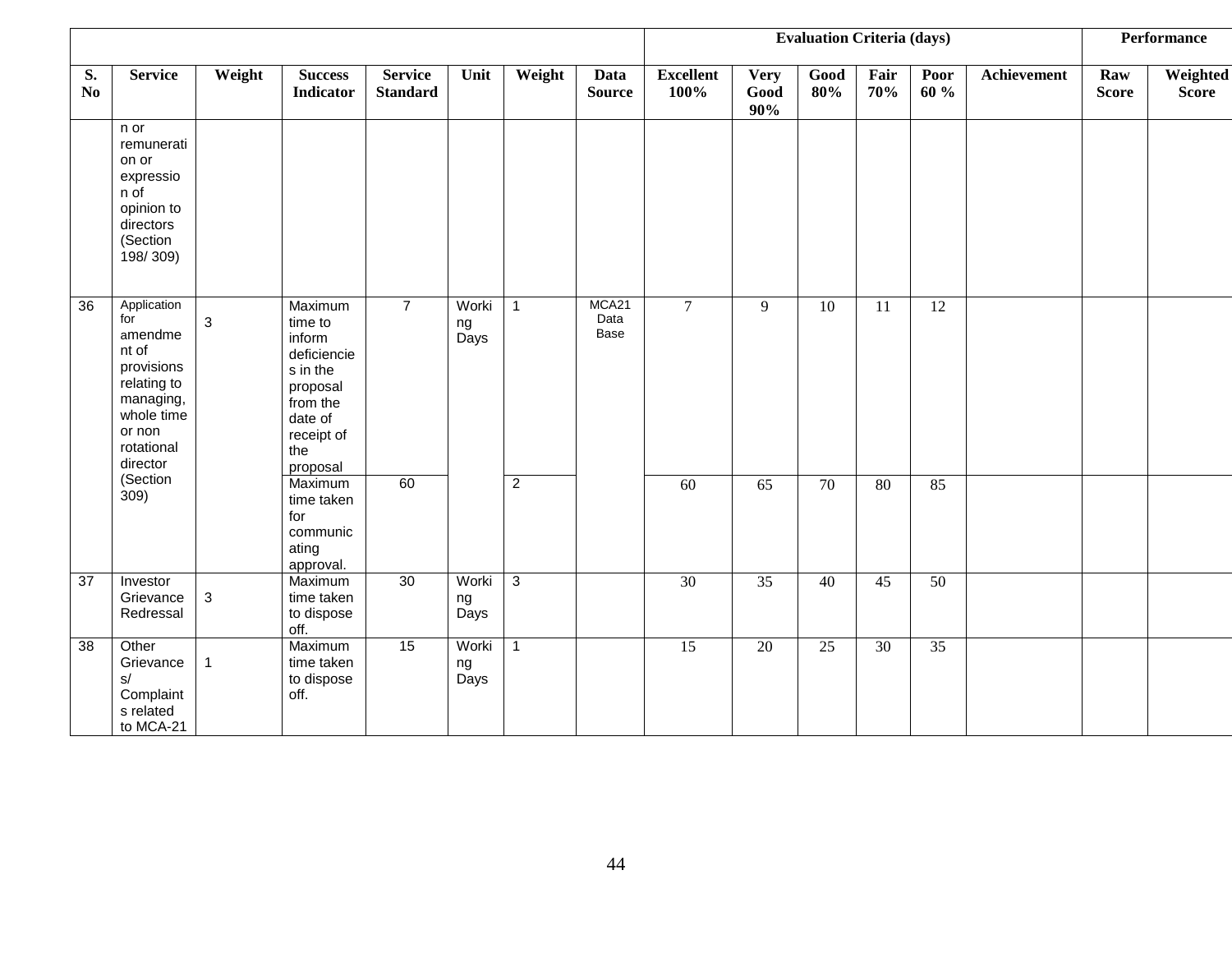|                      |                                                                                                                                    |              |                                                                                                                             |                                   |                     |                | <b>Evaluation Criteria (days)</b> |                          |                            |                 |                 | Performance     |                    |                     |                          |
|----------------------|------------------------------------------------------------------------------------------------------------------------------------|--------------|-----------------------------------------------------------------------------------------------------------------------------|-----------------------------------|---------------------|----------------|-----------------------------------|--------------------------|----------------------------|-----------------|-----------------|-----------------|--------------------|---------------------|--------------------------|
| S.<br>N <sub>0</sub> | <b>Service</b>                                                                                                                     | Weight       | <b>Success</b><br><b>Indicator</b>                                                                                          | <b>Service</b><br><b>Standard</b> | Unit                | Weight         | Data<br><b>Source</b>             | <b>Excellent</b><br>100% | <b>Very</b><br>Good<br>90% | Good<br>80%     | Fair<br>70%     | Poor<br>60 %    | <b>Achievement</b> | Raw<br><b>Score</b> | Weighted<br><b>Score</b> |
|                      | n or<br>remunerati<br>on or<br>expressio<br>n of<br>opinion to<br>directors<br>(Section<br>198/309)                                |              |                                                                                                                             |                                   |                     |                |                                   |                          |                            |                 |                 |                 |                    |                     |                          |
| 36                   | Application<br>for<br>amendme<br>nt of<br>provisions<br>relating to<br>managing,<br>whole time<br>or non<br>rotational<br>director | $\sqrt{3}$   | Maximum<br>time to<br>inform<br>deficiencie<br>s in the<br>proposal<br>from the<br>date of<br>receipt of<br>the<br>proposal | $\overline{7}$                    | Worki<br>ng<br>Days | $\mathbf{1}$   | MCA21<br>Data<br>Base             | $\overline{7}$           | 9                          | $\overline{10}$ | $\overline{11}$ | $\overline{12}$ |                    |                     |                          |
|                      | (Section<br>309)                                                                                                                   |              | Maximum<br>time taken<br>for<br>communic<br>ating<br>approval.                                                              | 60                                |                     | $\overline{2}$ |                                   | 60                       | $\overline{65}$            | 70              | 80              | 85              |                    |                     |                          |
| 37                   | Investor<br>Grievance<br>Redressal                                                                                                 | $\sqrt{3}$   | Maximum<br>time taken<br>to dispose<br>off.                                                                                 | 30                                | Worki<br>ng<br>Days | $\overline{3}$ |                                   | 30                       | $\overline{35}$            | 40              | 45              | 50              |                    |                     |                          |
| 38                   | Other<br>Grievance<br>s/<br>Complaint<br>s related<br>to MCA-21                                                                    | $\mathbf{1}$ | Maximum<br>time taken<br>to dispose<br>off.                                                                                 | 15                                | Worki<br>ng<br>Days | $\mathbf{1}$   |                                   | $\overline{15}$          | 20                         | 25              | 30              | 35              |                    |                     |                          |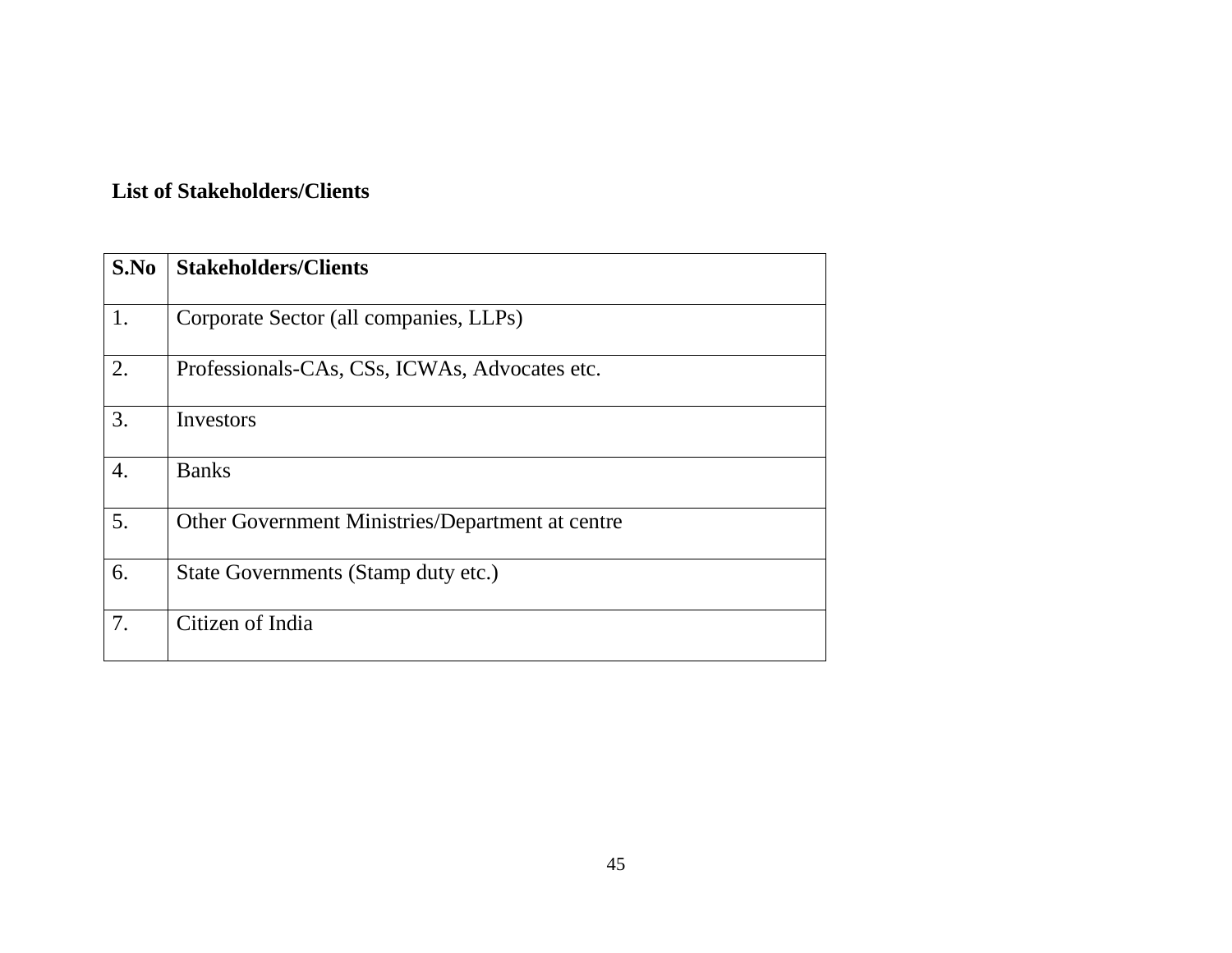#### **List of Stakeholders/Clients**

| S.No             | <b>Stakeholders/Clients</b>                      |
|------------------|--------------------------------------------------|
| 1.               | Corporate Sector (all companies, LLPs)           |
| 2.               | Professionals-CAs, CSs, ICWAs, Advocates etc.    |
| 3.               | Investors                                        |
| $\overline{4}$ . | <b>Banks</b>                                     |
| 5.               | Other Government Ministries/Department at centre |
| 6.               | State Governments (Stamp duty etc.)              |
| 7.               | Citizen of India                                 |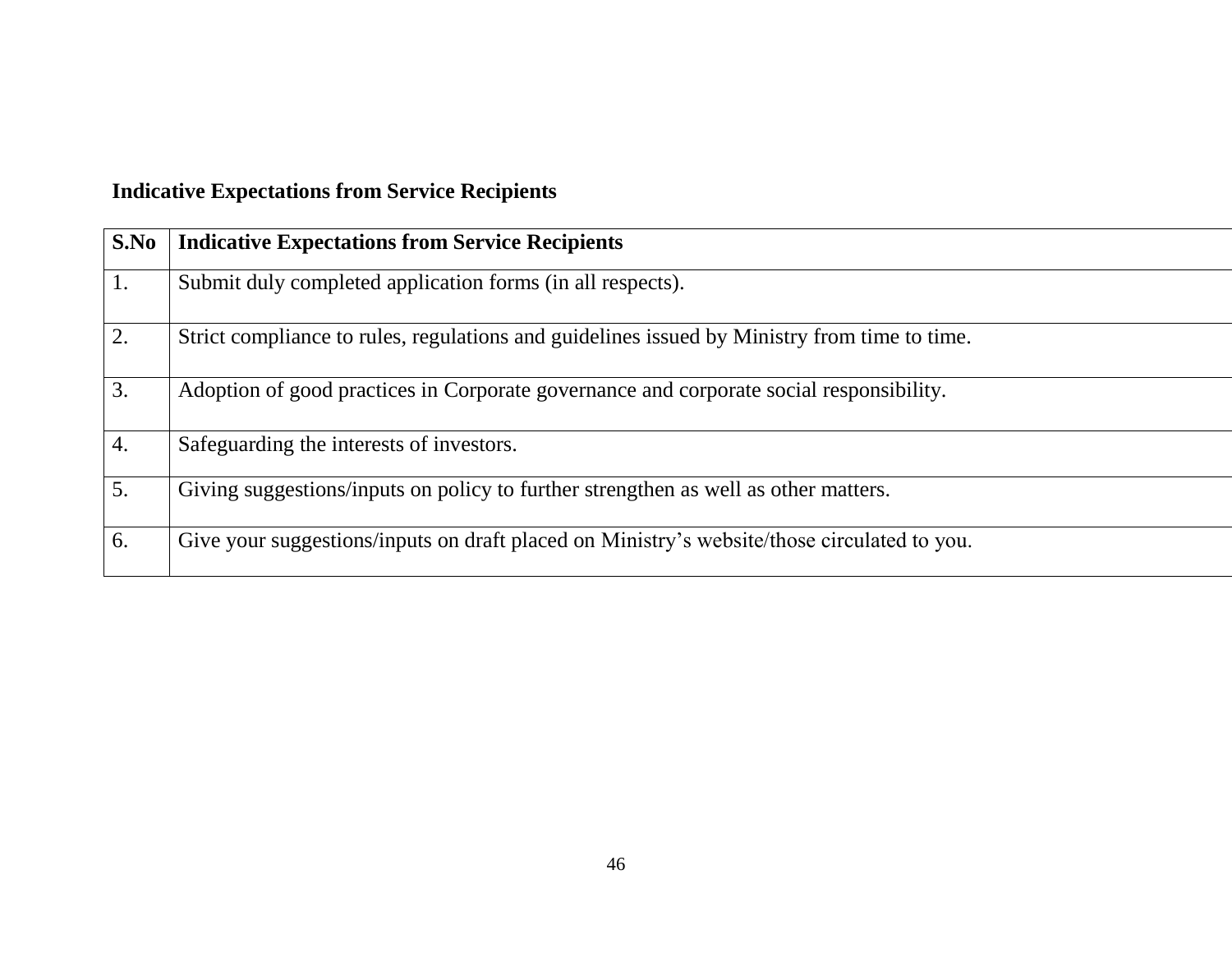| S.No | <b>Indicative Expectations from Service Recipients</b>                                       |
|------|----------------------------------------------------------------------------------------------|
| 1.   | Submit duly completed application forms (in all respects).                                   |
| 2.   | Strict compliance to rules, regulations and guidelines issued by Ministry from time to time. |
| 3.   | Adoption of good practices in Corporate governance and corporate social responsibility.      |
| 4.   | Safeguarding the interests of investors.                                                     |
| 5.   | Giving suggestions/inputs on policy to further strengthen as well as other matters.          |
| 6.   | Give your suggestions/inputs on draft placed on Ministry's website/those circulated to you.  |